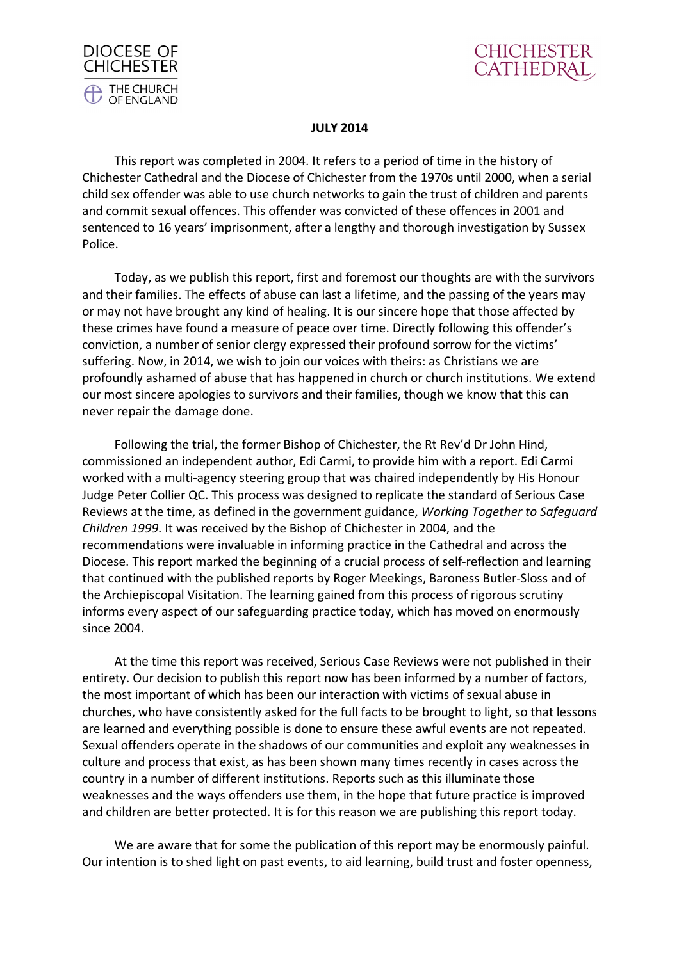



#### **JULY 2014**

This report was completed in 2004. It refers to a period of time in the history of Chichester Cathedral and the Diocese of Chichester from the 1970s until 2000, when a serial child sex offender was able to use church networks to gain the trust of children and parents and commit sexual offences. This offender was convicted of these offences in 2001 and sentenced to 16 years' imprisonment, after a lengthy and thorough investigation by Sussex Police.

Today, as we publish this report, first and foremost our thoughts are with the survivors and their families. The effects of abuse can last a lifetime, and the passing of the years may or may not have brought any kind of healing. It is our sincere hope that those affected by these crimes have found a measure of peace over time. Directly following this offender's conviction, a number of senior clergy expressed their profound sorrow for the victims' suffering. Now, in 2014, we wish to join our voices with theirs: as Christians we are profoundly ashamed of abuse that has happened in church or church institutions. We extend our most sincere apologies to survivors and their families, though we know that this can never repair the damage done.

Following the trial, the former Bishop of Chichester, the Rt Rev'd Dr John Hind, commissioned an independent author, Edi Carmi, to provide him with a report. Edi Carmi worked with a multi-agency steering group that was chaired independently by His Honour Judge Peter Collier QC. This process was designed to replicate the standard of Serious Case Reviews at the time, as defined in the government guidance, *Working Together to Safeguard Children 1999*. It was received by the Bishop of Chichester in 2004, and the recommendations were invaluable in informing practice in the Cathedral and across the Diocese. This report marked the beginning of a crucial process of self-reflection and learning that continued with the published reports by Roger Meekings, Baroness Butler-Sloss and of the Archiepiscopal Visitation. The learning gained from this process of rigorous scrutiny informs every aspect of our safeguarding practice today, which has moved on enormously since 2004.

At the time this report was received, Serious Case Reviews were not published in their entirety. Our decision to publish this report now has been informed by a number of factors, the most important of which has been our interaction with victims of sexual abuse in churches, who have consistently asked for the full facts to be brought to light, so that lessons are learned and everything possible is done to ensure these awful events are not repeated. Sexual offenders operate in the shadows of our communities and exploit any weaknesses in culture and process that exist, as has been shown many times recently in cases across the country in a number of different institutions. Reports such as this illuminate those weaknesses and the ways offenders use them, in the hope that future practice is improved and children are better protected. It is for this reason we are publishing this report today.

We are aware that for some the publication of this report may be enormously painful. Our intention is to shed light on past events, to aid learning, build trust and foster openness,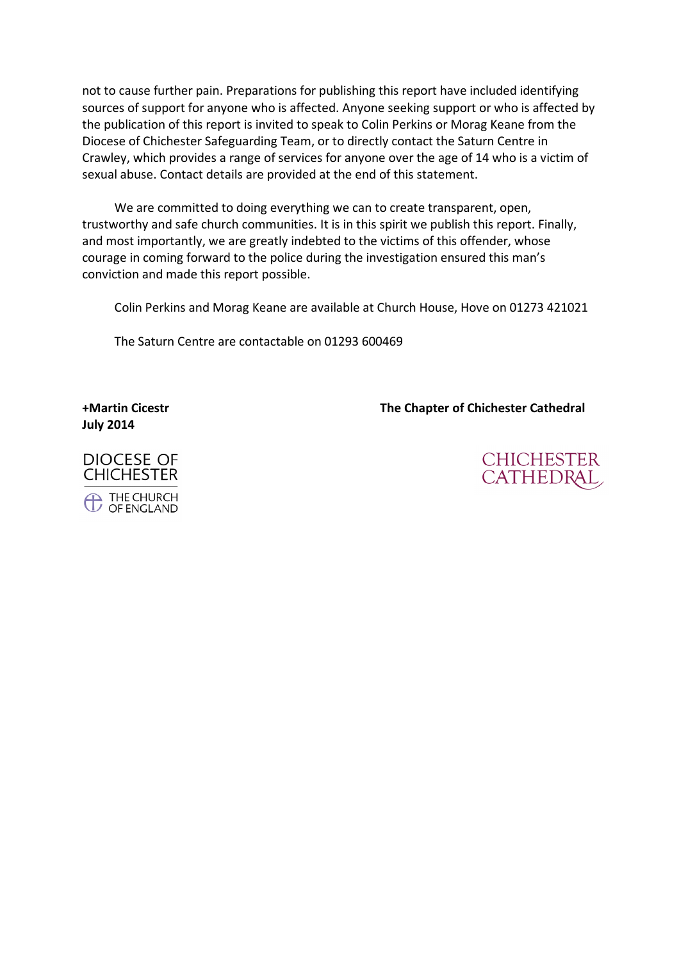not to cause further pain. Preparations for publishing this report have included identifying sources of support for anyone who is affected. Anyone seeking support or who is affected by the publication of this report is invited to speak to Colin Perkins or Morag Keane from the Diocese of Chichester Safeguarding Team, or to directly contact the Saturn Centre in Crawley, which provides a range of services for anyone over the age of 14 who is a victim of sexual abuse. Contact details are provided at the end of this statement.

We are committed to doing everything we can to create transparent, open, trustworthy and safe church communities. It is in this spirit we publish this report. Finally, and most importantly, we are greatly indebted to the victims of this offender, whose courage in coming forward to the police during the investigation ensured this man's conviction and made this report possible.

Colin Perkins and Morag Keane are available at Church House, Hove on 01273 421021

The Saturn Centre are contactable on 01293 600469

**July 2014** 

**+Martin Cicestr The Chapter of Chichester Cathedral** 



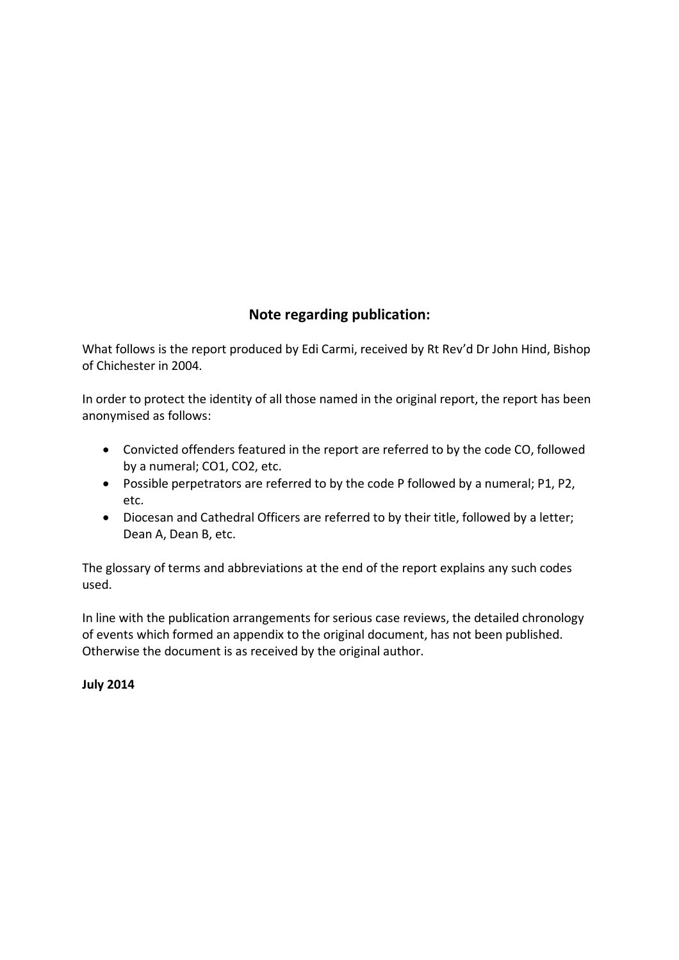# **Note regarding publication:**

What follows is the report produced by Edi Carmi, received by Rt Rev'd Dr John Hind, Bishop of Chichester in 2004.

In order to protect the identity of all those named in the original report, the report has been anonymised as follows:

- · Convicted offenders featured in the report are referred to by the code CO, followed by a numeral; CO1, CO2, etc.
- · Possible perpetrators are referred to by the code P followed by a numeral; P1, P2, etc.
- · Diocesan and Cathedral Officers are referred to by their title, followed by a letter; Dean A, Dean B, etc.

The glossary of terms and abbreviations at the end of the report explains any such codes used.

In line with the publication arrangements for serious case reviews, the detailed chronology of events which formed an appendix to the original document, has not been published. Otherwise the document is as received by the original author.

**July 2014**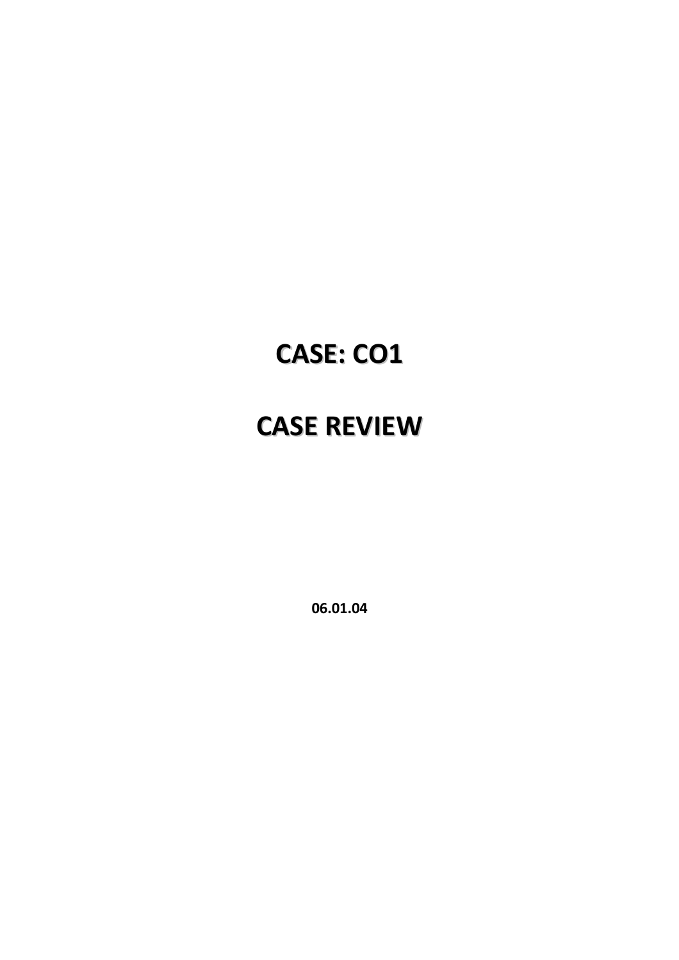# **CASE: CO1**

# **CASE REVIEW**

**06.01.04**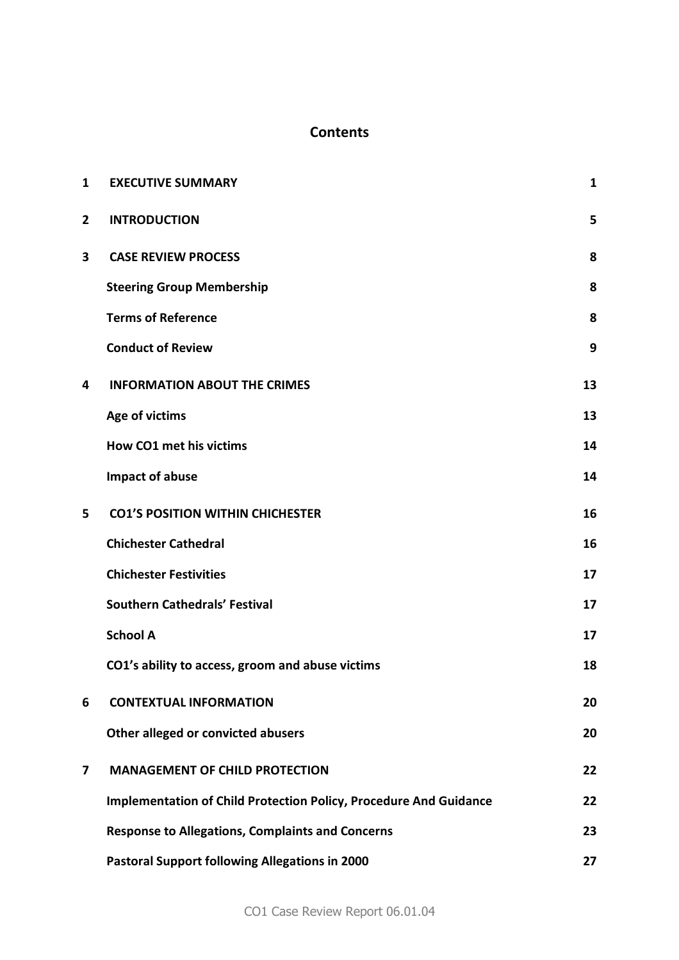# **Contents**

| 1            | <b>EXECUTIVE SUMMARY</b>                                                 | 1  |
|--------------|--------------------------------------------------------------------------|----|
| $\mathbf{2}$ | <b>INTRODUCTION</b>                                                      | 5  |
| 3            | <b>CASE REVIEW PROCESS</b>                                               | 8  |
|              | <b>Steering Group Membership</b>                                         | 8  |
|              | <b>Terms of Reference</b>                                                | 8  |
|              | <b>Conduct of Review</b>                                                 | 9  |
| 4            | <b>INFORMATION ABOUT THE CRIMES</b>                                      | 13 |
|              | Age of victims                                                           | 13 |
|              | <b>How CO1 met his victims</b>                                           | 14 |
|              | Impact of abuse                                                          | 14 |
| 5            | <b>CO1'S POSITION WITHIN CHICHESTER</b>                                  | 16 |
|              | <b>Chichester Cathedral</b>                                              | 16 |
|              | <b>Chichester Festivities</b>                                            | 17 |
|              | <b>Southern Cathedrals' Festival</b>                                     | 17 |
|              | <b>School A</b>                                                          | 17 |
|              | CO1's ability to access, groom and abuse victims                         | 18 |
| 6            | <b>CONTEXTUAL INFORMATION</b>                                            | 20 |
|              | Other alleged or convicted abusers                                       | 20 |
| 7            | <b>MANAGEMENT OF CHILD PROTECTION</b>                                    | 22 |
|              | <b>Implementation of Child Protection Policy, Procedure And Guidance</b> | 22 |
|              | <b>Response to Allegations, Complaints and Concerns</b>                  | 23 |
|              | <b>Pastoral Support following Allegations in 2000</b>                    | 27 |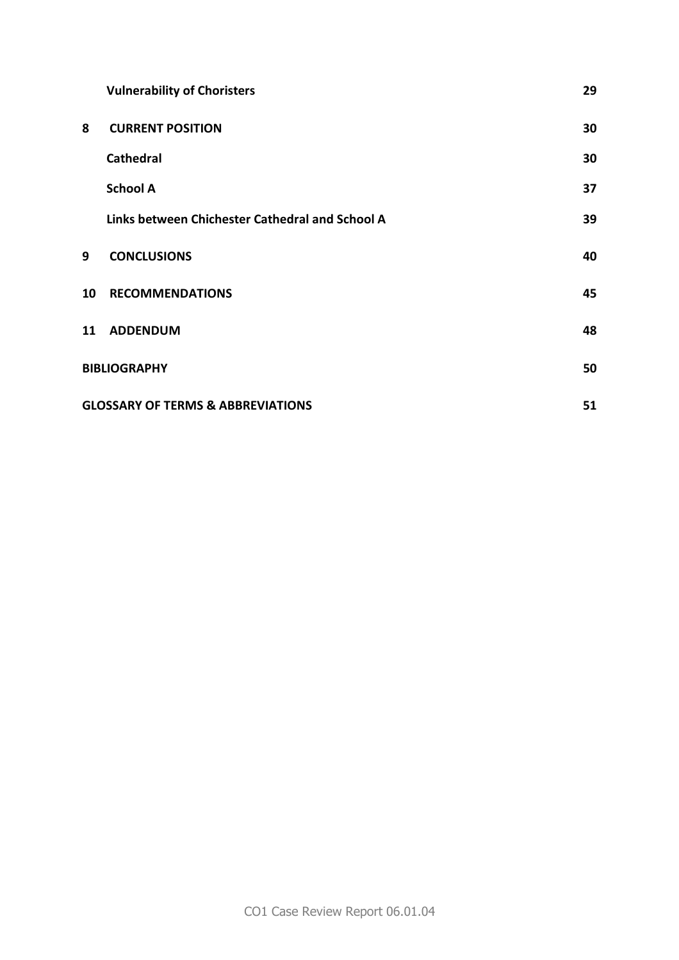|                     | <b>Vulnerability of Choristers</b>                 | 29 |  |
|---------------------|----------------------------------------------------|----|--|
| 8                   | <b>CURRENT POSITION</b>                            | 30 |  |
|                     | <b>Cathedral</b>                                   | 30 |  |
|                     | <b>School A</b>                                    | 37 |  |
|                     | Links between Chichester Cathedral and School A    | 39 |  |
| 9                   | <b>CONCLUSIONS</b>                                 | 40 |  |
| 10                  | <b>RECOMMENDATIONS</b>                             | 45 |  |
| 11                  | <b>ADDENDUM</b>                                    | 48 |  |
| <b>BIBLIOGRAPHY</b> |                                                    | 50 |  |
|                     | <b>GLOSSARY OF TERMS &amp; ABBREVIATIONS</b><br>51 |    |  |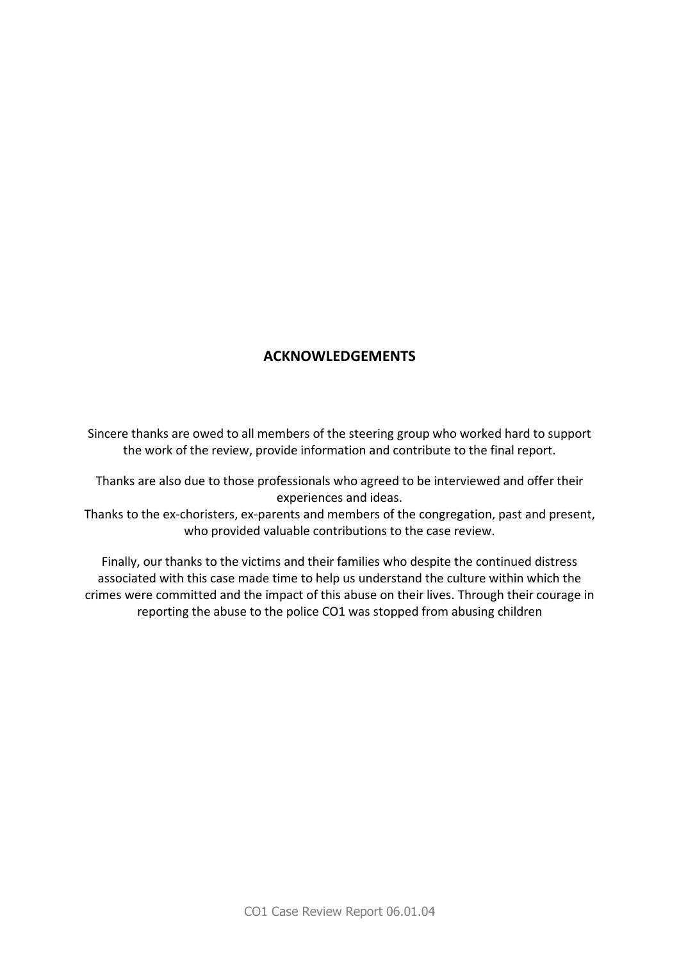# **ACKNOWLEDGEMENTS**

Sincere thanks are owed to all members of the steering group who worked hard to support the work of the review, provide information and contribute to the final report.

Thanks are also due to those professionals who agreed to be interviewed and offer their experiences and ideas.

Thanks to the ex-choristers, ex-parents and members of the congregation, past and present, who provided valuable contributions to the case review.

Finally, our thanks to the victims and their families who despite the continued distress associated with this case made time to help us understand the culture within which the crimes were committed and the impact of this abuse on their lives. Through their courage in reporting the abuse to the police CO1 was stopped from abusing children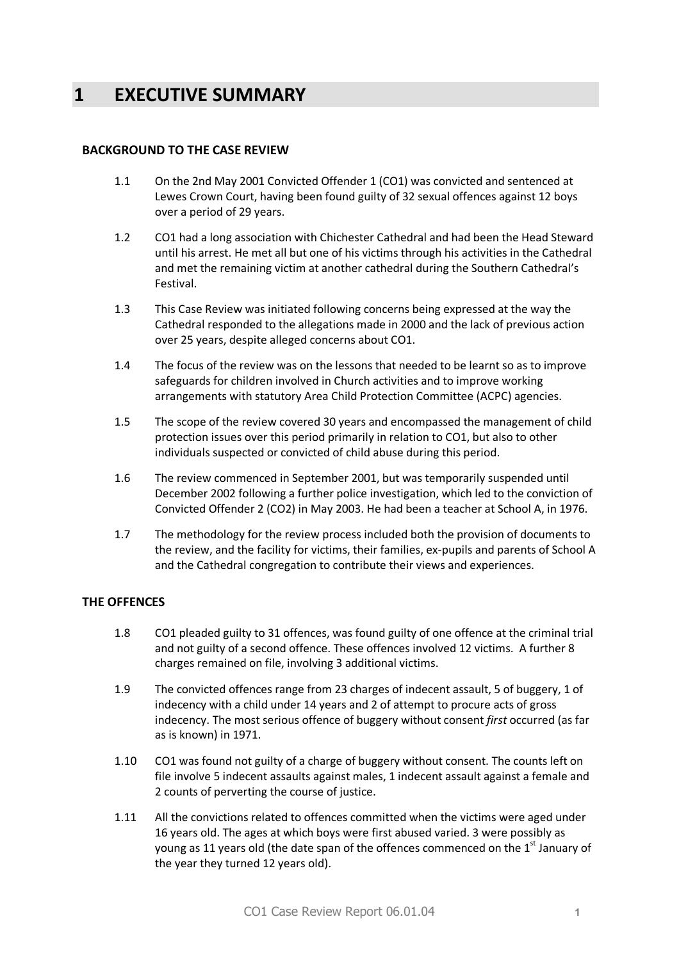# **1 EXECUTIVE SUMMARY**

#### **BACKGROUND TO THE CASE REVIEW**

- 1.1 On the 2nd May 2001 Convicted Offender 1 (CO1) was convicted and sentenced at Lewes Crown Court, having been found guilty of 32 sexual offences against 12 boys over a period of 29 years.
- 1.2 CO1 had a long association with Chichester Cathedral and had been the Head Steward until his arrest. He met all but one of his victims through his activities in the Cathedral and met the remaining victim at another cathedral during the Southern Cathedral's Festival.
- 1.3 This Case Review was initiated following concerns being expressed at the way the Cathedral responded to the allegations made in 2000 and the lack of previous action over 25 years, despite alleged concerns about CO1.
- 1.4 The focus of the review was on the lessons that needed to be learnt so as to improve safeguards for children involved in Church activities and to improve working arrangements with statutory Area Child Protection Committee (ACPC) agencies.
- 1.5 The scope of the review covered 30 years and encompassed the management of child protection issues over this period primarily in relation to CO1, but also to other individuals suspected or convicted of child abuse during this period.
- 1.6 The review commenced in September 2001, but was temporarily suspended until December 2002 following a further police investigation, which led to the conviction of Convicted Offender 2 (CO2) in May 2003. He had been a teacher at School A, in 1976.
- 1.7 The methodology for the review process included both the provision of documents to the review, and the facility for victims, their families, ex-pupils and parents of School A and the Cathedral congregation to contribute their views and experiences.

#### **THE OFFENCES**

- 1.8 CO1 pleaded guilty to 31 offences, was found guilty of one offence at the criminal trial and not guilty of a second offence. These offences involved 12 victims. A further 8 charges remained on file, involving 3 additional victims.
- 1.9 The convicted offences range from 23 charges of indecent assault, 5 of buggery, 1 of indecency with a child under 14 years and 2 of attempt to procure acts of gross indecency. The most serious offence of buggery without consent *first* occurred (as far as is known) in 1971.
- 1.10 CO1 was found not guilty of a charge of buggery without consent. The counts left on file involve 5 indecent assaults against males, 1 indecent assault against a female and 2 counts of perverting the course of justice.
- 1.11 All the convictions related to offences committed when the victims were aged under 16 years old. The ages at which boys were first abused varied. 3 were possibly as young as 11 years old (the date span of the offences commenced on the  $1<sup>st</sup>$  January of the year they turned 12 years old).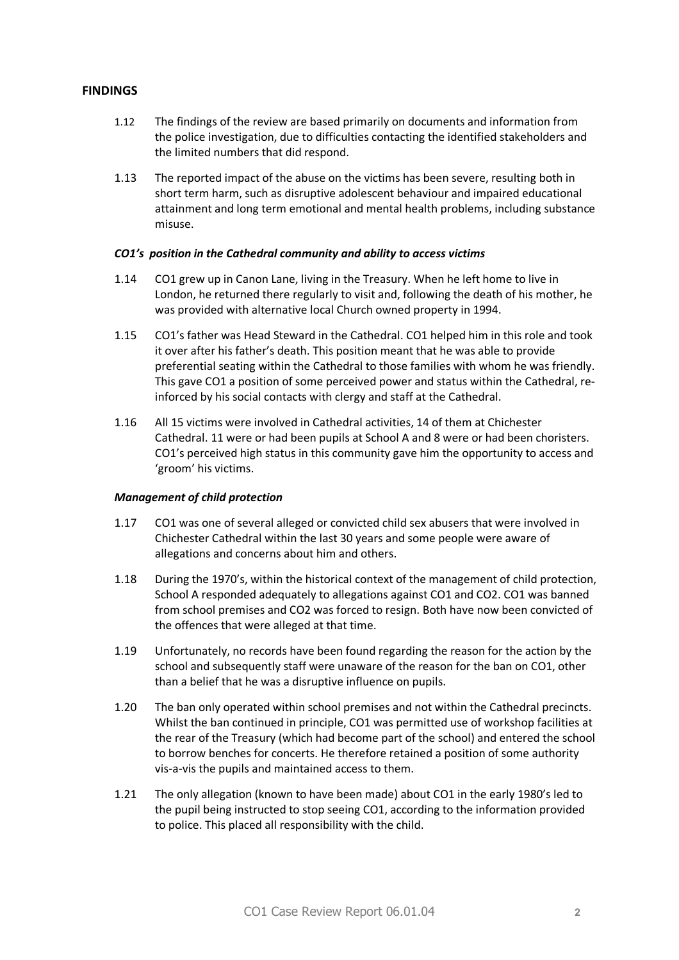#### **FINDINGS**

- 1.12 The findings of the review are based primarily on documents and information from the police investigation, due to difficulties contacting the identified stakeholders and the limited numbers that did respond.
- 1.13 The reported impact of the abuse on the victims has been severe, resulting both in short term harm, such as disruptive adolescent behaviour and impaired educational attainment and long term emotional and mental health problems, including substance misuse.

#### *CO1's position in the Cathedral community and ability to access victims*

- 1.14 CO1 grew up in Canon Lane, living in the Treasury. When he left home to live in London, he returned there regularly to visit and, following the death of his mother, he was provided with alternative local Church owned property in 1994.
- 1.15 CO1's father was Head Steward in the Cathedral. CO1 helped him in this role and took it over after his father's death. This position meant that he was able to provide preferential seating within the Cathedral to those families with whom he was friendly. This gave CO1 a position of some perceived power and status within the Cathedral, reinforced by his social contacts with clergy and staff at the Cathedral.
- 1.16 All 15 victims were involved in Cathedral activities, 14 of them at Chichester Cathedral. 11 were or had been pupils at School A and 8 were or had been choristers. CO1's perceived high status in this community gave him the opportunity to access and 'groom' his victims.

#### *Management of child protection*

- 1.17 CO1 was one of several alleged or convicted child sex abusers that were involved in Chichester Cathedral within the last 30 years and some people were aware of allegations and concerns about him and others.
- 1.18 During the 1970's, within the historical context of the management of child protection, School A responded adequately to allegations against CO1 and CO2. CO1 was banned from school premises and CO2 was forced to resign. Both have now been convicted of the offences that were alleged at that time.
- 1.19 Unfortunately, no records have been found regarding the reason for the action by the school and subsequently staff were unaware of the reason for the ban on CO1, other than a belief that he was a disruptive influence on pupils.
- 1.20 The ban only operated within school premises and not within the Cathedral precincts. Whilst the ban continued in principle, CO1 was permitted use of workshop facilities at the rear of the Treasury (which had become part of the school) and entered the school to borrow benches for concerts. He therefore retained a position of some authority vis-a-vis the pupils and maintained access to them.
- 1.21 The only allegation (known to have been made) about CO1 in the early 1980's led to the pupil being instructed to stop seeing CO1, according to the information provided to police. This placed all responsibility with the child.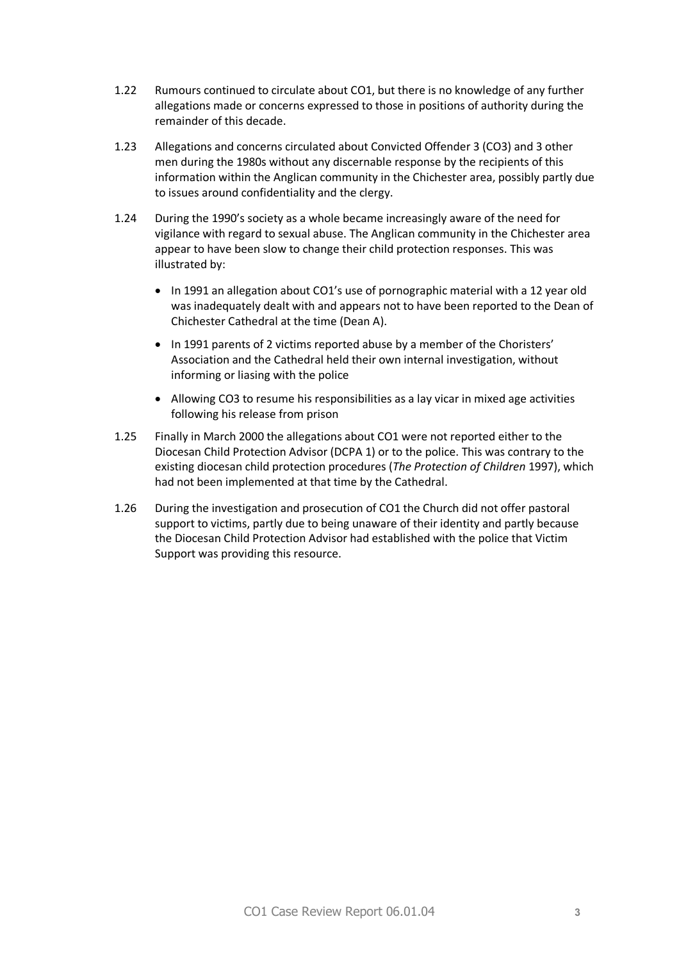- 1.22 Rumours continued to circulate about CO1, but there is no knowledge of any further allegations made or concerns expressed to those in positions of authority during the remainder of this decade.
- 1.23 Allegations and concerns circulated about Convicted Offender 3 (CO3) and 3 other men during the 1980s without any discernable response by the recipients of this information within the Anglican community in the Chichester area, possibly partly due to issues around confidentiality and the clergy.
- 1.24 During the 1990's society as a whole became increasingly aware of the need for vigilance with regard to sexual abuse. The Anglican community in the Chichester area appear to have been slow to change their child protection responses. This was illustrated by:
	- · In 1991 an allegation about CO1's use of pornographic material with a 12 year old was inadequately dealt with and appears not to have been reported to the Dean of Chichester Cathedral at the time (Dean A).
	- · In 1991 parents of 2 victims reported abuse by a member of the Choristers' Association and the Cathedral held their own internal investigation, without informing or liasing with the police
	- · Allowing CO3 to resume his responsibilities as a lay vicar in mixed age activities following his release from prison
- 1.25 Finally in March 2000 the allegations about CO1 were not reported either to the Diocesan Child Protection Advisor (DCPA 1) or to the police. This was contrary to the existing diocesan child protection procedures (*The Protection of Children* 1997), which had not been implemented at that time by the Cathedral.
- 1.26 During the investigation and prosecution of CO1 the Church did not offer pastoral support to victims, partly due to being unaware of their identity and partly because the Diocesan Child Protection Advisor had established with the police that Victim Support was providing this resource.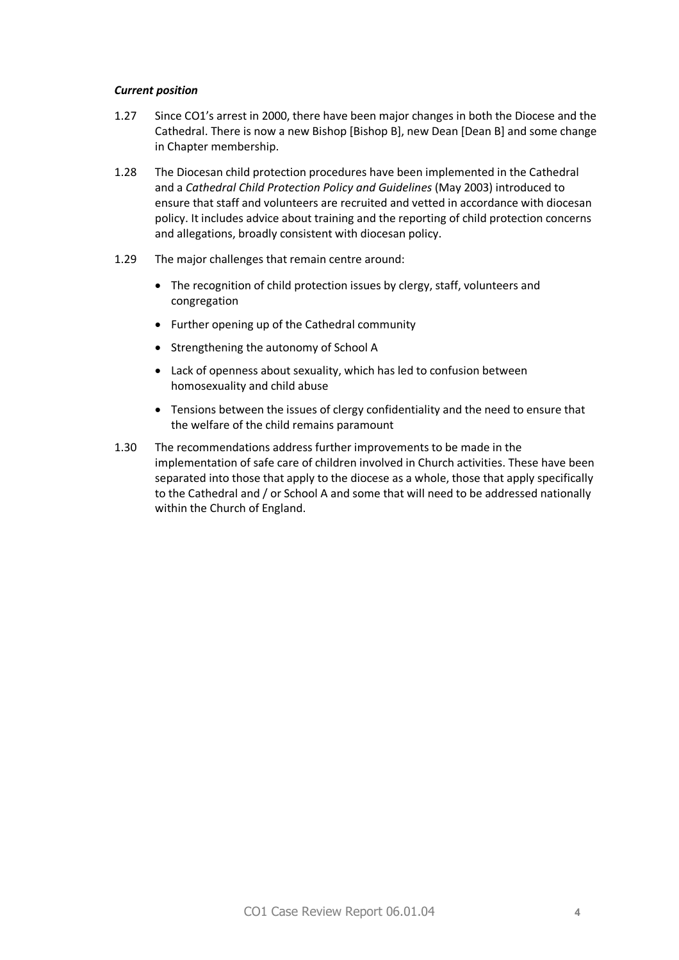#### *Current position*

- 1.27 Since CO1's arrest in 2000, there have been major changes in both the Diocese and the Cathedral. There is now a new Bishop [Bishop B], new Dean [Dean B] and some change in Chapter membership.
- 1.28 The Diocesan child protection procedures have been implemented in the Cathedral and a *Cathedral Child Protection Policy and Guidelines* (May 2003) introduced to ensure that staff and volunteers are recruited and vetted in accordance with diocesan policy. It includes advice about training and the reporting of child protection concerns and allegations, broadly consistent with diocesan policy.
- 1.29 The major challenges that remain centre around:
	- · The recognition of child protection issues by clergy, staff, volunteers and congregation
	- · Further opening up of the Cathedral community
	- · Strengthening the autonomy of School A
	- · Lack of openness about sexuality, which has led to confusion between homosexuality and child abuse
	- · Tensions between the issues of clergy confidentiality and the need to ensure that the welfare of the child remains paramount
- 1.30 The recommendations address further improvements to be made in the implementation of safe care of children involved in Church activities. These have been separated into those that apply to the diocese as a whole, those that apply specifically to the Cathedral and / or School A and some that will need to be addressed nationally within the Church of England.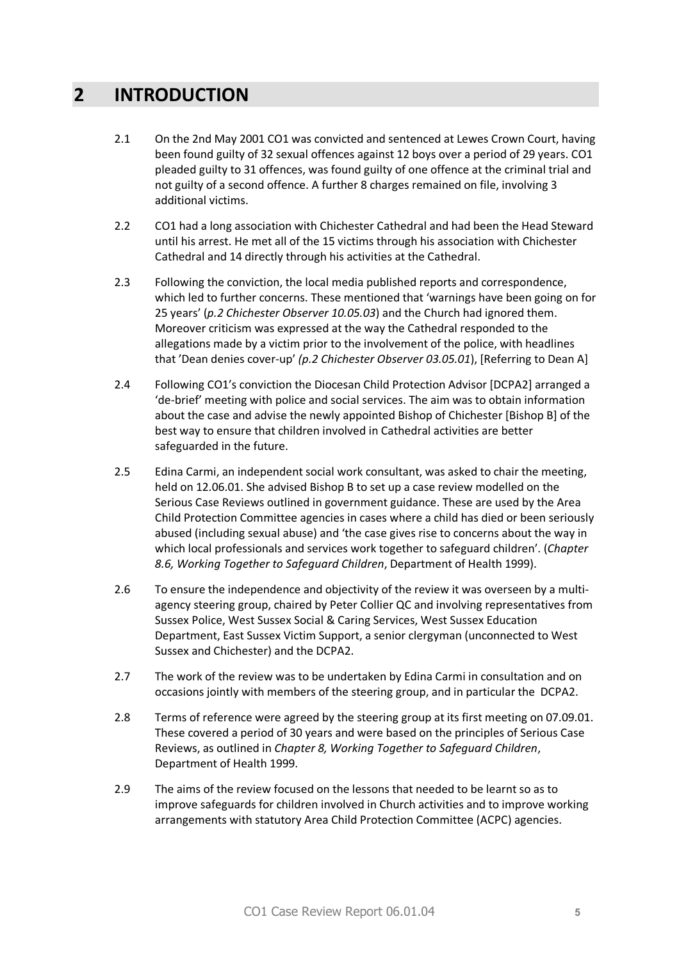# **2 INTRODUCTION**

- 2.1 On the 2nd May 2001 CO1 was convicted and sentenced at Lewes Crown Court, having been found guilty of 32 sexual offences against 12 boys over a period of 29 years. CO1 pleaded guilty to 31 offences, was found guilty of one offence at the criminal trial and not guilty of a second offence. A further 8 charges remained on file, involving 3 additional victims.
- 2.2 CO1 had a long association with Chichester Cathedral and had been the Head Steward until his arrest. He met all of the 15 victims through his association with Chichester Cathedral and 14 directly through his activities at the Cathedral.
- 2.3 Following the conviction, the local media published reports and correspondence, which led to further concerns. These mentioned that 'warnings have been going on for 25 years' (*p.2 Chichester Observer 10.05.03*) and the Church had ignored them. Moreover criticism was expressed at the way the Cathedral responded to the allegations made by a victim prior to the involvement of the police, with headlines that 'Dean denies cover-up' *(p.2 Chichester Observer 03.05.01*), [Referring to Dean A]
- 2.4 Following CO1's conviction the Diocesan Child Protection Advisor [DCPA2] arranged a 'de-brief' meeting with police and social services. The aim was to obtain information about the case and advise the newly appointed Bishop of Chichester [Bishop B] of the best way to ensure that children involved in Cathedral activities are better safeguarded in the future.
- 2.5 Edina Carmi, an independent social work consultant, was asked to chair the meeting, held on 12.06.01. She advised Bishop B to set up a case review modelled on the Serious Case Reviews outlined in government guidance. These are used by the Area Child Protection Committee agencies in cases where a child has died or been seriously abused (including sexual abuse) and 'the case gives rise to concerns about the way in which local professionals and services work together to safeguard children'. (*Chapter 8.6, Working Together to Safeguard Children*, Department of Health 1999).
- 2.6 To ensure the independence and objectivity of the review it was overseen by a multiagency steering group, chaired by Peter Collier QC and involving representatives from Sussex Police, West Sussex Social & Caring Services, West Sussex Education Department, East Sussex Victim Support, a senior clergyman (unconnected to West Sussex and Chichester) and the DCPA2.
- 2.7 The work of the review was to be undertaken by Edina Carmi in consultation and on occasions jointly with members of the steering group, and in particular the DCPA2.
- 2.8 Terms of reference were agreed by the steering group at its first meeting on 07.09.01. These covered a period of 30 years and were based on the principles of Serious Case Reviews, as outlined in *Chapter 8, Working Together to Safeguard Children*, Department of Health 1999.
- 2.9 The aims of the review focused on the lessons that needed to be learnt so as to improve safeguards for children involved in Church activities and to improve working arrangements with statutory Area Child Protection Committee (ACPC) agencies.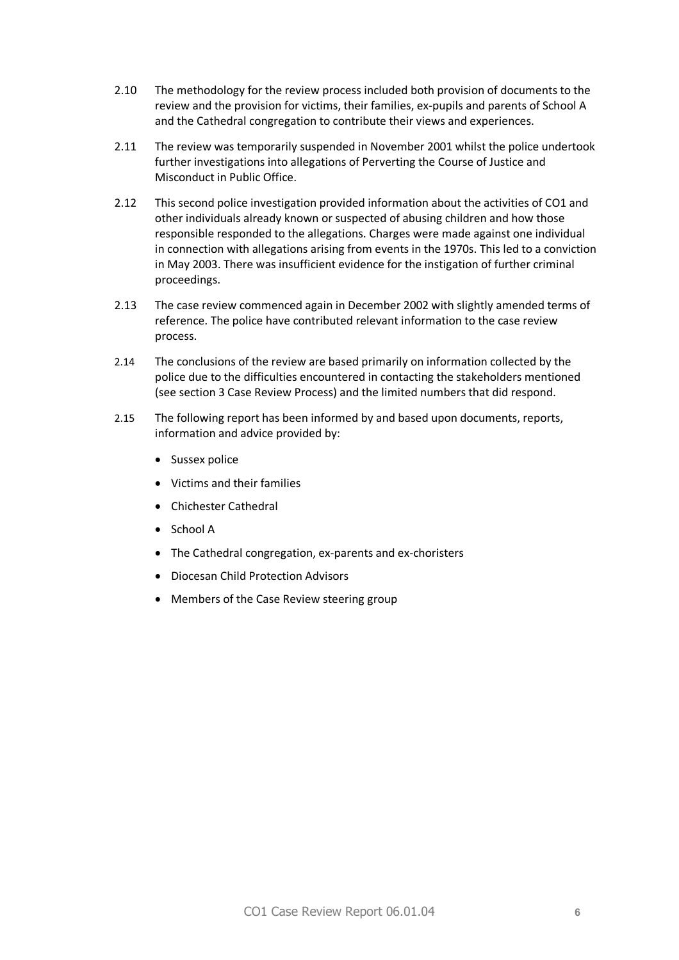- 2.10 The methodology for the review process included both provision of documents to the review and the provision for victims, their families, ex-pupils and parents of School A and the Cathedral congregation to contribute their views and experiences.
- 2.11 The review was temporarily suspended in November 2001 whilst the police undertook further investigations into allegations of Perverting the Course of Justice and Misconduct in Public Office.
- 2.12 This second police investigation provided information about the activities of CO1 and other individuals already known or suspected of abusing children and how those responsible responded to the allegations. Charges were made against one individual in connection with allegations arising from events in the 1970s. This led to a conviction in May 2003. There was insufficient evidence for the instigation of further criminal proceedings.
- 2.13 The case review commenced again in December 2002 with slightly amended terms of reference. The police have contributed relevant information to the case review process.
- 2.14 The conclusions of the review are based primarily on information collected by the police due to the difficulties encountered in contacting the stakeholders mentioned (see section 3 Case Review Process) and the limited numbers that did respond.
- 2.15 The following report has been informed by and based upon documents, reports, information and advice provided by:
	- · Sussex police
	- · Victims and their families
	- · Chichester Cathedral
	- · School A
	- · The Cathedral congregation, ex-parents and ex-choristers
	- · Diocesan Child Protection Advisors
	- · Members of the Case Review steering group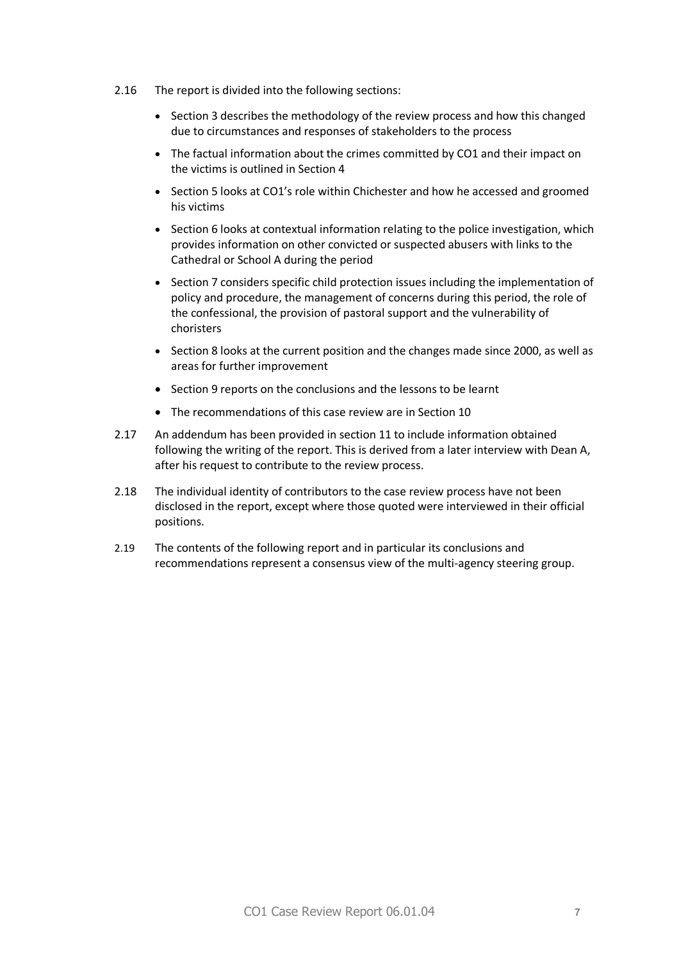- 2.16 The report is divided into the following sections:
	- · Section 3 describes the methodology of the review process and how this changed due to circumstances and responses of stakeholders to the process
	- · The factual information about the crimes committed by CO1 and their impact on the victims is outlined in Section 4
	- · Section 5 looks at CO1's role within Chichester and how he accessed and groomed his victims
	- · Section 6 looks at contextual information relating to the police investigation, which provides information on other convicted or suspected abusers with links to the Cathedral or School A during the period
	- · Section 7 considers specific child protection issues including the implementation of policy and procedure, the management of concerns during this period, the role of the confessional, the provision of pastoral support and the vulnerability of choristers
	- · Section 8 looks at the current position and the changes made since 2000, as well as areas for further improvement
	- · Section 9 reports on the conclusions and the lessons to be learnt
	- · The recommendations of this case review are in Section 10
- 2.17 An addendum has been provided in section 11 to include information obtained following the writing of the report. This is derived from a later interview with Dean A, after his request to contribute to the review process.
- 2.18 The individual identity of contributors to the case review process have not been disclosed in the report, except where those quoted were interviewed in their official positions.
- 2.19 The contents of the following report and in particular its conclusions and recommendations represent a consensus view of the multi-agency steering group.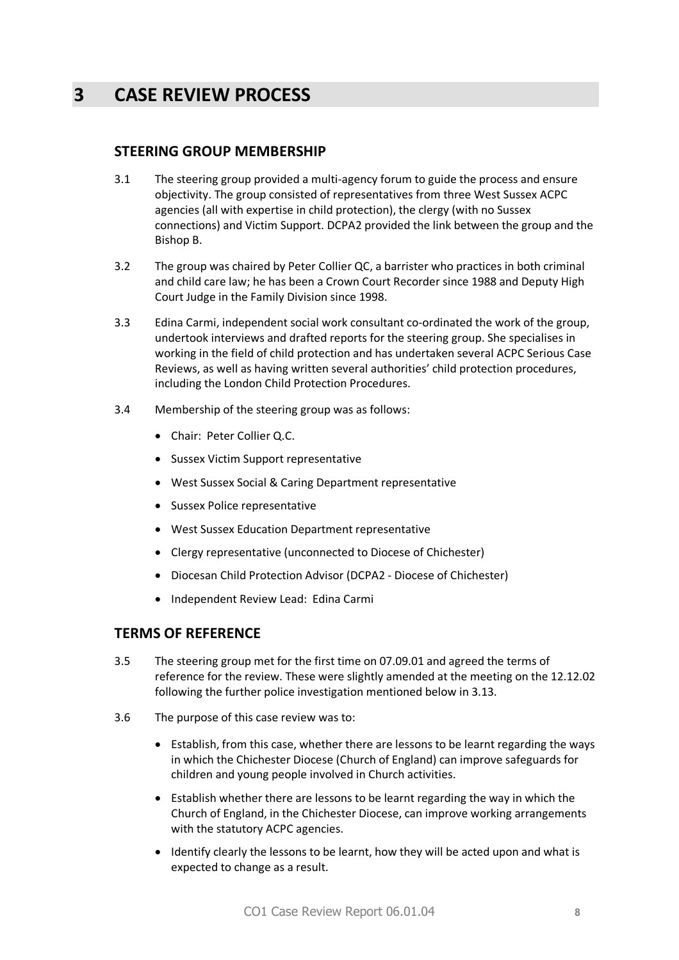# **3 CASE REVIEW PROCESS**

#### **STEERING GROUP MEMBERSHIP**

- 3.1 The steering group provided a multi-agency forum to guide the process and ensure objectivity. The group consisted of representatives from three West Sussex ACPC agencies (all with expertise in child protection), the clergy (with no Sussex connections) and Victim Support. DCPA2 provided the link between the group and the Bishop B.
- 3.2 The group was chaired by Peter Collier QC, a barrister who practices in both criminal and child care law; he has been a Crown Court Recorder since 1988 and Deputy High Court Judge in the Family Division since 1998.
- 3.3 Edina Carmi, independent social work consultant co-ordinated the work of the group, undertook interviews and drafted reports for the steering group. She specialises in working in the field of child protection and has undertaken several ACPC Serious Case Reviews, as well as having written several authorities' child protection procedures, including the London Child Protection Procedures.
- 3.4 Membership of the steering group was as follows:
	- · Chair: Peter Collier Q.C.
	- · Sussex Victim Support representative
	- · West Sussex Social & Caring Department representative
	- · Sussex Police representative
	- · West Sussex Education Department representative
	- · Clergy representative (unconnected to Diocese of Chichester)
	- · Diocesan Child Protection Advisor (DCPA2 Diocese of Chichester)
	- · Independent Review Lead: Edina Carmi

### **TERMS OF REFERENCE**

- 3.5 The steering group met for the first time on 07.09.01 and agreed the terms of reference for the review. These were slightly amended at the meeting on the 12.12.02 following the further police investigation mentioned below in 3.13.
- 3.6 The purpose of this case review was to:
	- · Establish, from this case, whether there are lessons to be learnt regarding the ways in which the Chichester Diocese (Church of England) can improve safeguards for children and young people involved in Church activities.
	- · Establish whether there are lessons to be learnt regarding the way in which the Church of England, in the Chichester Diocese, can improve working arrangements with the statutory ACPC agencies.
	- · Identify clearly the lessons to be learnt, how they will be acted upon and what is expected to change as a result.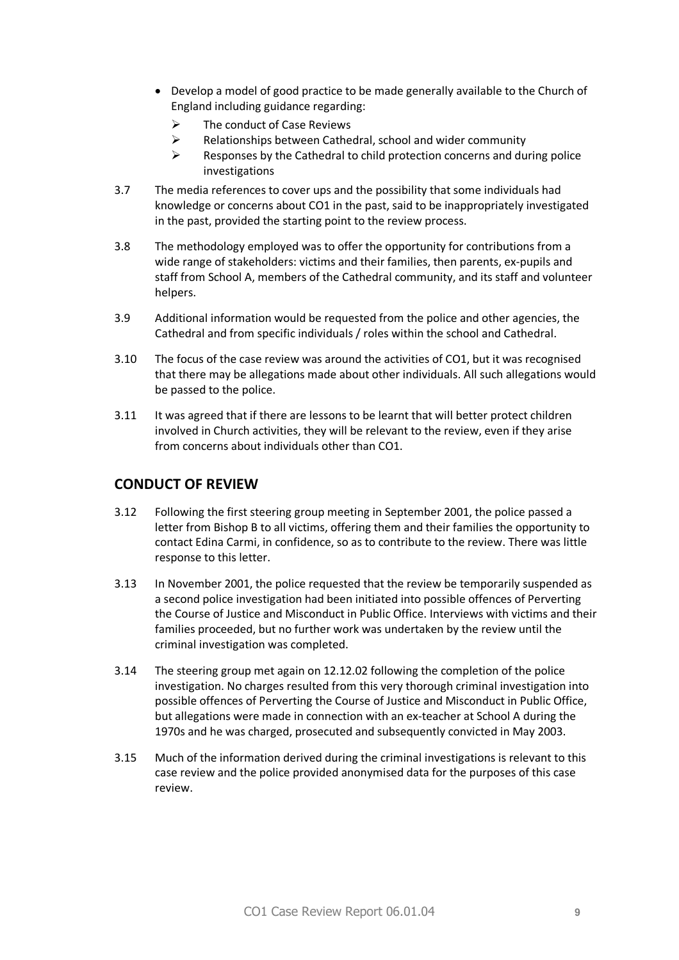- · Develop a model of good practice to be made generally available to the Church of England including guidance regarding:
	- $\triangleright$  The conduct of Case Reviews
	- $\triangleright$  Relationships between Cathedral, school and wider community
	- $\triangleright$  Responses by the Cathedral to child protection concerns and during police investigations
- 3.7 The media references to cover ups and the possibility that some individuals had knowledge or concerns about CO1 in the past, said to be inappropriately investigated in the past, provided the starting point to the review process.
- 3.8 The methodology employed was to offer the opportunity for contributions from a wide range of stakeholders: victims and their families, then parents, ex-pupils and staff from School A, members of the Cathedral community, and its staff and volunteer helpers.
- 3.9 Additional information would be requested from the police and other agencies, the Cathedral and from specific individuals / roles within the school and Cathedral.
- 3.10 The focus of the case review was around the activities of CO1, but it was recognised that there may be allegations made about other individuals. All such allegations would be passed to the police.
- 3.11 It was agreed that if there are lessons to be learnt that will better protect children involved in Church activities, they will be relevant to the review, even if they arise from concerns about individuals other than CO1.

### **CONDUCT OF REVIEW**

- 3.12 Following the first steering group meeting in September 2001, the police passed a letter from Bishop B to all victims, offering them and their families the opportunity to contact Edina Carmi, in confidence, so as to contribute to the review. There was little response to this letter.
- 3.13 In November 2001, the police requested that the review be temporarily suspended as a second police investigation had been initiated into possible offences of Perverting the Course of Justice and Misconduct in Public Office. Interviews with victims and their families proceeded, but no further work was undertaken by the review until the criminal investigation was completed.
- 3.14 The steering group met again on 12.12.02 following the completion of the police investigation. No charges resulted from this very thorough criminal investigation into possible offences of Perverting the Course of Justice and Misconduct in Public Office, but allegations were made in connection with an ex-teacher at School A during the 1970s and he was charged, prosecuted and subsequently convicted in May 2003.
- 3.15 Much of the information derived during the criminal investigations is relevant to this case review and the police provided anonymised data for the purposes of this case review.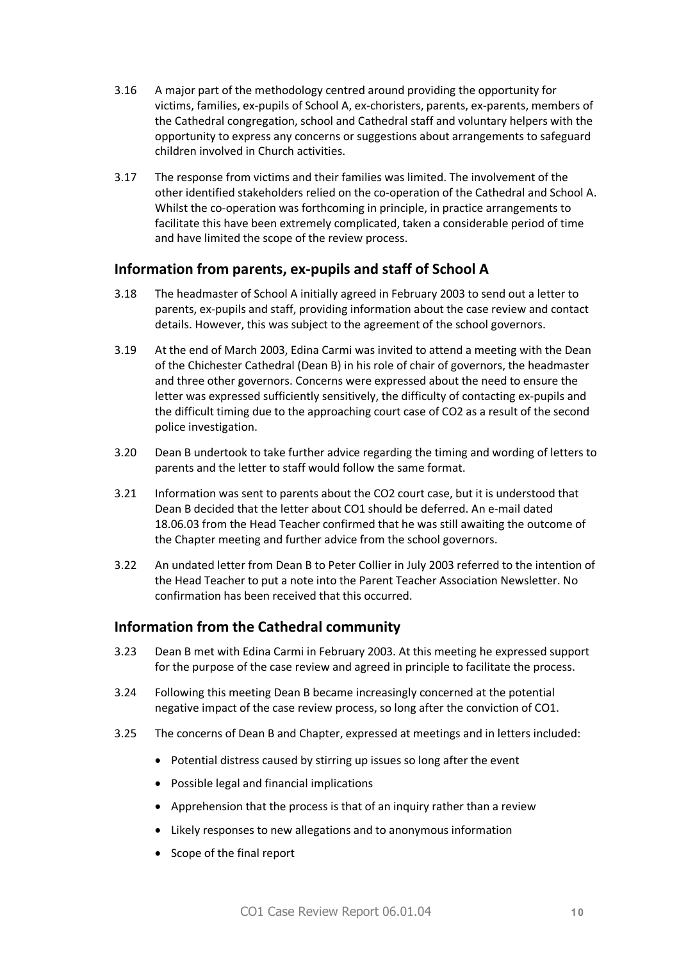- 3.16 A major part of the methodology centred around providing the opportunity for victims, families, ex-pupils of School A, ex-choristers, parents, ex-parents, members of the Cathedral congregation, school and Cathedral staff and voluntary helpers with the opportunity to express any concerns or suggestions about arrangements to safeguard children involved in Church activities.
- 3.17 The response from victims and their families was limited. The involvement of the other identified stakeholders relied on the co-operation of the Cathedral and School A. Whilst the co-operation was forthcoming in principle, in practice arrangements to facilitate this have been extremely complicated, taken a considerable period of time and have limited the scope of the review process.

# **Information from parents, ex-pupils and staff of School A**

- 3.18 The headmaster of School A initially agreed in February 2003 to send out a letter to parents, ex-pupils and staff, providing information about the case review and contact details. However, this was subject to the agreement of the school governors.
- 3.19 At the end of March 2003, Edina Carmi was invited to attend a meeting with the Dean of the Chichester Cathedral (Dean B) in his role of chair of governors, the headmaster and three other governors. Concerns were expressed about the need to ensure the letter was expressed sufficiently sensitively, the difficulty of contacting ex-pupils and the difficult timing due to the approaching court case of CO2 as a result of the second police investigation.
- 3.20 Dean B undertook to take further advice regarding the timing and wording of letters to parents and the letter to staff would follow the same format.
- 3.21 Information was sent to parents about the CO2 court case, but it is understood that Dean B decided that the letter about CO1 should be deferred. An e-mail dated 18.06.03 from the Head Teacher confirmed that he was still awaiting the outcome of the Chapter meeting and further advice from the school governors.
- 3.22 An undated letter from Dean B to Peter Collier in July 2003 referred to the intention of the Head Teacher to put a note into the Parent Teacher Association Newsletter. No confirmation has been received that this occurred.

# **Information from the Cathedral community**

- 3.23 Dean B met with Edina Carmi in February 2003. At this meeting he expressed support for the purpose of the case review and agreed in principle to facilitate the process.
- 3.24 Following this meeting Dean B became increasingly concerned at the potential negative impact of the case review process, so long after the conviction of CO1.
- 3.25 The concerns of Dean B and Chapter, expressed at meetings and in letters included:
	- Potential distress caused by stirring up issues so long after the event
	- · Possible legal and financial implications
	- · Apprehension that the process is that of an inquiry rather than a review
	- · Likely responses to new allegations and to anonymous information
	- · Scope of the final report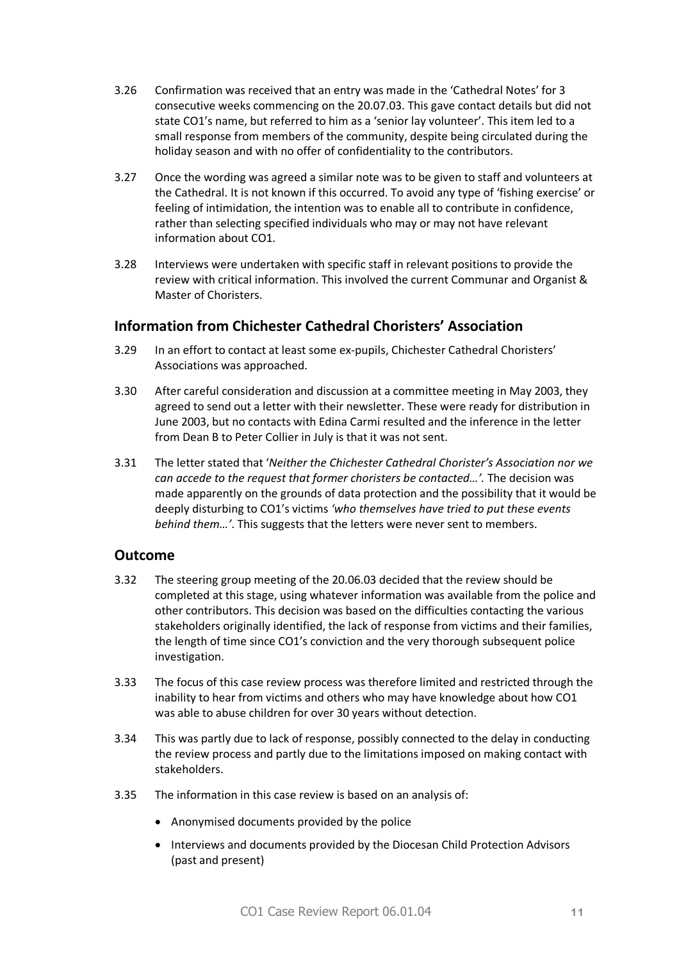- 3.26 Confirmation was received that an entry was made in the 'Cathedral Notes' for 3 consecutive weeks commencing on the 20.07.03. This gave contact details but did not state CO1's name, but referred to him as a 'senior lay volunteer'. This item led to a small response from members of the community, despite being circulated during the holiday season and with no offer of confidentiality to the contributors.
- 3.27 Once the wording was agreed a similar note was to be given to staff and volunteers at the Cathedral. It is not known if this occurred. To avoid any type of 'fishing exercise' or feeling of intimidation, the intention was to enable all to contribute in confidence, rather than selecting specified individuals who may or may not have relevant information about CO1.
- 3.28 Interviews were undertaken with specific staff in relevant positions to provide the review with critical information. This involved the current Communar and Organist & Master of Choristers.

# **Information from Chichester Cathedral Choristers' Association**

- 3.29 In an effort to contact at least some ex-pupils, Chichester Cathedral Choristers' Associations was approached.
- 3.30 After careful consideration and discussion at a committee meeting in May 2003, they agreed to send out a letter with their newsletter. These were ready for distribution in June 2003, but no contacts with Edina Carmi resulted and the inference in the letter from Dean B to Peter Collier in July is that it was not sent.
- 3.31 The letter stated that '*Neither the Chichester Cathedral Chorister's Association nor we can accede to the request that former choristers be contacted…'.* The decision was made apparently on the grounds of data protection and the possibility that it would be deeply disturbing to CO1's victims *'who themselves have tried to put these events behind them…'*. This suggests that the letters were never sent to members.

### **Outcome**

- 3.32 The steering group meeting of the 20.06.03 decided that the review should be completed at this stage, using whatever information was available from the police and other contributors. This decision was based on the difficulties contacting the various stakeholders originally identified, the lack of response from victims and their families, the length of time since CO1's conviction and the very thorough subsequent police investigation.
- 3.33 The focus of this case review process was therefore limited and restricted through the inability to hear from victims and others who may have knowledge about how CO1 was able to abuse children for over 30 years without detection.
- 3.34 This was partly due to lack of response, possibly connected to the delay in conducting the review process and partly due to the limitations imposed on making contact with stakeholders.
- 3.35 The information in this case review is based on an analysis of:
	- · Anonymised documents provided by the police
	- · Interviews and documents provided by the Diocesan Child Protection Advisors (past and present)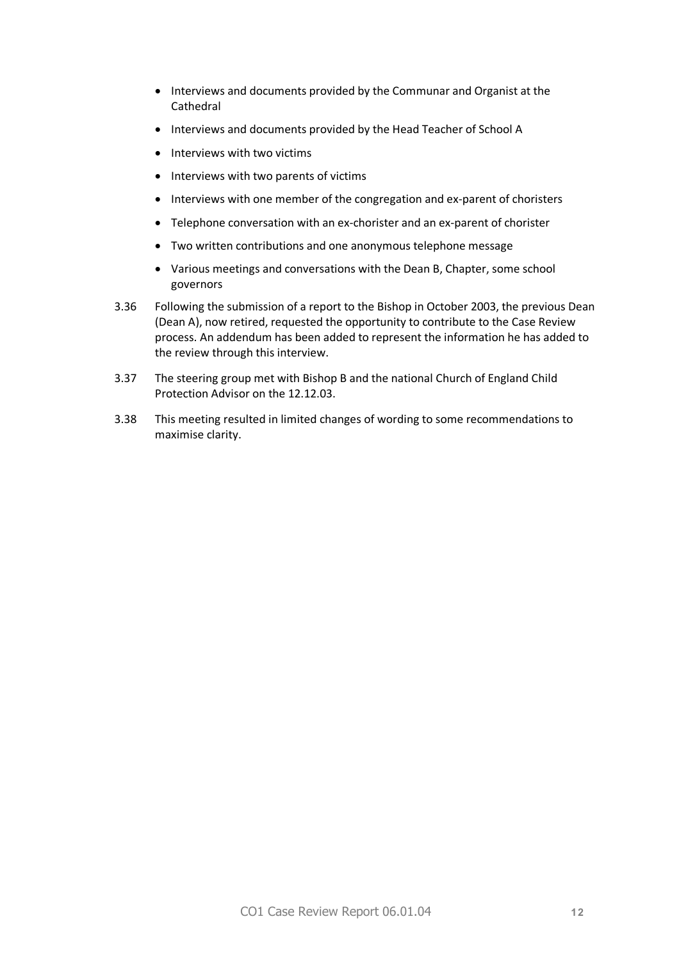- · Interviews and documents provided by the Communar and Organist at the Cathedral
- · Interviews and documents provided by the Head Teacher of School A
- · Interviews with two victims
- · Interviews with two parents of victims
- · Interviews with one member of the congregation and ex-parent of choristers
- · Telephone conversation with an ex-chorister and an ex-parent of chorister
- · Two written contributions and one anonymous telephone message
- · Various meetings and conversations with the Dean B, Chapter, some school governors
- 3.36 Following the submission of a report to the Bishop in October 2003, the previous Dean (Dean A), now retired, requested the opportunity to contribute to the Case Review process. An addendum has been added to represent the information he has added to the review through this interview.
- 3.37 The steering group met with Bishop B and the national Church of England Child Protection Advisor on the 12.12.03.
- 3.38 This meeting resulted in limited changes of wording to some recommendations to maximise clarity.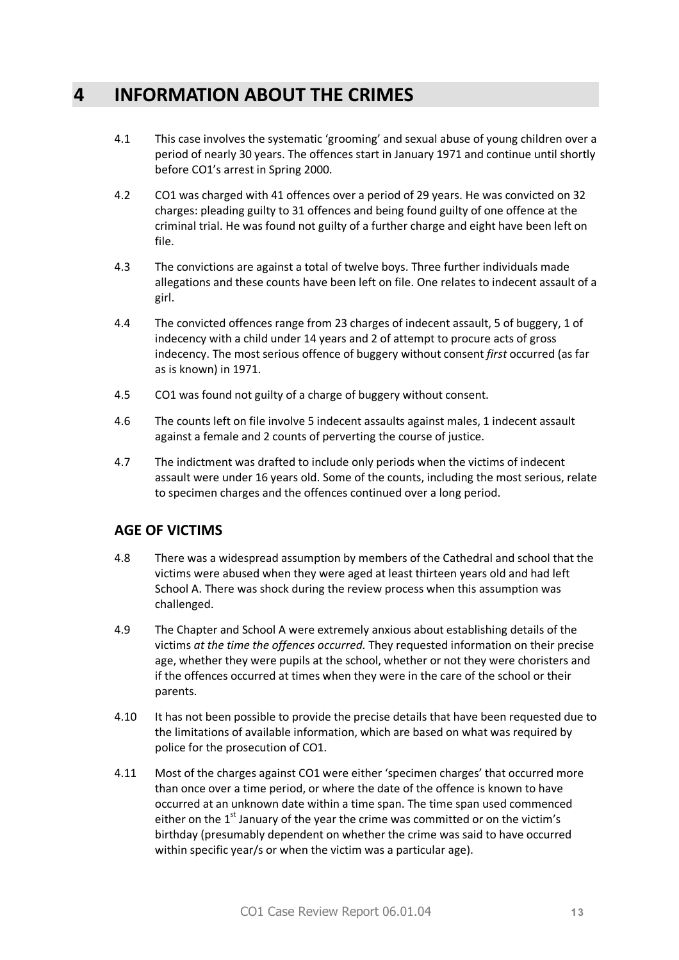# **4 INFORMATION ABOUT THE CRIMES**

- 4.1 This case involves the systematic 'grooming' and sexual abuse of young children over a period of nearly 30 years. The offences start in January 1971 and continue until shortly before CO1's arrest in Spring 2000.
- 4.2 CO1 was charged with 41 offences over a period of 29 years. He was convicted on 32 charges: pleading guilty to 31 offences and being found guilty of one offence at the criminal trial. He was found not guilty of a further charge and eight have been left on file.
- 4.3 The convictions are against a total of twelve boys. Three further individuals made allegations and these counts have been left on file. One relates to indecent assault of a girl.
- 4.4 The convicted offences range from 23 charges of indecent assault, 5 of buggery, 1 of indecency with a child under 14 years and 2 of attempt to procure acts of gross indecency. The most serious offence of buggery without consent *first* occurred (as far as is known) in 1971.
- 4.5 CO1 was found not guilty of a charge of buggery without consent.
- 4.6 The counts left on file involve 5 indecent assaults against males, 1 indecent assault against a female and 2 counts of perverting the course of justice.
- 4.7 The indictment was drafted to include only periods when the victims of indecent assault were under 16 years old. Some of the counts, including the most serious, relate to specimen charges and the offences continued over a long period.

# **AGE OF VICTIMS**

- 4.8 There was a widespread assumption by members of the Cathedral and school that the victims were abused when they were aged at least thirteen years old and had left School A. There was shock during the review process when this assumption was challenged.
- 4.9 The Chapter and School A were extremely anxious about establishing details of the victims *at the time the offences occurred.* They requested information on their precise age, whether they were pupils at the school, whether or not they were choristers and if the offences occurred at times when they were in the care of the school or their parents.
- 4.10 It has not been possible to provide the precise details that have been requested due to the limitations of available information, which are based on what was required by police for the prosecution of CO1.
- 4.11 Most of the charges against CO1 were either 'specimen charges' that occurred more than once over a time period, or where the date of the offence is known to have occurred at an unknown date within a time span. The time span used commenced either on the  $1<sup>st</sup>$  January of the year the crime was committed or on the victim's birthday (presumably dependent on whether the crime was said to have occurred within specific year/s or when the victim was a particular age).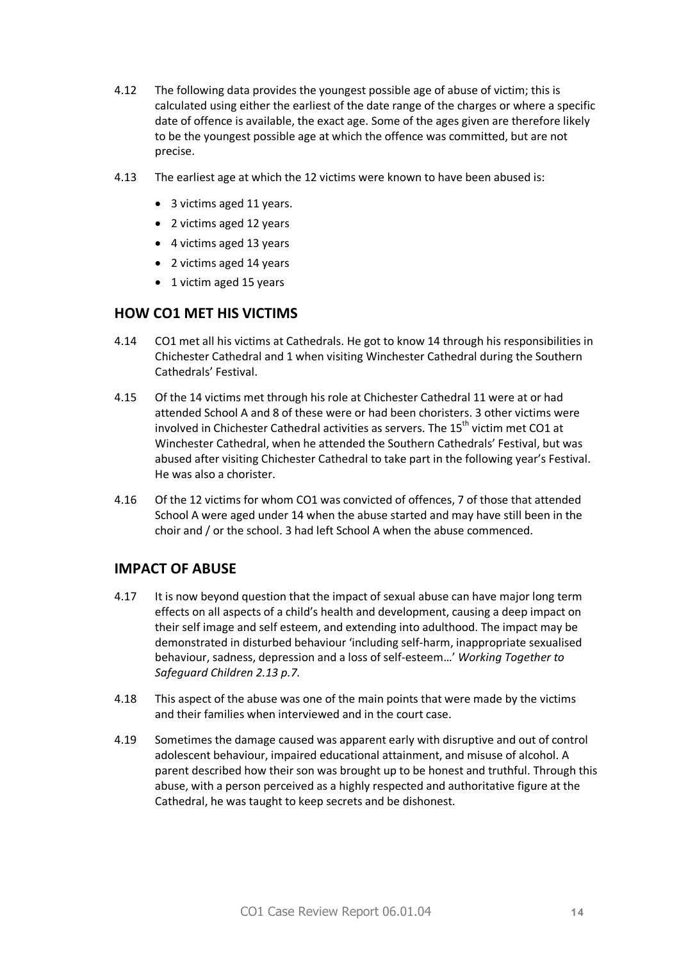- 4.12 The following data provides the youngest possible age of abuse of victim; this is calculated using either the earliest of the date range of the charges or where a specific date of offence is available, the exact age. Some of the ages given are therefore likely to be the youngest possible age at which the offence was committed, but are not precise.
- 4.13 The earliest age at which the 12 victims were known to have been abused is:
	- · 3 victims aged 11 years.
	- · 2 victims aged 12 years
	- · 4 victims aged 13 years
	- · 2 victims aged 14 years
	- 1 victim aged 15 years

# **HOW CO1 MET HIS VICTIMS**

- 4.14 CO1 met all his victims at Cathedrals. He got to know 14 through his responsibilities in Chichester Cathedral and 1 when visiting Winchester Cathedral during the Southern Cathedrals' Festival.
- 4.15 Of the 14 victims met through his role at Chichester Cathedral 11 were at or had attended School A and 8 of these were or had been choristers. 3 other victims were involved in Chichester Cathedral activities as servers. The  $15^{\text{th}}$  victim met CO1 at Winchester Cathedral, when he attended the Southern Cathedrals' Festival, but was abused after visiting Chichester Cathedral to take part in the following year's Festival. He was also a chorister.
- 4.16 Of the 12 victims for whom CO1 was convicted of offences, 7 of those that attended School A were aged under 14 when the abuse started and may have still been in the choir and / or the school. 3 had left School A when the abuse commenced.

### **IMPACT OF ABUSE**

- 4.17 It is now beyond question that the impact of sexual abuse can have major long term effects on all aspects of a child's health and development, causing a deep impact on their self image and self esteem, and extending into adulthood. The impact may be demonstrated in disturbed behaviour 'including self-harm, inappropriate sexualised behaviour, sadness, depression and a loss of self-esteem…' *Working Together to Safeguard Children 2.13 p.7.*
- 4.18 This aspect of the abuse was one of the main points that were made by the victims and their families when interviewed and in the court case.
- 4.19 Sometimes the damage caused was apparent early with disruptive and out of control adolescent behaviour, impaired educational attainment, and misuse of alcohol. A parent described how their son was brought up to be honest and truthful. Through this abuse, with a person perceived as a highly respected and authoritative figure at the Cathedral, he was taught to keep secrets and be dishonest.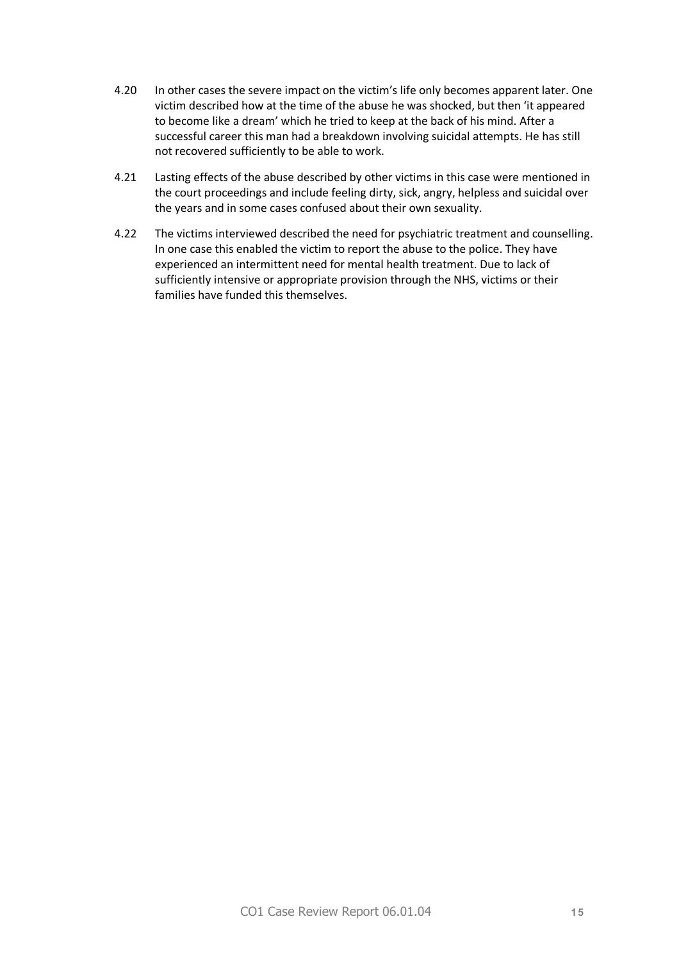- 4.20 In other cases the severe impact on the victim's life only becomes apparent later. One victim described how at the time of the abuse he was shocked, but then 'it appeared to become like a dream' which he tried to keep at the back of his mind. After a successful career this man had a breakdown involving suicidal attempts. He has still not recovered sufficiently to be able to work.
- 4.21 Lasting effects of the abuse described by other victims in this case were mentioned in the court proceedings and include feeling dirty, sick, angry, helpless and suicidal over the years and in some cases confused about their own sexuality.
- 4.22 The victims interviewed described the need for psychiatric treatment and counselling. In one case this enabled the victim to report the abuse to the police. They have experienced an intermittent need for mental health treatment. Due to lack of sufficiently intensive or appropriate provision through the NHS, victims or their families have funded this themselves.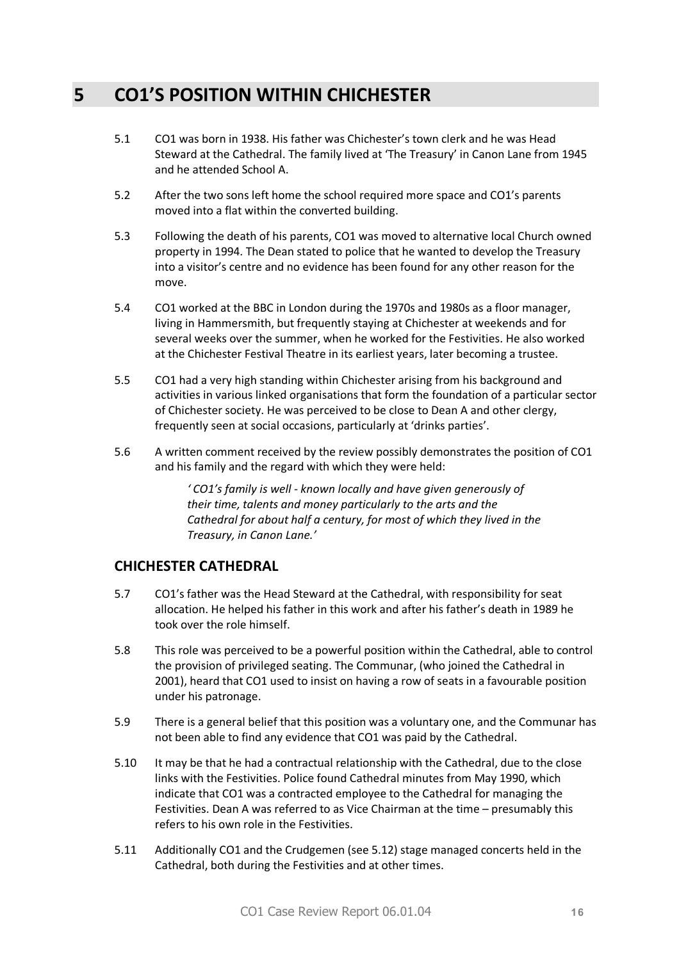# **5 CO1'S POSITION WITHIN CHICHESTER**

- 5.1 CO1 was born in 1938. His father was Chichester's town clerk and he was Head Steward at the Cathedral. The family lived at 'The Treasury' in Canon Lane from 1945 and he attended School A.
- 5.2 After the two sons left home the school required more space and CO1's parents moved into a flat within the converted building.
- 5.3 Following the death of his parents, CO1 was moved to alternative local Church owned property in 1994. The Dean stated to police that he wanted to develop the Treasury into a visitor's centre and no evidence has been found for any other reason for the move.
- 5.4 CO1 worked at the BBC in London during the 1970s and 1980s as a floor manager, living in Hammersmith, but frequently staying at Chichester at weekends and for several weeks over the summer, when he worked for the Festivities. He also worked at the Chichester Festival Theatre in its earliest years, later becoming a trustee.
- 5.5 CO1 had a very high standing within Chichester arising from his background and activities in various linked organisations that form the foundation of a particular sector of Chichester society. He was perceived to be close to Dean A and other clergy, frequently seen at social occasions, particularly at 'drinks parties'.
- 5.6 A written comment received by the review possibly demonstrates the position of CO1 and his family and the regard with which they were held:

*' CO1's family is well - known locally and have given generously of their time, talents and money particularly to the arts and the Cathedral for about half a century, for most of which they lived in the Treasury, in Canon Lane.'* 

# **CHICHESTER CATHEDRAL**

- 5.7 CO1's father was the Head Steward at the Cathedral, with responsibility for seat allocation. He helped his father in this work and after his father's death in 1989 he took over the role himself.
- 5.8 This role was perceived to be a powerful position within the Cathedral, able to control the provision of privileged seating. The Communar, (who joined the Cathedral in 2001), heard that CO1 used to insist on having a row of seats in a favourable position under his patronage.
- 5.9 There is a general belief that this position was a voluntary one, and the Communar has not been able to find any evidence that CO1 was paid by the Cathedral.
- 5.10 It may be that he had a contractual relationship with the Cathedral, due to the close links with the Festivities. Police found Cathedral minutes from May 1990, which indicate that CO1 was a contracted employee to the Cathedral for managing the Festivities. Dean A was referred to as Vice Chairman at the time – presumably this refers to his own role in the Festivities.
- 5.11 Additionally CO1 and the Crudgemen (see 5.12) stage managed concerts held in the Cathedral, both during the Festivities and at other times.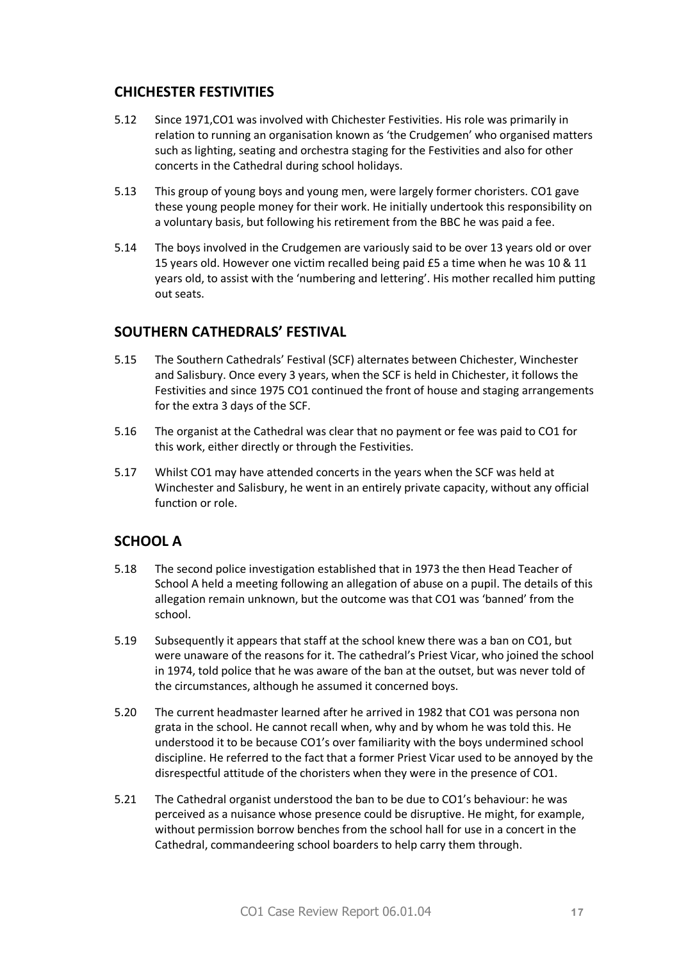# **CHICHESTER FESTIVITIES**

- 5.12 Since 1971,CO1 was involved with Chichester Festivities. His role was primarily in relation to running an organisation known as 'the Crudgemen' who organised matters such as lighting, seating and orchestra staging for the Festivities and also for other concerts in the Cathedral during school holidays.
- 5.13 This group of young boys and young men, were largely former choristers. CO1 gave these young people money for their work. He initially undertook this responsibility on a voluntary basis, but following his retirement from the BBC he was paid a fee.
- 5.14 The boys involved in the Crudgemen are variously said to be over 13 years old or over 15 years old. However one victim recalled being paid £5 a time when he was 10 & 11 years old, to assist with the 'numbering and lettering'. His mother recalled him putting out seats.

### **SOUTHERN CATHEDRALS' FESTIVAL**

- 5.15 The Southern Cathedrals' Festival (SCF) alternates between Chichester, Winchester and Salisbury. Once every 3 years, when the SCF is held in Chichester, it follows the Festivities and since 1975 CO1 continued the front of house and staging arrangements for the extra 3 days of the SCF.
- 5.16 The organist at the Cathedral was clear that no payment or fee was paid to CO1 for this work, either directly or through the Festivities.
- 5.17 Whilst CO1 may have attended concerts in the years when the SCF was held at Winchester and Salisbury, he went in an entirely private capacity, without any official function or role.

#### **SCHOOL A**

- 5.18 The second police investigation established that in 1973 the then Head Teacher of School A held a meeting following an allegation of abuse on a pupil. The details of this allegation remain unknown, but the outcome was that CO1 was 'banned' from the school.
- 5.19 Subsequently it appears that staff at the school knew there was a ban on CO1, but were unaware of the reasons for it. The cathedral's Priest Vicar, who joined the school in 1974, told police that he was aware of the ban at the outset, but was never told of the circumstances, although he assumed it concerned boys.
- 5.20 The current headmaster learned after he arrived in 1982 that CO1 was persona non grata in the school. He cannot recall when, why and by whom he was told this. He understood it to be because CO1's over familiarity with the boys undermined school discipline. He referred to the fact that a former Priest Vicar used to be annoyed by the disrespectful attitude of the choristers when they were in the presence of CO1.
- 5.21 The Cathedral organist understood the ban to be due to CO1's behaviour: he was perceived as a nuisance whose presence could be disruptive. He might, for example, without permission borrow benches from the school hall for use in a concert in the Cathedral, commandeering school boarders to help carry them through.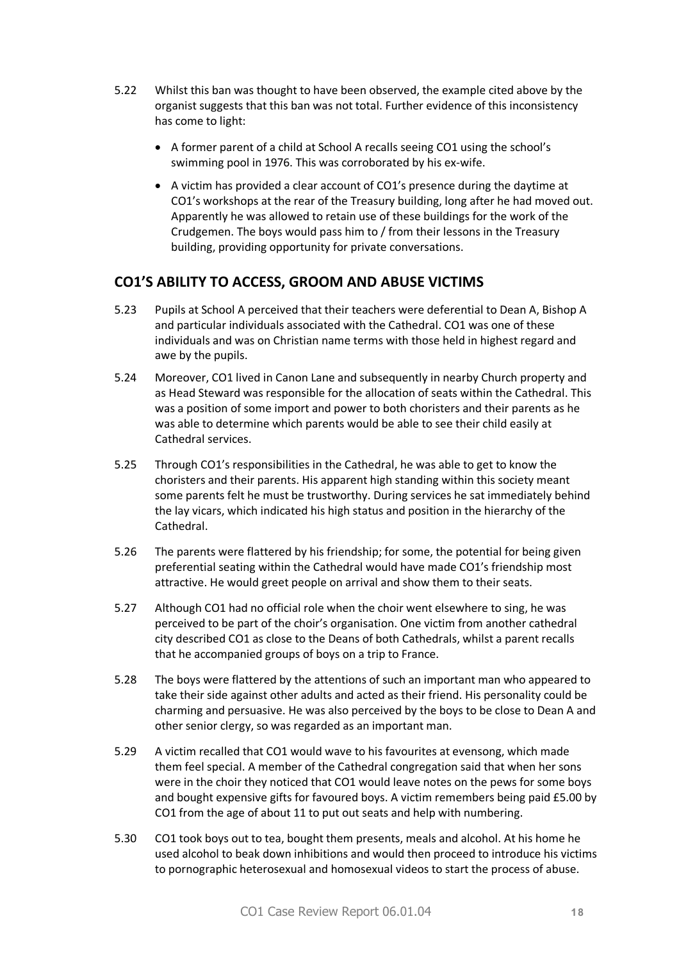- 5.22 Whilst this ban was thought to have been observed, the example cited above by the organist suggests that this ban was not total. Further evidence of this inconsistency has come to light:
	- · A former parent of a child at School A recalls seeing CO1 using the school's swimming pool in 1976. This was corroborated by his ex-wife.
	- · A victim has provided a clear account of CO1's presence during the daytime at CO1's workshops at the rear of the Treasury building, long after he had moved out. Apparently he was allowed to retain use of these buildings for the work of the Crudgemen. The boys would pass him to / from their lessons in the Treasury building, providing opportunity for private conversations.

# **CO1'S ABILITY TO ACCESS, GROOM AND ABUSE VICTIMS**

- 5.23 Pupils at School A perceived that their teachers were deferential to Dean A, Bishop A and particular individuals associated with the Cathedral. CO1 was one of these individuals and was on Christian name terms with those held in highest regard and awe by the pupils.
- 5.24 Moreover, CO1 lived in Canon Lane and subsequently in nearby Church property and as Head Steward was responsible for the allocation of seats within the Cathedral. This was a position of some import and power to both choristers and their parents as he was able to determine which parents would be able to see their child easily at Cathedral services.
- 5.25 Through CO1's responsibilities in the Cathedral, he was able to get to know the choristers and their parents. His apparent high standing within this society meant some parents felt he must be trustworthy. During services he sat immediately behind the lay vicars, which indicated his high status and position in the hierarchy of the Cathedral.
- 5.26 The parents were flattered by his friendship; for some, the potential for being given preferential seating within the Cathedral would have made CO1's friendship most attractive. He would greet people on arrival and show them to their seats.
- 5.27 Although CO1 had no official role when the choir went elsewhere to sing, he was perceived to be part of the choir's organisation. One victim from another cathedral city described CO1 as close to the Deans of both Cathedrals, whilst a parent recalls that he accompanied groups of boys on a trip to France.
- 5.28 The boys were flattered by the attentions of such an important man who appeared to take their side against other adults and acted as their friend. His personality could be charming and persuasive. He was also perceived by the boys to be close to Dean A and other senior clergy, so was regarded as an important man.
- 5.29 A victim recalled that CO1 would wave to his favourites at evensong, which made them feel special. A member of the Cathedral congregation said that when her sons were in the choir they noticed that CO1 would leave notes on the pews for some boys and bought expensive gifts for favoured boys. A victim remembers being paid £5.00 by CO1 from the age of about 11 to put out seats and help with numbering.
- 5.30 CO1 took boys out to tea, bought them presents, meals and alcohol. At his home he used alcohol to beak down inhibitions and would then proceed to introduce his victims to pornographic heterosexual and homosexual videos to start the process of abuse.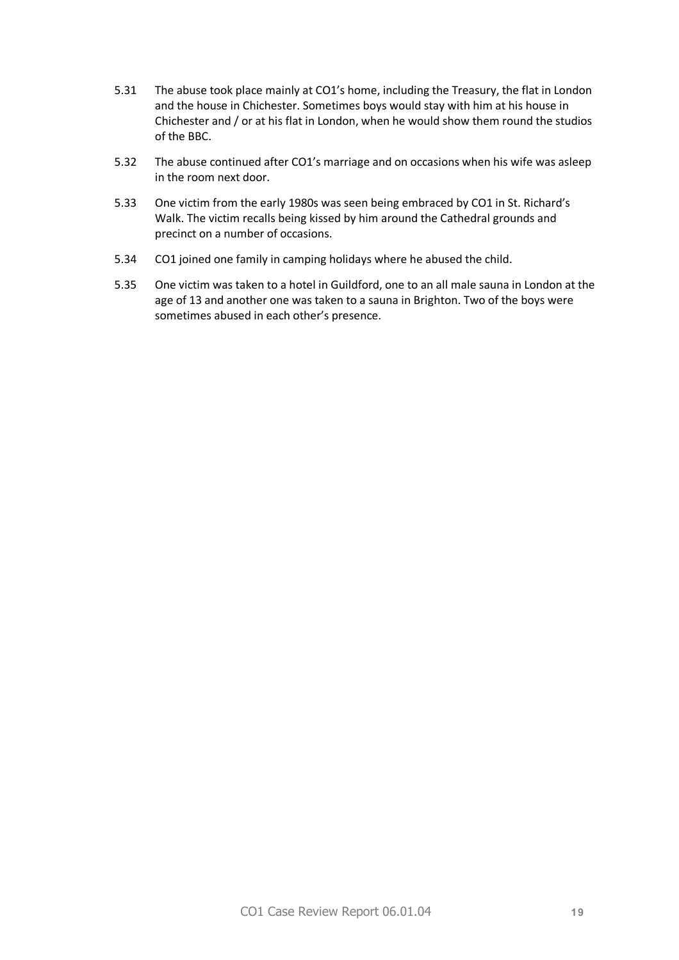- 5.31 The abuse took place mainly at CO1's home, including the Treasury, the flat in London and the house in Chichester. Sometimes boys would stay with him at his house in Chichester and / or at his flat in London, when he would show them round the studios of the BBC.
- 5.32 The abuse continued after CO1's marriage and on occasions when his wife was asleep in the room next door.
- 5.33 One victim from the early 1980s was seen being embraced by CO1 in St. Richard's Walk. The victim recalls being kissed by him around the Cathedral grounds and precinct on a number of occasions.
- 5.34 CO1 joined one family in camping holidays where he abused the child.
- 5.35 One victim was taken to a hotel in Guildford, one to an all male sauna in London at the age of 13 and another one was taken to a sauna in Brighton. Two of the boys were sometimes abused in each other's presence.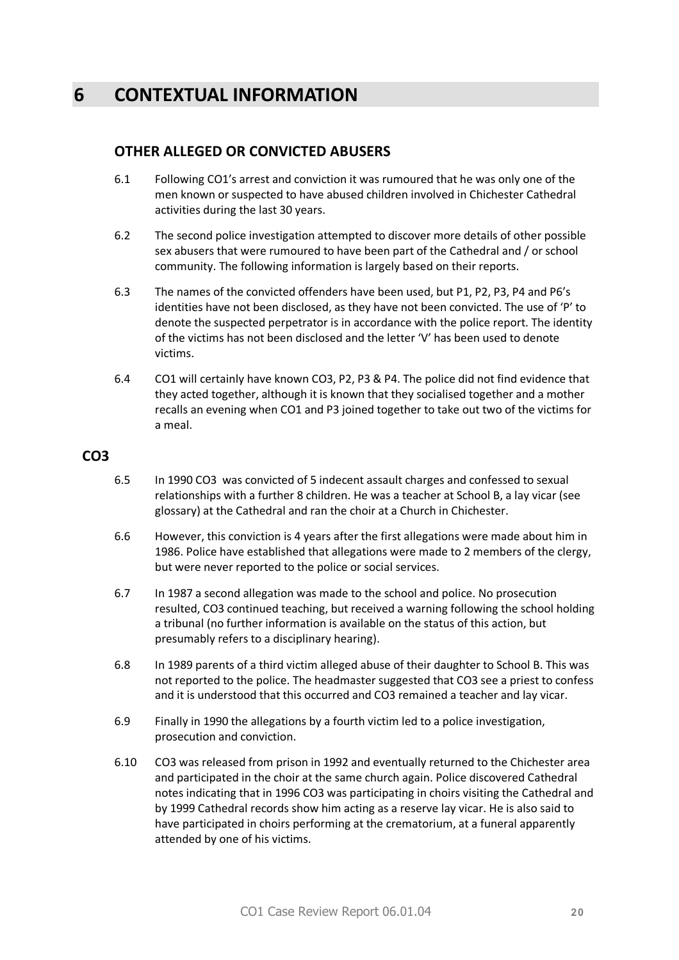# **6 CONTEXTUAL INFORMATION**

# **OTHER ALLEGED OR CONVICTED ABUSERS**

- 6.1 Following CO1's arrest and conviction it was rumoured that he was only one of the men known or suspected to have abused children involved in Chichester Cathedral activities during the last 30 years.
- 6.2 The second police investigation attempted to discover more details of other possible sex abusers that were rumoured to have been part of the Cathedral and / or school community. The following information is largely based on their reports.
- 6.3 The names of the convicted offenders have been used, but P1, P2, P3, P4 and P6's identities have not been disclosed, as they have not been convicted. The use of 'P' to denote the suspected perpetrator is in accordance with the police report. The identity of the victims has not been disclosed and the letter 'V' has been used to denote victims.
- 6.4 CO1 will certainly have known CO3, P2, P3 & P4. The police did not find evidence that they acted together, although it is known that they socialised together and a mother recalls an evening when CO1 and P3 joined together to take out two of the victims for a meal.

### **CO3**

- 6.5 In 1990 CO3 was convicted of 5 indecent assault charges and confessed to sexual relationships with a further 8 children. He was a teacher at School B, a lay vicar (see glossary) at the Cathedral and ran the choir at a Church in Chichester.
- 6.6 However, this conviction is 4 years after the first allegations were made about him in 1986. Police have established that allegations were made to 2 members of the clergy, but were never reported to the police or social services.
- 6.7 In 1987 a second allegation was made to the school and police. No prosecution resulted, CO3 continued teaching, but received a warning following the school holding a tribunal (no further information is available on the status of this action, but presumably refers to a disciplinary hearing).
- 6.8 In 1989 parents of a third victim alleged abuse of their daughter to School B. This was not reported to the police. The headmaster suggested that CO3 see a priest to confess and it is understood that this occurred and CO3 remained a teacher and lay vicar.
- 6.9 Finally in 1990 the allegations by a fourth victim led to a police investigation, prosecution and conviction.
- 6.10 CO3 was released from prison in 1992 and eventually returned to the Chichester area and participated in the choir at the same church again. Police discovered Cathedral notes indicating that in 1996 CO3 was participating in choirs visiting the Cathedral and by 1999 Cathedral records show him acting as a reserve lay vicar. He is also said to have participated in choirs performing at the crematorium, at a funeral apparently attended by one of his victims.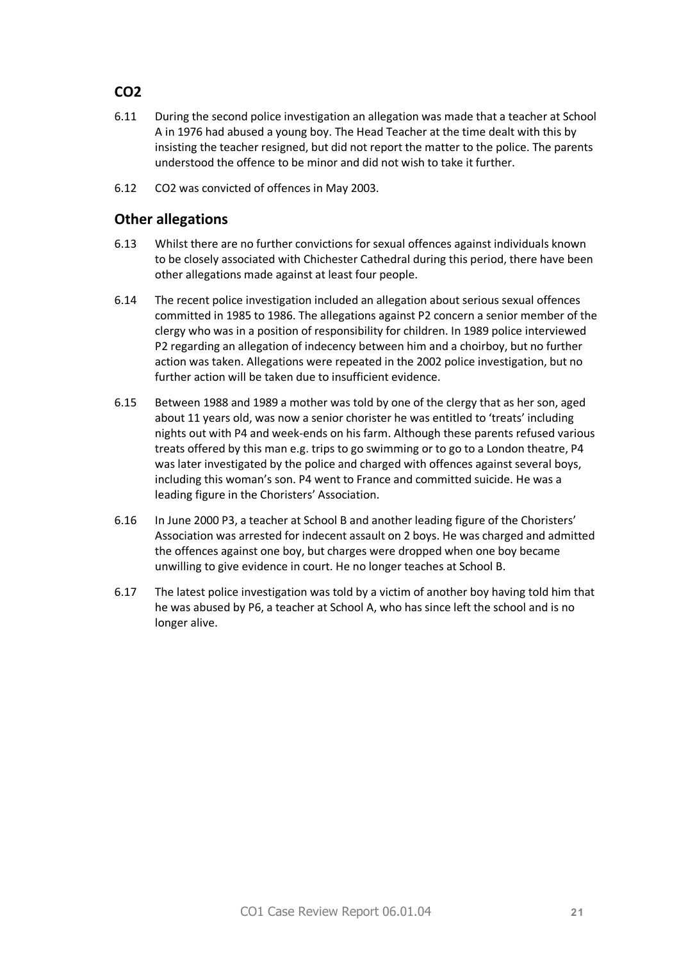# **CO2**

- 6.11 During the second police investigation an allegation was made that a teacher at School A in 1976 had abused a young boy. The Head Teacher at the time dealt with this by insisting the teacher resigned, but did not report the matter to the police. The parents understood the offence to be minor and did not wish to take it further.
- 6.12 CO2 was convicted of offences in May 2003.

# **Other allegations**

- 6.13 Whilst there are no further convictions for sexual offences against individuals known to be closely associated with Chichester Cathedral during this period, there have been other allegations made against at least four people.
- 6.14 The recent police investigation included an allegation about serious sexual offences committed in 1985 to 1986. The allegations against P2 concern a senior member of the clergy who was in a position of responsibility for children. In 1989 police interviewed P2 regarding an allegation of indecency between him and a choirboy, but no further action was taken. Allegations were repeated in the 2002 police investigation, but no further action will be taken due to insufficient evidence.
- 6.15 Between 1988 and 1989 a mother was told by one of the clergy that as her son, aged about 11 years old, was now a senior chorister he was entitled to 'treats' including nights out with P4 and week-ends on his farm. Although these parents refused various treats offered by this man e.g. trips to go swimming or to go to a London theatre, P4 was later investigated by the police and charged with offences against several boys, including this woman's son. P4 went to France and committed suicide. He was a leading figure in the Choristers' Association.
- 6.16 In June 2000 P3, a teacher at School B and another leading figure of the Choristers' Association was arrested for indecent assault on 2 boys. He was charged and admitted the offences against one boy, but charges were dropped when one boy became unwilling to give evidence in court. He no longer teaches at School B.
- 6.17 The latest police investigation was told by a victim of another boy having told him that he was abused by P6, a teacher at School A, who has since left the school and is no longer alive.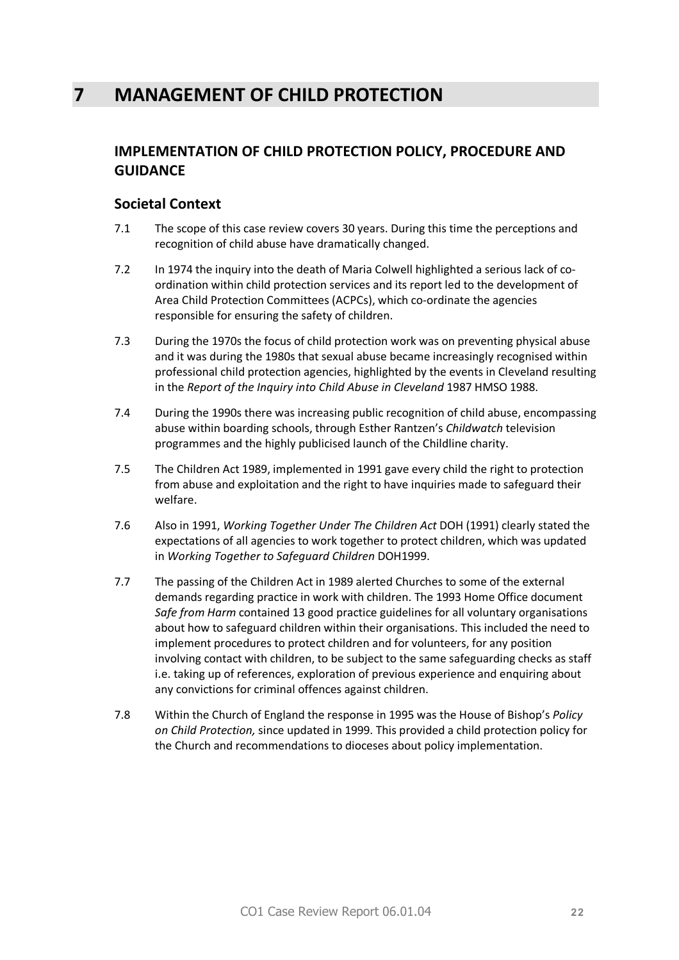# **IMPLEMENTATION OF CHILD PROTECTION POLICY, PROCEDURE AND GUIDANCE**

# **Societal Context**

- 7.1 The scope of this case review covers 30 years. During this time the perceptions and recognition of child abuse have dramatically changed.
- 7.2 In 1974 the inquiry into the death of Maria Colwell highlighted a serious lack of coordination within child protection services and its report led to the development of Area Child Protection Committees (ACPCs), which co-ordinate the agencies responsible for ensuring the safety of children.
- 7.3 During the 1970s the focus of child protection work was on preventing physical abuse and it was during the 1980s that sexual abuse became increasingly recognised within professional child protection agencies, highlighted by the events in Cleveland resulting in the *Report of the Inquiry into Child Abuse in Cleveland* 1987 HMSO 1988.
- 7.4 During the 1990s there was increasing public recognition of child abuse, encompassing abuse within boarding schools, through Esther Rantzen's *Childwatch* television programmes and the highly publicised launch of the Childline charity.
- 7.5 The Children Act 1989, implemented in 1991 gave every child the right to protection from abuse and exploitation and the right to have inquiries made to safeguard their welfare.
- 7.6 Also in 1991, *Working Together Under The Children Act* DOH (1991) clearly stated the expectations of all agencies to work together to protect children, which was updated in *Working Together to Safeguard Children* DOH1999.
- 7.7 The passing of the Children Act in 1989 alerted Churches to some of the external demands regarding practice in work with children. The 1993 Home Office document *Safe from Harm* contained 13 good practice guidelines for all voluntary organisations about how to safeguard children within their organisations. This included the need to implement procedures to protect children and for volunteers, for any position involving contact with children, to be subject to the same safeguarding checks as staff i.e. taking up of references, exploration of previous experience and enquiring about any convictions for criminal offences against children.
- 7.8 Within the Church of England the response in 1995 was the House of Bishop's *Policy on Child Protection,* since updated in 1999. This provided a child protection policy for the Church and recommendations to dioceses about policy implementation.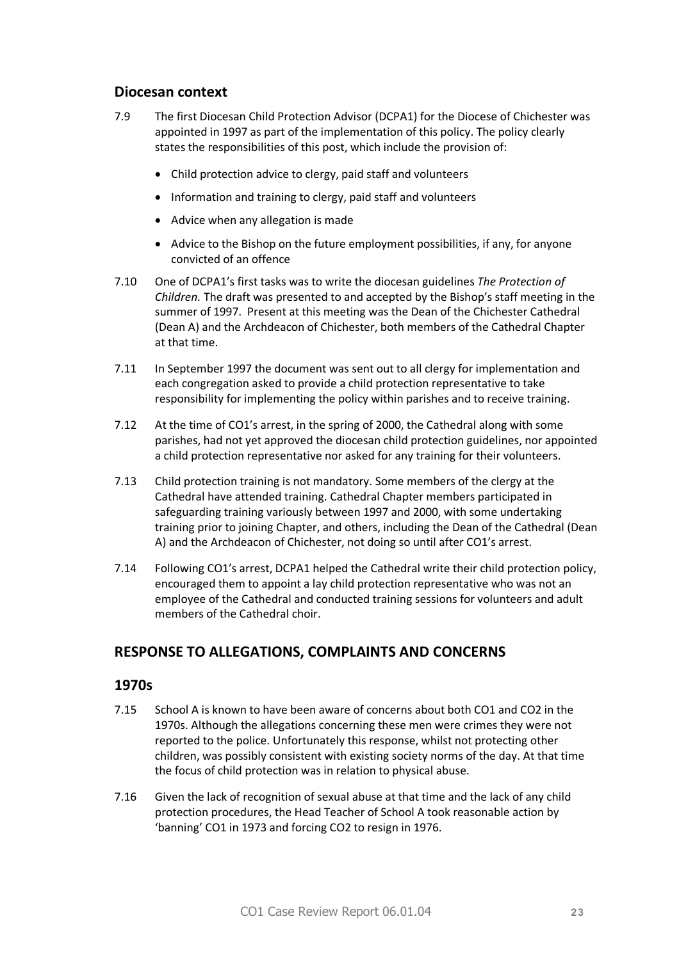### **Diocesan context**

- 7.9 The first Diocesan Child Protection Advisor (DCPA1) for the Diocese of Chichester was appointed in 1997 as part of the implementation of this policy. The policy clearly states the responsibilities of this post, which include the provision of:
	- Child protection advice to clergy, paid staff and volunteers
	- · Information and training to clergy, paid staff and volunteers
	- · Advice when any allegation is made
	- · Advice to the Bishop on the future employment possibilities, if any, for anyone convicted of an offence
- 7.10 One of DCPA1's first tasks was to write the diocesan guidelines *The Protection of Children.* The draft was presented to and accepted by the Bishop's staff meeting in the summer of 1997. Present at this meeting was the Dean of the Chichester Cathedral (Dean A) and the Archdeacon of Chichester, both members of the Cathedral Chapter at that time.
- 7.11 In September 1997 the document was sent out to all clergy for implementation and each congregation asked to provide a child protection representative to take responsibility for implementing the policy within parishes and to receive training.
- 7.12 At the time of CO1's arrest, in the spring of 2000, the Cathedral along with some parishes, had not yet approved the diocesan child protection guidelines, nor appointed a child protection representative nor asked for any training for their volunteers.
- 7.13 Child protection training is not mandatory. Some members of the clergy at the Cathedral have attended training. Cathedral Chapter members participated in safeguarding training variously between 1997 and 2000, with some undertaking training prior to joining Chapter, and others, including the Dean of the Cathedral (Dean A) and the Archdeacon of Chichester, not doing so until after CO1's arrest.
- 7.14 Following CO1's arrest, DCPA1 helped the Cathedral write their child protection policy, encouraged them to appoint a lay child protection representative who was not an employee of the Cathedral and conducted training sessions for volunteers and adult members of the Cathedral choir.

# **RESPONSE TO ALLEGATIONS, COMPLAINTS AND CONCERNS**

- 7.15 School A is known to have been aware of concerns about both CO1 and CO2 in the 1970s. Although the allegations concerning these men were crimes they were not reported to the police. Unfortunately this response, whilst not protecting other children, was possibly consistent with existing society norms of the day. At that time the focus of child protection was in relation to physical abuse.
- 7.16 Given the lack of recognition of sexual abuse at that time and the lack of any child protection procedures, the Head Teacher of School A took reasonable action by 'banning' CO1 in 1973 and forcing CO2 to resign in 1976.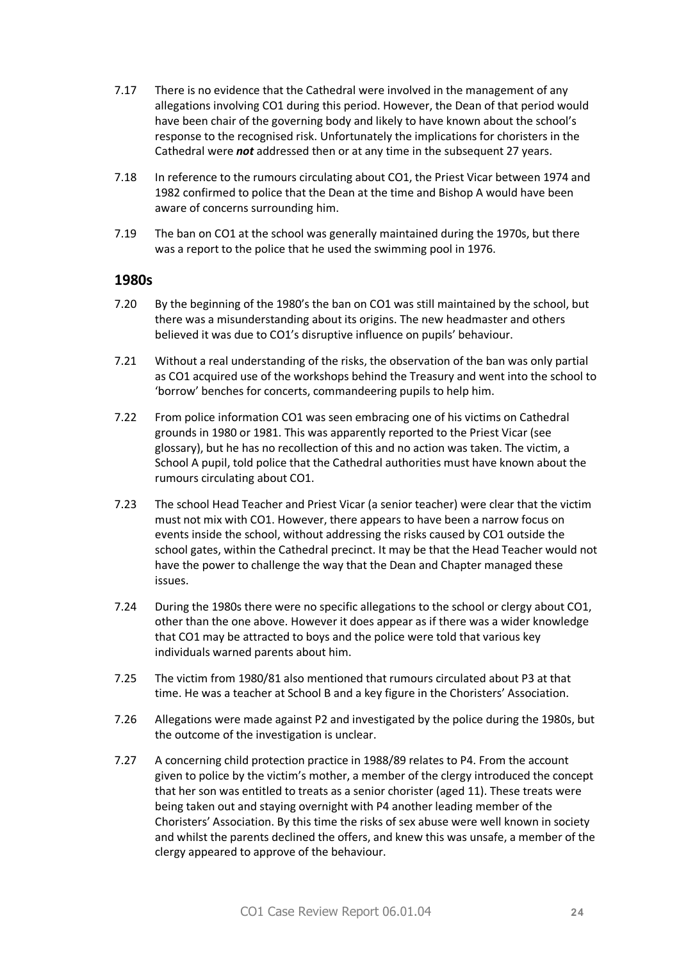- 7.17 There is no evidence that the Cathedral were involved in the management of any allegations involving CO1 during this period. However, the Dean of that period would have been chair of the governing body and likely to have known about the school's response to the recognised risk. Unfortunately the implications for choristers in the Cathedral were *not* addressed then or at any time in the subsequent 27 years.
- 7.18 In reference to the rumours circulating about CO1, the Priest Vicar between 1974 and 1982 confirmed to police that the Dean at the time and Bishop A would have been aware of concerns surrounding him.
- 7.19 The ban on CO1 at the school was generally maintained during the 1970s, but there was a report to the police that he used the swimming pool in 1976.

- 7.20 By the beginning of the 1980's the ban on CO1 was still maintained by the school, but there was a misunderstanding about its origins. The new headmaster and others believed it was due to CO1's disruptive influence on pupils' behaviour.
- 7.21 Without a real understanding of the risks, the observation of the ban was only partial as CO1 acquired use of the workshops behind the Treasury and went into the school to 'borrow' benches for concerts, commandeering pupils to help him.
- 7.22 From police information CO1 was seen embracing one of his victims on Cathedral grounds in 1980 or 1981. This was apparently reported to the Priest Vicar (see glossary), but he has no recollection of this and no action was taken. The victim, a School A pupil, told police that the Cathedral authorities must have known about the rumours circulating about CO1.
- 7.23 The school Head Teacher and Priest Vicar (a senior teacher) were clear that the victim must not mix with CO1. However, there appears to have been a narrow focus on events inside the school, without addressing the risks caused by CO1 outside the school gates, within the Cathedral precinct. It may be that the Head Teacher would not have the power to challenge the way that the Dean and Chapter managed these issues.
- 7.24 During the 1980s there were no specific allegations to the school or clergy about CO1, other than the one above. However it does appear as if there was a wider knowledge that CO1 may be attracted to boys and the police were told that various key individuals warned parents about him.
- 7.25 The victim from 1980/81 also mentioned that rumours circulated about P3 at that time. He was a teacher at School B and a key figure in the Choristers' Association.
- 7.26 Allegations were made against P2 and investigated by the police during the 1980s, but the outcome of the investigation is unclear.
- 7.27 A concerning child protection practice in 1988/89 relates to P4. From the account given to police by the victim's mother, a member of the clergy introduced the concept that her son was entitled to treats as a senior chorister (aged 11). These treats were being taken out and staying overnight with P4 another leading member of the Choristers' Association. By this time the risks of sex abuse were well known in society and whilst the parents declined the offers, and knew this was unsafe, a member of the clergy appeared to approve of the behaviour.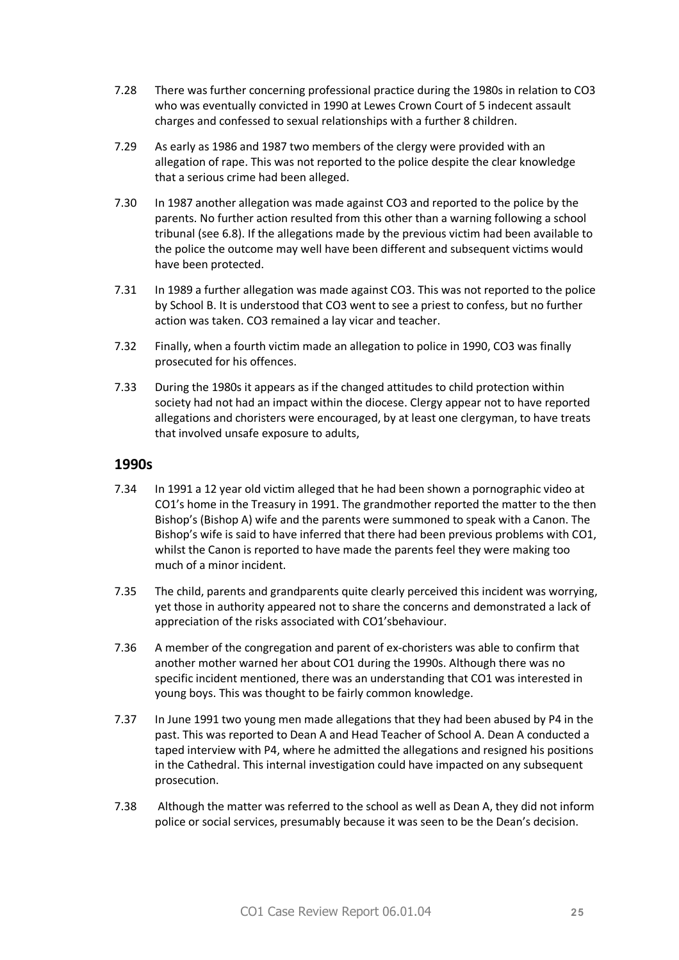- 7.28 There was further concerning professional practice during the 1980s in relation to CO3 who was eventually convicted in 1990 at Lewes Crown Court of 5 indecent assault charges and confessed to sexual relationships with a further 8 children.
- 7.29 As early as 1986 and 1987 two members of the clergy were provided with an allegation of rape. This was not reported to the police despite the clear knowledge that a serious crime had been alleged.
- 7.30 In 1987 another allegation was made against CO3 and reported to the police by the parents. No further action resulted from this other than a warning following a school tribunal (see 6.8). If the allegations made by the previous victim had been available to the police the outcome may well have been different and subsequent victims would have been protected.
- 7.31 In 1989 a further allegation was made against CO3. This was not reported to the police by School B. It is understood that CO3 went to see a priest to confess, but no further action was taken. CO3 remained a lay vicar and teacher.
- 7.32 Finally, when a fourth victim made an allegation to police in 1990, CO3 was finally prosecuted for his offences.
- 7.33 During the 1980s it appears as if the changed attitudes to child protection within society had not had an impact within the diocese. Clergy appear not to have reported allegations and choristers were encouraged, by at least one clergyman, to have treats that involved unsafe exposure to adults,

- 7.34 In 1991 a 12 year old victim alleged that he had been shown a pornographic video at CO1's home in the Treasury in 1991. The grandmother reported the matter to the then Bishop's (Bishop A) wife and the parents were summoned to speak with a Canon. The Bishop's wife is said to have inferred that there had been previous problems with CO1, whilst the Canon is reported to have made the parents feel they were making too much of a minor incident.
- 7.35 The child, parents and grandparents quite clearly perceived this incident was worrying, yet those in authority appeared not to share the concerns and demonstrated a lack of appreciation of the risks associated with CO1'sbehaviour.
- 7.36 A member of the congregation and parent of ex-choristers was able to confirm that another mother warned her about CO1 during the 1990s. Although there was no specific incident mentioned, there was an understanding that CO1 was interested in young boys. This was thought to be fairly common knowledge.
- 7.37 In June 1991 two young men made allegations that they had been abused by P4 in the past. This was reported to Dean A and Head Teacher of School A. Dean A conducted a taped interview with P4, where he admitted the allegations and resigned his positions in the Cathedral. This internal investigation could have impacted on any subsequent prosecution.
- 7.38 Although the matter was referred to the school as well as Dean A, they did not inform police or social services, presumably because it was seen to be the Dean's decision.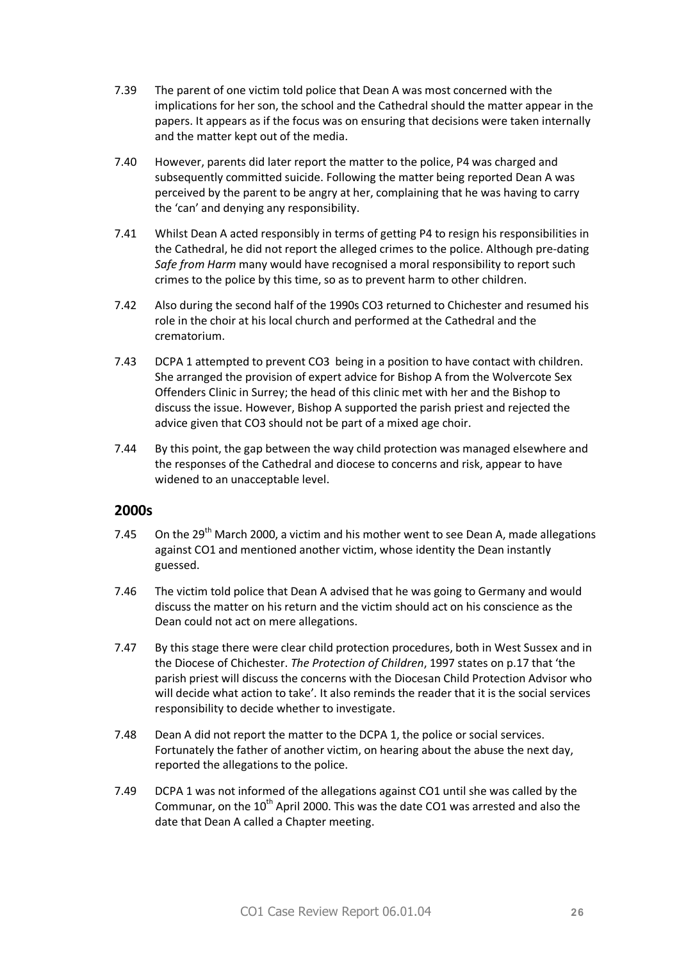- 7.39 The parent of one victim told police that Dean A was most concerned with the implications for her son, the school and the Cathedral should the matter appear in the papers. It appears as if the focus was on ensuring that decisions were taken internally and the matter kept out of the media.
- 7.40 However, parents did later report the matter to the police, P4 was charged and subsequently committed suicide. Following the matter being reported Dean A was perceived by the parent to be angry at her, complaining that he was having to carry the 'can' and denying any responsibility.
- 7.41 Whilst Dean A acted responsibly in terms of getting P4 to resign his responsibilities in the Cathedral, he did not report the alleged crimes to the police. Although pre-dating *Safe from Harm* many would have recognised a moral responsibility to report such crimes to the police by this time, so as to prevent harm to other children.
- 7.42 Also during the second half of the 1990s CO3 returned to Chichester and resumed his role in the choir at his local church and performed at the Cathedral and the crematorium.
- 7.43 DCPA 1 attempted to prevent CO3 being in a position to have contact with children. She arranged the provision of expert advice for Bishop A from the Wolvercote Sex Offenders Clinic in Surrey; the head of this clinic met with her and the Bishop to discuss the issue. However, Bishop A supported the parish priest and rejected the advice given that CO3 should not be part of a mixed age choir.
- 7.44 By this point, the gap between the way child protection was managed elsewhere and the responses of the Cathedral and diocese to concerns and risk, appear to have widened to an unacceptable level.

- 7.45 On the  $29<sup>th</sup>$  March 2000, a victim and his mother went to see Dean A, made allegations against CO1 and mentioned another victim, whose identity the Dean instantly guessed.
- 7.46 The victim told police that Dean A advised that he was going to Germany and would discuss the matter on his return and the victim should act on his conscience as the Dean could not act on mere allegations.
- 7.47 By this stage there were clear child protection procedures, both in West Sussex and in the Diocese of Chichester. *The Protection of Children*, 1997 states on p.17 that 'the parish priest will discuss the concerns with the Diocesan Child Protection Advisor who will decide what action to take'. It also reminds the reader that it is the social services responsibility to decide whether to investigate.
- 7.48 Dean A did not report the matter to the DCPA 1, the police or social services. Fortunately the father of another victim, on hearing about the abuse the next day, reported the allegations to the police.
- 7.49 DCPA 1 was not informed of the allegations against CO1 until she was called by the Communar, on the  $10<sup>th</sup>$  April 2000. This was the date CO1 was arrested and also the date that Dean A called a Chapter meeting.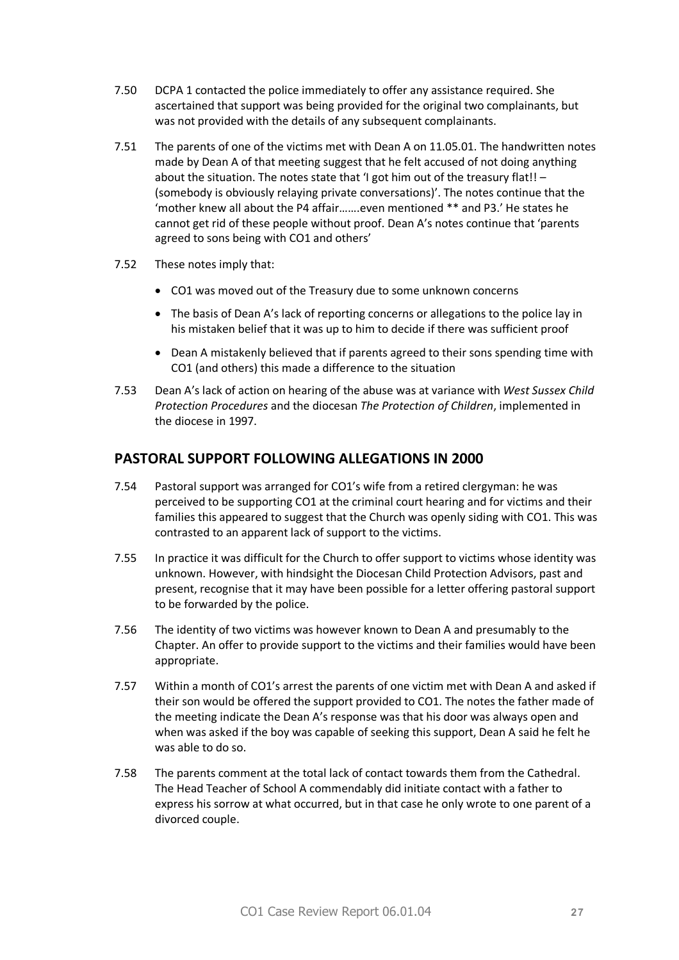- 7.50 DCPA 1 contacted the police immediately to offer any assistance required. She ascertained that support was being provided for the original two complainants, but was not provided with the details of any subsequent complainants.
- 7.51 The parents of one of the victims met with Dean A on 11.05.01. The handwritten notes made by Dean A of that meeting suggest that he felt accused of not doing anything about the situation. The notes state that 'I got him out of the treasury flat!! – (somebody is obviously relaying private conversations)'. The notes continue that the 'mother knew all about the P4 affair…….even mentioned \*\* and P3.' He states he cannot get rid of these people without proof. Dean A's notes continue that 'parents agreed to sons being with CO1 and others'
- 7.52 These notes imply that:
	- · CO1 was moved out of the Treasury due to some unknown concerns
	- · The basis of Dean A's lack of reporting concerns or allegations to the police lay in his mistaken belief that it was up to him to decide if there was sufficient proof
	- · Dean A mistakenly believed that if parents agreed to their sons spending time with CO1 (and others) this made a difference to the situation
- 7.53 Dean A's lack of action on hearing of the abuse was at variance with *West Sussex Child Protection Procedures* and the diocesan *The Protection of Children*, implemented in the diocese in 1997.

# **PASTORAL SUPPORT FOLLOWING ALLEGATIONS IN 2000**

- 7.54 Pastoral support was arranged for CO1's wife from a retired clergyman: he was perceived to be supporting CO1 at the criminal court hearing and for victims and their families this appeared to suggest that the Church was openly siding with CO1. This was contrasted to an apparent lack of support to the victims.
- 7.55 In practice it was difficult for the Church to offer support to victims whose identity was unknown. However, with hindsight the Diocesan Child Protection Advisors, past and present, recognise that it may have been possible for a letter offering pastoral support to be forwarded by the police.
- 7.56 The identity of two victims was however known to Dean A and presumably to the Chapter. An offer to provide support to the victims and their families would have been appropriate.
- 7.57 Within a month of CO1's arrest the parents of one victim met with Dean A and asked if their son would be offered the support provided to CO1. The notes the father made of the meeting indicate the Dean A's response was that his door was always open and when was asked if the boy was capable of seeking this support, Dean A said he felt he was able to do so.
- 7.58 The parents comment at the total lack of contact towards them from the Cathedral. The Head Teacher of School A commendably did initiate contact with a father to express his sorrow at what occurred, but in that case he only wrote to one parent of a divorced couple.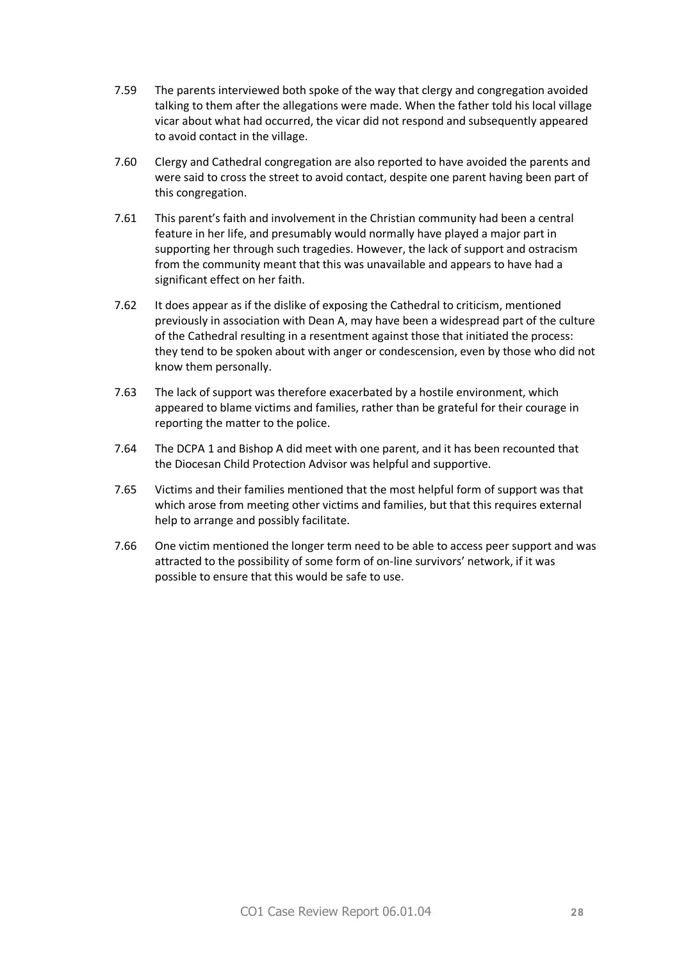- 7.59 The parents interviewed both spoke of the way that clergy and congregation avoided talking to them after the allegations were made. When the father told his local village vicar about what had occurred, the vicar did not respond and subsequently appeared to avoid contact in the village.
- 7.60 Clergy and Cathedral congregation are also reported to have avoided the parents and were said to cross the street to avoid contact, despite one parent having been part of this congregation.
- 7.61 This parent's faith and involvement in the Christian community had been a central feature in her life, and presumably would normally have played a major part in supporting her through such tragedies. However, the lack of support and ostracism from the community meant that this was unavailable and appears to have had a significant effect on her faith.
- 7.62 It does appear as if the dislike of exposing the Cathedral to criticism, mentioned previously in association with Dean A, may have been a widespread part of the culture of the Cathedral resulting in a resentment against those that initiated the process: they tend to be spoken about with anger or condescension, even by those who did not know them personally.
- 7.63 The lack of support was therefore exacerbated by a hostile environment, which appeared to blame victims and families, rather than be grateful for their courage in reporting the matter to the police.
- 7.64 The DCPA 1 and Bishop A did meet with one parent, and it has been recounted that the Diocesan Child Protection Advisor was helpful and supportive.
- 7.65 Victims and their families mentioned that the most helpful form of support was that which arose from meeting other victims and families, but that this requires external help to arrange and possibly facilitate.
- 7.66 One victim mentioned the longer term need to be able to access peer support and was attracted to the possibility of some form of on-line survivors' network, if it was possible to ensure that this would be safe to use.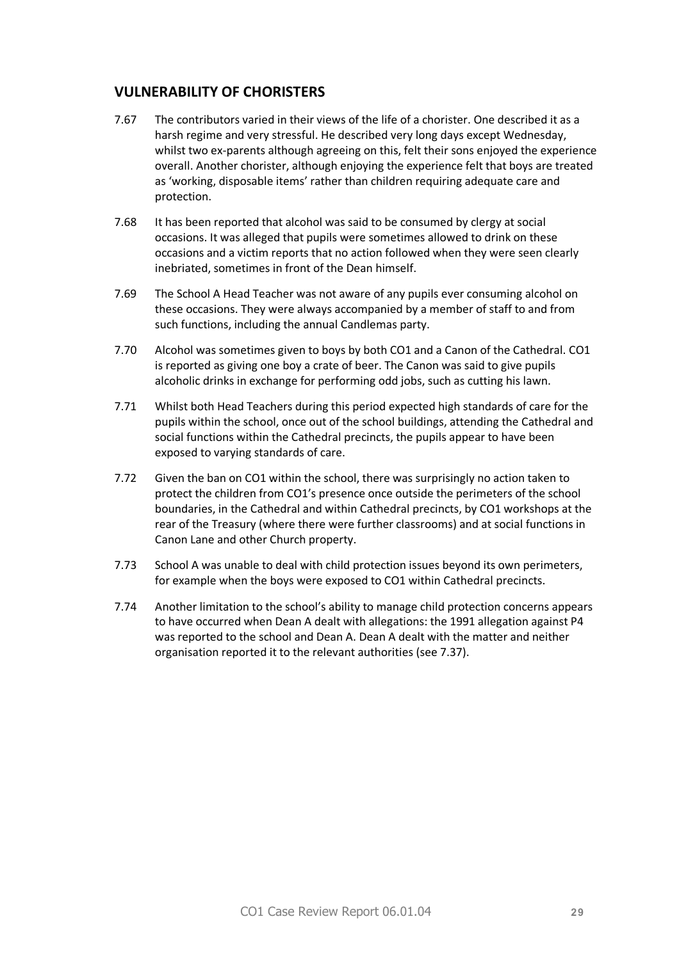# **VULNERABILITY OF CHORISTERS**

- 7.67 The contributors varied in their views of the life of a chorister. One described it as a harsh regime and very stressful. He described very long days except Wednesday, whilst two ex-parents although agreeing on this, felt their sons enjoyed the experience overall. Another chorister, although enjoying the experience felt that boys are treated as 'working, disposable items' rather than children requiring adequate care and protection.
- 7.68 It has been reported that alcohol was said to be consumed by clergy at social occasions. It was alleged that pupils were sometimes allowed to drink on these occasions and a victim reports that no action followed when they were seen clearly inebriated, sometimes in front of the Dean himself.
- 7.69 The School A Head Teacher was not aware of any pupils ever consuming alcohol on these occasions. They were always accompanied by a member of staff to and from such functions, including the annual Candlemas party.
- 7.70 Alcohol was sometimes given to boys by both CO1 and a Canon of the Cathedral. CO1 is reported as giving one boy a crate of beer. The Canon was said to give pupils alcoholic drinks in exchange for performing odd jobs, such as cutting his lawn.
- 7.71 Whilst both Head Teachers during this period expected high standards of care for the pupils within the school, once out of the school buildings, attending the Cathedral and social functions within the Cathedral precincts, the pupils appear to have been exposed to varying standards of care.
- 7.72 Given the ban on CO1 within the school, there was surprisingly no action taken to protect the children from CO1's presence once outside the perimeters of the school boundaries, in the Cathedral and within Cathedral precincts, by CO1 workshops at the rear of the Treasury (where there were further classrooms) and at social functions in Canon Lane and other Church property.
- 7.73 School A was unable to deal with child protection issues beyond its own perimeters, for example when the boys were exposed to CO1 within Cathedral precincts.
- 7.74 Another limitation to the school's ability to manage child protection concerns appears to have occurred when Dean A dealt with allegations: the 1991 allegation against P4 was reported to the school and Dean A. Dean A dealt with the matter and neither organisation reported it to the relevant authorities (see 7.37).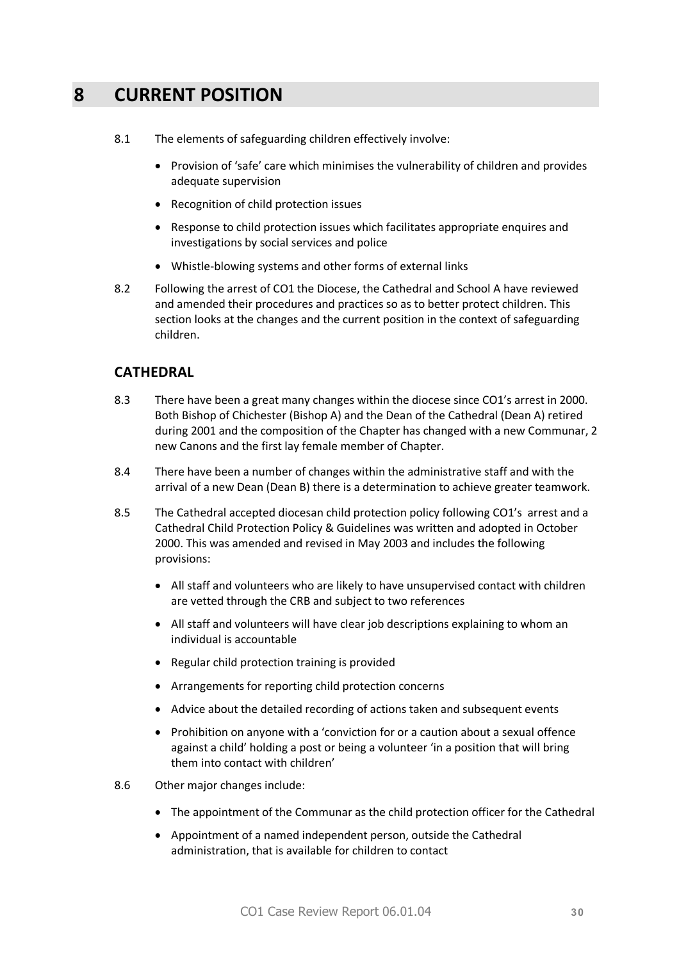# **8 CURRENT POSITION**

- 8.1 The elements of safeguarding children effectively involve:
	- · Provision of 'safe' care which minimises the vulnerability of children and provides adequate supervision
	- · Recognition of child protection issues
	- · Response to child protection issues which facilitates appropriate enquires and investigations by social services and police
	- · Whistle-blowing systems and other forms of external links
- 8.2 Following the arrest of CO1 the Diocese, the Cathedral and School A have reviewed and amended their procedures and practices so as to better protect children. This section looks at the changes and the current position in the context of safeguarding children.

# **CATHEDRAL**

- 8.3 There have been a great many changes within the diocese since CO1's arrest in 2000. Both Bishop of Chichester (Bishop A) and the Dean of the Cathedral (Dean A) retired during 2001 and the composition of the Chapter has changed with a new Communar, 2 new Canons and the first lay female member of Chapter.
- 8.4 There have been a number of changes within the administrative staff and with the arrival of a new Dean (Dean B) there is a determination to achieve greater teamwork.
- 8.5 The Cathedral accepted diocesan child protection policy following CO1's arrest and a Cathedral Child Protection Policy & Guidelines was written and adopted in October 2000. This was amended and revised in May 2003 and includes the following provisions:
	- · All staff and volunteers who are likely to have unsupervised contact with children are vetted through the CRB and subject to two references
	- · All staff and volunteers will have clear job descriptions explaining to whom an individual is accountable
	- · Regular child protection training is provided
	- · Arrangements for reporting child protection concerns
	- · Advice about the detailed recording of actions taken and subsequent events
	- · Prohibition on anyone with a 'conviction for or a caution about a sexual offence against a child' holding a post or being a volunteer 'in a position that will bring them into contact with children'
- 8.6 Other major changes include:
	- · The appointment of the Communar as the child protection officer for the Cathedral
	- · Appointment of a named independent person, outside the Cathedral administration, that is available for children to contact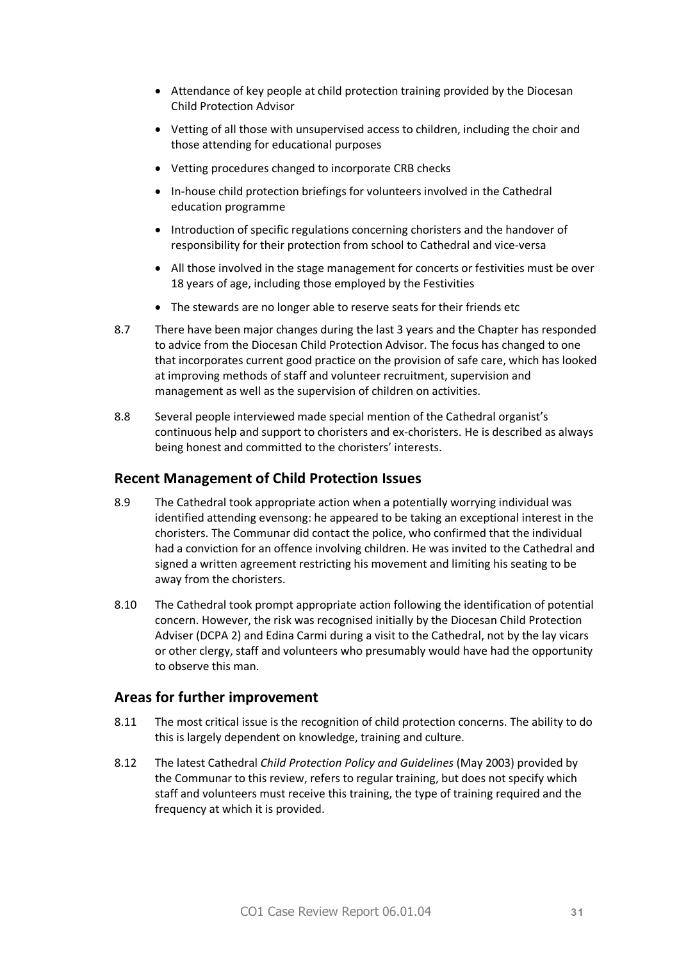- · Attendance of key people at child protection training provided by the Diocesan Child Protection Advisor
- · Vetting of all those with unsupervised access to children, including the choir and those attending for educational purposes
- · Vetting procedures changed to incorporate CRB checks
- · In-house child protection briefings for volunteers involved in the Cathedral education programme
- · Introduction of specific regulations concerning choristers and the handover of responsibility for their protection from school to Cathedral and vice-versa
- · All those involved in the stage management for concerts or festivities must be over 18 years of age, including those employed by the Festivities
- · The stewards are no longer able to reserve seats for their friends etc
- 8.7 There have been major changes during the last 3 years and the Chapter has responded to advice from the Diocesan Child Protection Advisor. The focus has changed to one that incorporates current good practice on the provision of safe care, which has looked at improving methods of staff and volunteer recruitment, supervision and management as well as the supervision of children on activities.
- 8.8 Several people interviewed made special mention of the Cathedral organist's continuous help and support to choristers and ex-choristers. He is described as always being honest and committed to the choristers' interests.

#### **Recent Management of Child Protection Issues**

- 8.9 The Cathedral took appropriate action when a potentially worrying individual was identified attending evensong: he appeared to be taking an exceptional interest in the choristers. The Communar did contact the police, who confirmed that the individual had a conviction for an offence involving children. He was invited to the Cathedral and signed a written agreement restricting his movement and limiting his seating to be away from the choristers.
- 8.10 The Cathedral took prompt appropriate action following the identification of potential concern. However, the risk was recognised initially by the Diocesan Child Protection Adviser (DCPA 2) and Edina Carmi during a visit to the Cathedral, not by the lay vicars or other clergy, staff and volunteers who presumably would have had the opportunity to observe this man.

### **Areas for further improvement**

- 8.11 The most critical issue is the recognition of child protection concerns. The ability to do this is largely dependent on knowledge, training and culture.
- 8.12 The latest Cathedral *Child Protection Policy and Guidelines* (May 2003) provided by the Communar to this review, refers to regular training, but does not specify which staff and volunteers must receive this training, the type of training required and the frequency at which it is provided.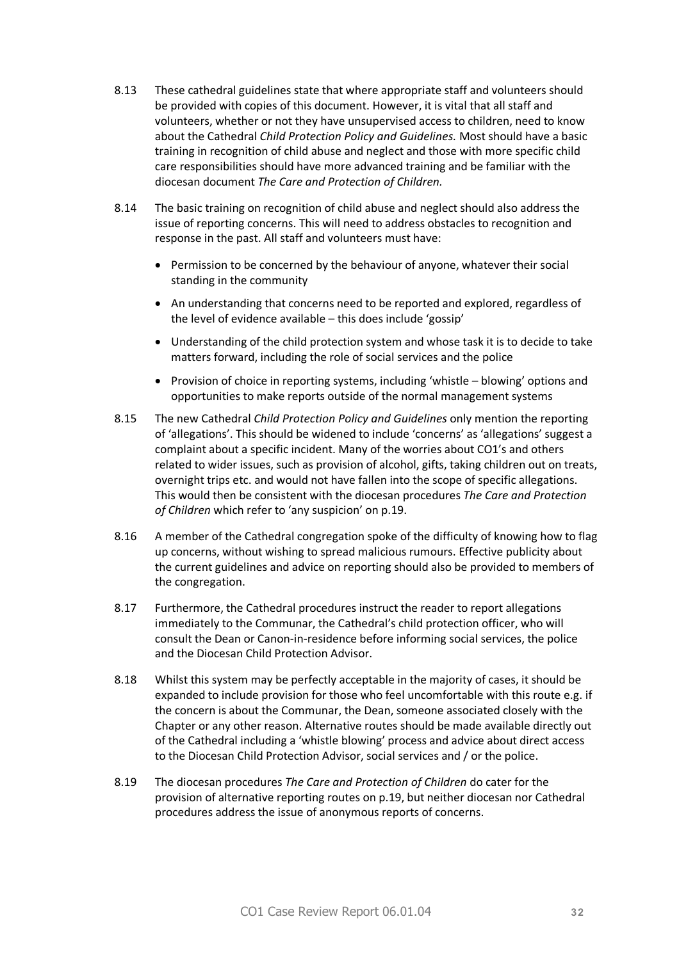- 8.13 These cathedral guidelines state that where appropriate staff and volunteers should be provided with copies of this document. However, it is vital that all staff and volunteers, whether or not they have unsupervised access to children, need to know about the Cathedral *Child Protection Policy and Guidelines.* Most should have a basic training in recognition of child abuse and neglect and those with more specific child care responsibilities should have more advanced training and be familiar with the diocesan document *The Care and Protection of Children.*
- 8.14 The basic training on recognition of child abuse and neglect should also address the issue of reporting concerns. This will need to address obstacles to recognition and response in the past. All staff and volunteers must have:
	- · Permission to be concerned by the behaviour of anyone, whatever their social standing in the community
	- · An understanding that concerns need to be reported and explored, regardless of the level of evidence available – this does include 'gossip'
	- · Understanding of the child protection system and whose task it is to decide to take matters forward, including the role of social services and the police
	- Provision of choice in reporting systems, including 'whistle blowing' options and opportunities to make reports outside of the normal management systems
- 8.15 The new Cathedral *Child Protection Policy and Guidelines* only mention the reporting of 'allegations'. This should be widened to include 'concerns' as 'allegations' suggest a complaint about a specific incident. Many of the worries about CO1's and others related to wider issues, such as provision of alcohol, gifts, taking children out on treats, overnight trips etc. and would not have fallen into the scope of specific allegations. This would then be consistent with the diocesan procedures *The Care and Protection of Children* which refer to 'any suspicion' on p.19.
- 8.16 A member of the Cathedral congregation spoke of the difficulty of knowing how to flag up concerns, without wishing to spread malicious rumours. Effective publicity about the current guidelines and advice on reporting should also be provided to members of the congregation.
- 8.17 Furthermore, the Cathedral procedures instruct the reader to report allegations immediately to the Communar, the Cathedral's child protection officer, who will consult the Dean or Canon-in-residence before informing social services, the police and the Diocesan Child Protection Advisor.
- 8.18 Whilst this system may be perfectly acceptable in the majority of cases, it should be expanded to include provision for those who feel uncomfortable with this route e.g. if the concern is about the Communar, the Dean, someone associated closely with the Chapter or any other reason. Alternative routes should be made available directly out of the Cathedral including a 'whistle blowing' process and advice about direct access to the Diocesan Child Protection Advisor, social services and / or the police.
- 8.19 The diocesan procedures *The Care and Protection of Children* do cater for the provision of alternative reporting routes on p.19, but neither diocesan nor Cathedral procedures address the issue of anonymous reports of concerns.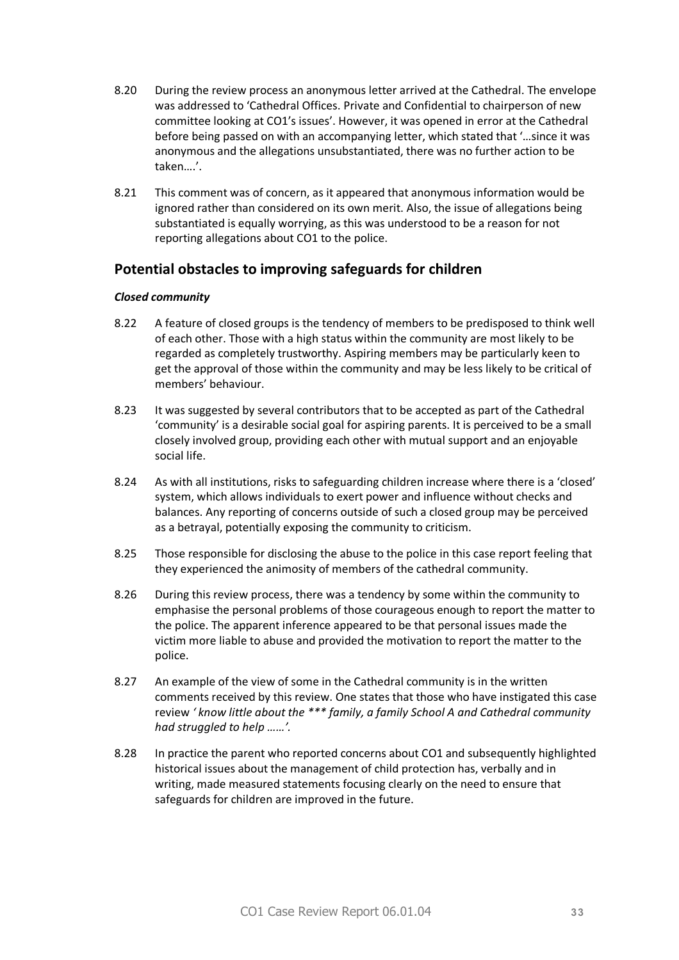- 8.20 During the review process an anonymous letter arrived at the Cathedral. The envelope was addressed to 'Cathedral Offices. Private and Confidential to chairperson of new committee looking at CO1's issues'. However, it was opened in error at the Cathedral before being passed on with an accompanying letter, which stated that '…since it was anonymous and the allegations unsubstantiated, there was no further action to be taken….'.
- 8.21 This comment was of concern, as it appeared that anonymous information would be ignored rather than considered on its own merit. Also, the issue of allegations being substantiated is equally worrying, as this was understood to be a reason for not reporting allegations about CO1 to the police.

# **Potential obstacles to improving safeguards for children**

#### *Closed community*

- 8.22 A feature of closed groups is the tendency of members to be predisposed to think well of each other. Those with a high status within the community are most likely to be regarded as completely trustworthy. Aspiring members may be particularly keen to get the approval of those within the community and may be less likely to be critical of members' behaviour.
- 8.23 It was suggested by several contributors that to be accepted as part of the Cathedral 'community' is a desirable social goal for aspiring parents. It is perceived to be a small closely involved group, providing each other with mutual support and an enjoyable social life.
- 8.24 As with all institutions, risks to safeguarding children increase where there is a 'closed' system, which allows individuals to exert power and influence without checks and balances. Any reporting of concerns outside of such a closed group may be perceived as a betrayal, potentially exposing the community to criticism.
- 8.25 Those responsible for disclosing the abuse to the police in this case report feeling that they experienced the animosity of members of the cathedral community.
- 8.26 During this review process, there was a tendency by some within the community to emphasise the personal problems of those courageous enough to report the matter to the police. The apparent inference appeared to be that personal issues made the victim more liable to abuse and provided the motivation to report the matter to the police.
- 8.27 An example of the view of some in the Cathedral community is in the written comments received by this review. One states that those who have instigated this case review *' know little about the \*\*\* family, a family School A and Cathedral community had struggled to help ……'.*
- 8.28 In practice the parent who reported concerns about CO1 and subsequently highlighted historical issues about the management of child protection has, verbally and in writing, made measured statements focusing clearly on the need to ensure that safeguards for children are improved in the future.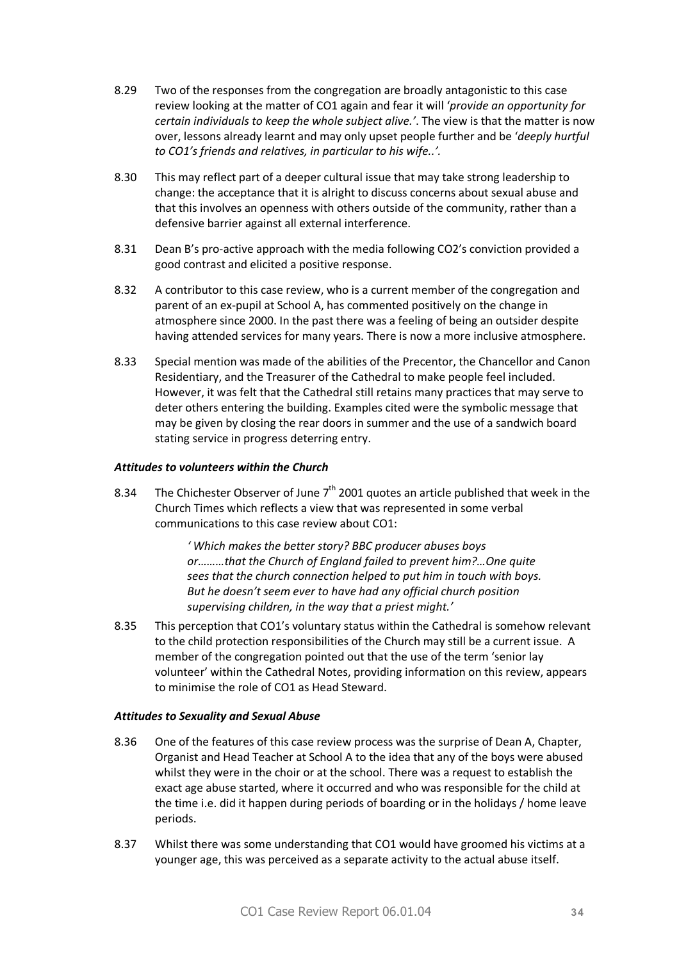- 8.29 Two of the responses from the congregation are broadly antagonistic to this case review looking at the matter of CO1 again and fear it will '*provide an opportunity for certain individuals to keep the whole subject alive.'*. The view is that the matter is now over, lessons already learnt and may only upset people further and be '*deeply hurtful to CO1's friends and relatives, in particular to his wife..'.*
- 8.30 This may reflect part of a deeper cultural issue that may take strong leadership to change: the acceptance that it is alright to discuss concerns about sexual abuse and that this involves an openness with others outside of the community, rather than a defensive barrier against all external interference.
- 8.31 Dean B's pro-active approach with the media following CO2's conviction provided a good contrast and elicited a positive response.
- 8.32 A contributor to this case review, who is a current member of the congregation and parent of an ex-pupil at School A, has commented positively on the change in atmosphere since 2000. In the past there was a feeling of being an outsider despite having attended services for many years. There is now a more inclusive atmosphere.
- 8.33 Special mention was made of the abilities of the Precentor, the Chancellor and Canon Residentiary, and the Treasurer of the Cathedral to make people feel included. However, it was felt that the Cathedral still retains many practices that may serve to deter others entering the building. Examples cited were the symbolic message that may be given by closing the rear doors in summer and the use of a sandwich board stating service in progress deterring entry.

#### *Attitudes to volunteers within the Church*

8.34 The Chichester Observer of June  $7<sup>th</sup>$  2001 quotes an article published that week in the Church Times which reflects a view that was represented in some verbal communications to this case review about CO1:

> *' Which makes the better story? BBC producer abuses boys or………that the Church of England failed to prevent him?…One quite sees that the church connection helped to put him in touch with boys. But he doesn't seem ever to have had any official church position supervising children, in the way that a priest might.'*

8.35 This perception that CO1's voluntary status within the Cathedral is somehow relevant to the child protection responsibilities of the Church may still be a current issue. A member of the congregation pointed out that the use of the term 'senior lay volunteer' within the Cathedral Notes, providing information on this review, appears to minimise the role of CO1 as Head Steward.

#### *Attitudes to Sexuality and Sexual Abuse*

- 8.36 One of the features of this case review process was the surprise of Dean A, Chapter, Organist and Head Teacher at School A to the idea that any of the boys were abused whilst they were in the choir or at the school. There was a request to establish the exact age abuse started, where it occurred and who was responsible for the child at the time i.e. did it happen during periods of boarding or in the holidays / home leave periods.
- 8.37 Whilst there was some understanding that CO1 would have groomed his victims at a younger age, this was perceived as a separate activity to the actual abuse itself.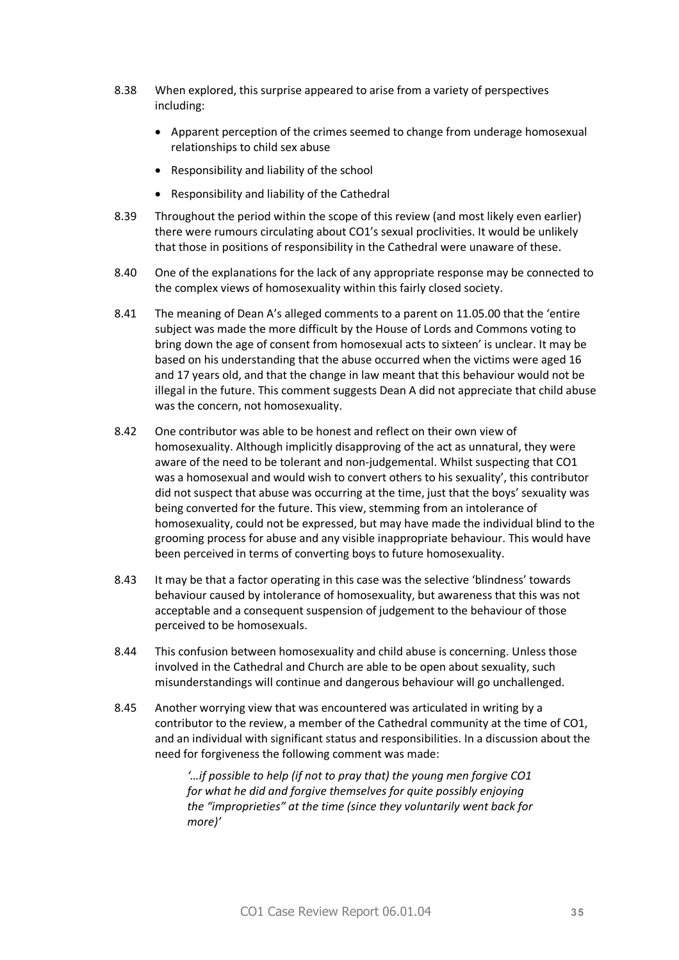- 8.38 When explored, this surprise appeared to arise from a variety of perspectives including:
	- · Apparent perception of the crimes seemed to change from underage homosexual relationships to child sex abuse
	- · Responsibility and liability of the school
	- · Responsibility and liability of the Cathedral
- 8.39 Throughout the period within the scope of this review (and most likely even earlier) there were rumours circulating about CO1's sexual proclivities. It would be unlikely that those in positions of responsibility in the Cathedral were unaware of these.
- 8.40 One of the explanations for the lack of any appropriate response may be connected to the complex views of homosexuality within this fairly closed society.
- 8.41 The meaning of Dean A's alleged comments to a parent on 11.05.00 that the 'entire subject was made the more difficult by the House of Lords and Commons voting to bring down the age of consent from homosexual acts to sixteen' is unclear. It may be based on his understanding that the abuse occurred when the victims were aged 16 and 17 years old, and that the change in law meant that this behaviour would not be illegal in the future. This comment suggests Dean A did not appreciate that child abuse was the concern, not homosexuality.
- 8.42 One contributor was able to be honest and reflect on their own view of homosexuality. Although implicitly disapproving of the act as unnatural, they were aware of the need to be tolerant and non-judgemental. Whilst suspecting that CO1 was a homosexual and would wish to convert others to his sexuality', this contributor did not suspect that abuse was occurring at the time, just that the boys' sexuality was being converted for the future. This view, stemming from an intolerance of homosexuality, could not be expressed, but may have made the individual blind to the grooming process for abuse and any visible inappropriate behaviour. This would have been perceived in terms of converting boys to future homosexuality.
- 8.43 It may be that a factor operating in this case was the selective 'blindness' towards behaviour caused by intolerance of homosexuality, but awareness that this was not acceptable and a consequent suspension of judgement to the behaviour of those perceived to be homosexuals.
- 8.44 This confusion between homosexuality and child abuse is concerning. Unless those involved in the Cathedral and Church are able to be open about sexuality, such misunderstandings will continue and dangerous behaviour will go unchallenged.
- 8.45 Another worrying view that was encountered was articulated in writing by a contributor to the review, a member of the Cathedral community at the time of CO1, and an individual with significant status and responsibilities. In a discussion about the need for forgiveness the following comment was made:

*'…if possible to help (if not to pray that) the young men forgive CO1 for what he did and forgive themselves for quite possibly enjoying the "improprieties" at the time (since they voluntarily went back for more)'*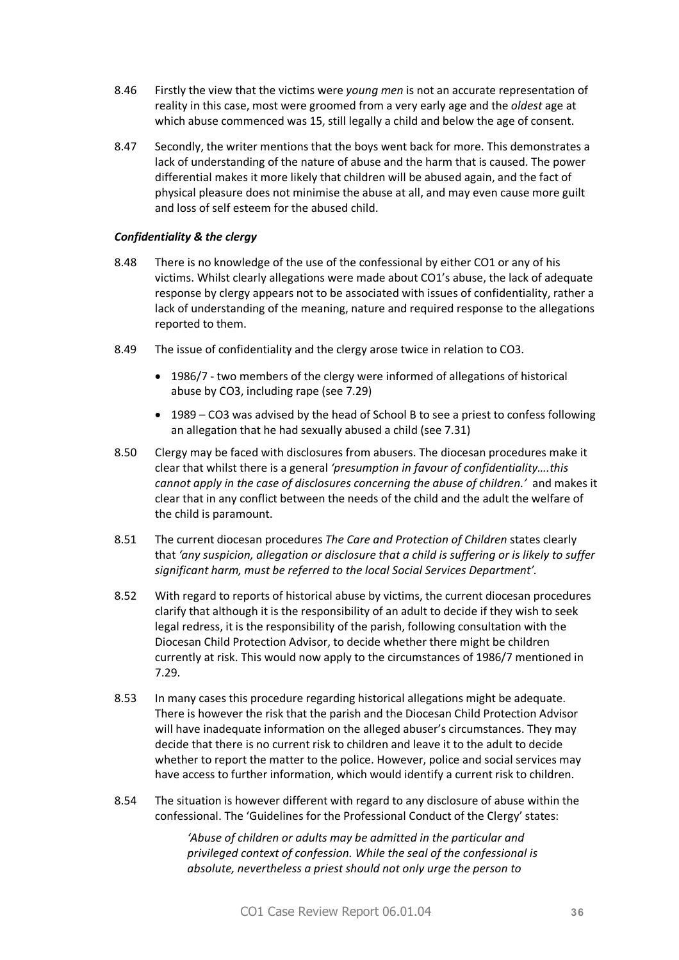- 8.46 Firstly the view that the victims were *young men* is not an accurate representation of reality in this case, most were groomed from a very early age and the *oldest* age at which abuse commenced was 15, still legally a child and below the age of consent.
- 8.47 Secondly, the writer mentions that the boys went back for more. This demonstrates a lack of understanding of the nature of abuse and the harm that is caused. The power differential makes it more likely that children will be abused again, and the fact of physical pleasure does not minimise the abuse at all, and may even cause more guilt and loss of self esteem for the abused child.

#### *Confidentiality & the clergy*

- 8.48 There is no knowledge of the use of the confessional by either CO1 or any of his victims. Whilst clearly allegations were made about CO1's abuse, the lack of adequate response by clergy appears not to be associated with issues of confidentiality, rather a lack of understanding of the meaning, nature and required response to the allegations reported to them.
- 8.49 The issue of confidentiality and the clergy arose twice in relation to CO3.
	- · 1986/7 two members of the clergy were informed of allegations of historical abuse by CO3, including rape (see 7.29)
	- · 1989 CO3 was advised by the head of School B to see a priest to confess following an allegation that he had sexually abused a child (see 7.31)
- 8.50 Clergy may be faced with disclosures from abusers. The diocesan procedures make it clear that whilst there is a general *'presumption in favour of confidentiality….this cannot apply in the case of disclosures concerning the abuse of children.'* and makes it clear that in any conflict between the needs of the child and the adult the welfare of the child is paramount.
- 8.51 The current diocesan procedures *The Care and Protection of Children* states clearly that *'any suspicion, allegation or disclosure that a child is suffering or is likely to suffer significant harm, must be referred to the local Social Services Department'.*
- 8.52 With regard to reports of historical abuse by victims, the current diocesan procedures clarify that although it is the responsibility of an adult to decide if they wish to seek legal redress, it is the responsibility of the parish, following consultation with the Diocesan Child Protection Advisor, to decide whether there might be children currently at risk. This would now apply to the circumstances of 1986/7 mentioned in 7.29.
- 8.53 In many cases this procedure regarding historical allegations might be adequate. There is however the risk that the parish and the Diocesan Child Protection Advisor will have inadequate information on the alleged abuser's circumstances. They may decide that there is no current risk to children and leave it to the adult to decide whether to report the matter to the police. However, police and social services may have access to further information, which would identify a current risk to children.
- 8.54 The situation is however different with regard to any disclosure of abuse within the confessional. The 'Guidelines for the Professional Conduct of the Clergy' states:

*'Abuse of children or adults may be admitted in the particular and privileged context of confession. While the seal of the confessional is absolute, nevertheless a priest should not only urge the person to*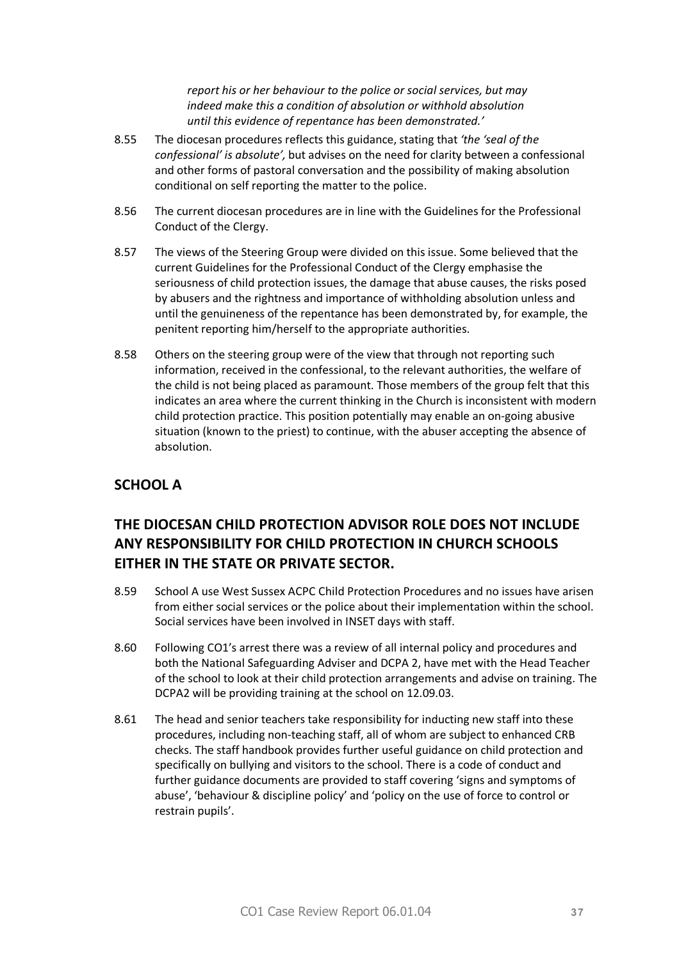*report his or her behaviour to the police or social services, but may indeed make this a condition of absolution or withhold absolution until this evidence of repentance has been demonstrated.'* 

- 8.55 The diocesan procedures reflects this guidance, stating that *'the 'seal of the confessional' is absolute',* but advises on the need for clarity between a confessional and other forms of pastoral conversation and the possibility of making absolution conditional on self reporting the matter to the police.
- 8.56 The current diocesan procedures are in line with the Guidelines for the Professional Conduct of the Clergy.
- 8.57 The views of the Steering Group were divided on this issue. Some believed that the current Guidelines for the Professional Conduct of the Clergy emphasise the seriousness of child protection issues, the damage that abuse causes, the risks posed by abusers and the rightness and importance of withholding absolution unless and until the genuineness of the repentance has been demonstrated by, for example, the penitent reporting him/herself to the appropriate authorities.
- 8.58 Others on the steering group were of the view that through not reporting such information, received in the confessional, to the relevant authorities, the welfare of the child is not being placed as paramount. Those members of the group felt that this indicates an area where the current thinking in the Church is inconsistent with modern child protection practice. This position potentially may enable an on-going abusive situation (known to the priest) to continue, with the abuser accepting the absence of absolution.

# **SCHOOL A**

# **THE DIOCESAN CHILD PROTECTION ADVISOR ROLE DOES NOT INCLUDE ANY RESPONSIBILITY FOR CHILD PROTECTION IN CHURCH SCHOOLS EITHER IN THE STATE OR PRIVATE SECTOR.**

- 8.59 School A use West Sussex ACPC Child Protection Procedures and no issues have arisen from either social services or the police about their implementation within the school. Social services have been involved in INSET days with staff.
- 8.60 Following CO1's arrest there was a review of all internal policy and procedures and both the National Safeguarding Adviser and DCPA 2, have met with the Head Teacher of the school to look at their child protection arrangements and advise on training. The DCPA2 will be providing training at the school on 12.09.03.
- 8.61 The head and senior teachers take responsibility for inducting new staff into these procedures, including non-teaching staff, all of whom are subject to enhanced CRB checks. The staff handbook provides further useful guidance on child protection and specifically on bullying and visitors to the school. There is a code of conduct and further guidance documents are provided to staff covering 'signs and symptoms of abuse', 'behaviour & discipline policy' and 'policy on the use of force to control or restrain pupils'.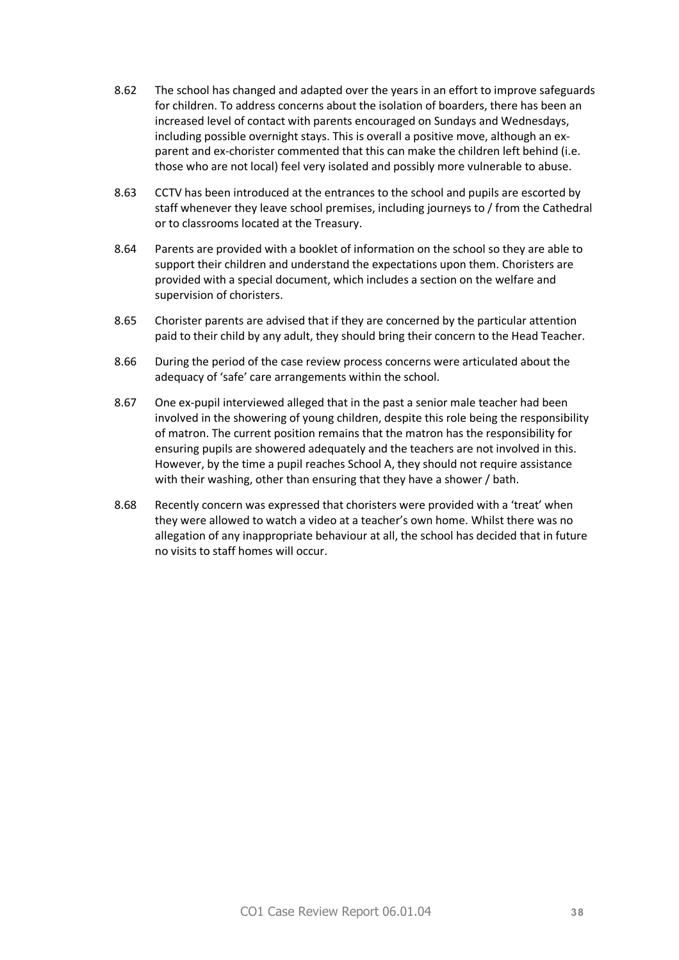- 8.62 The school has changed and adapted over the years in an effort to improve safeguards for children. To address concerns about the isolation of boarders, there has been an increased level of contact with parents encouraged on Sundays and Wednesdays, including possible overnight stays. This is overall a positive move, although an exparent and ex-chorister commented that this can make the children left behind (i.e. those who are not local) feel very isolated and possibly more vulnerable to abuse.
- 8.63 CCTV has been introduced at the entrances to the school and pupils are escorted by staff whenever they leave school premises, including journeys to / from the Cathedral or to classrooms located at the Treasury.
- 8.64 Parents are provided with a booklet of information on the school so they are able to support their children and understand the expectations upon them. Choristers are provided with a special document, which includes a section on the welfare and supervision of choristers.
- 8.65 Chorister parents are advised that if they are concerned by the particular attention paid to their child by any adult, they should bring their concern to the Head Teacher.
- 8.66 During the period of the case review process concerns were articulated about the adequacy of 'safe' care arrangements within the school.
- 8.67 One ex-pupil interviewed alleged that in the past a senior male teacher had been involved in the showering of young children, despite this role being the responsibility of matron. The current position remains that the matron has the responsibility for ensuring pupils are showered adequately and the teachers are not involved in this. However, by the time a pupil reaches School A, they should not require assistance with their washing, other than ensuring that they have a shower / bath.
- 8.68 Recently concern was expressed that choristers were provided with a 'treat' when they were allowed to watch a video at a teacher's own home. Whilst there was no allegation of any inappropriate behaviour at all, the school has decided that in future no visits to staff homes will occur.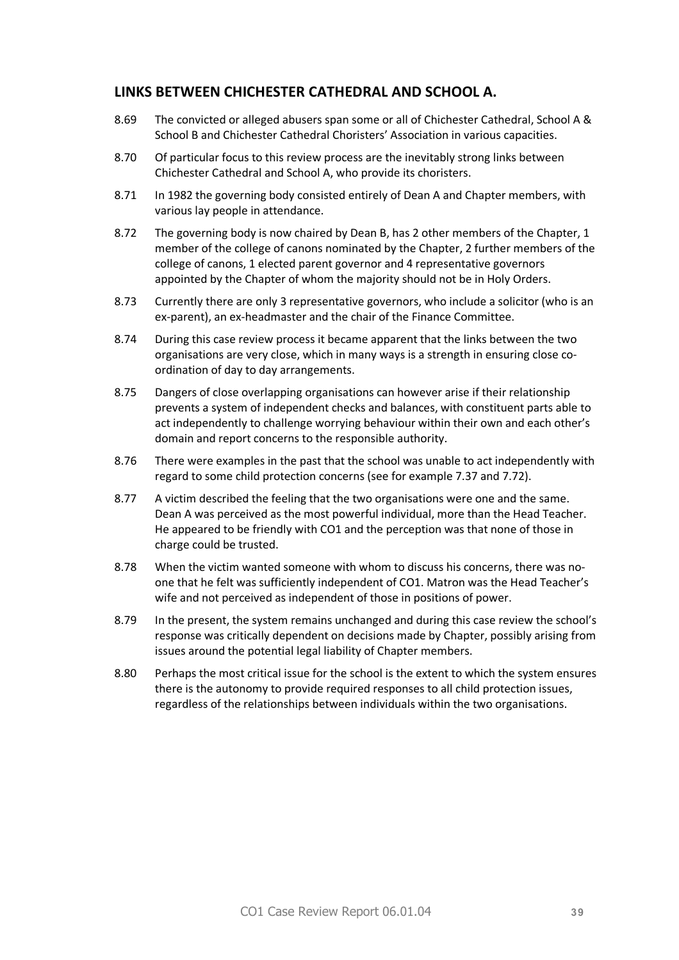# **LINKS BETWEEN CHICHESTER CATHEDRAL AND SCHOOL A.**

- 8.69 The convicted or alleged abusers span some or all of Chichester Cathedral, School A & School B and Chichester Cathedral Choristers' Association in various capacities.
- 8.70 Of particular focus to this review process are the inevitably strong links between Chichester Cathedral and School A, who provide its choristers.
- 8.71 In 1982 the governing body consisted entirely of Dean A and Chapter members, with various lay people in attendance.
- 8.72 The governing body is now chaired by Dean B, has 2 other members of the Chapter, 1 member of the college of canons nominated by the Chapter, 2 further members of the college of canons, 1 elected parent governor and 4 representative governors appointed by the Chapter of whom the majority should not be in Holy Orders.
- 8.73 Currently there are only 3 representative governors, who include a solicitor (who is an ex-parent), an ex-headmaster and the chair of the Finance Committee.
- 8.74 During this case review process it became apparent that the links between the two organisations are very close, which in many ways is a strength in ensuring close coordination of day to day arrangements.
- 8.75 Dangers of close overlapping organisations can however arise if their relationship prevents a system of independent checks and balances, with constituent parts able to act independently to challenge worrying behaviour within their own and each other's domain and report concerns to the responsible authority.
- 8.76 There were examples in the past that the school was unable to act independently with regard to some child protection concerns (see for example 7.37 and 7.72).
- 8.77 A victim described the feeling that the two organisations were one and the same. Dean A was perceived as the most powerful individual, more than the Head Teacher. He appeared to be friendly with CO1 and the perception was that none of those in charge could be trusted.
- 8.78 When the victim wanted someone with whom to discuss his concerns, there was noone that he felt was sufficiently independent of CO1. Matron was the Head Teacher's wife and not perceived as independent of those in positions of power.
- 8.79 In the present, the system remains unchanged and during this case review the school's response was critically dependent on decisions made by Chapter, possibly arising from issues around the potential legal liability of Chapter members.
- 8.80 Perhaps the most critical issue for the school is the extent to which the system ensures there is the autonomy to provide required responses to all child protection issues, regardless of the relationships between individuals within the two organisations.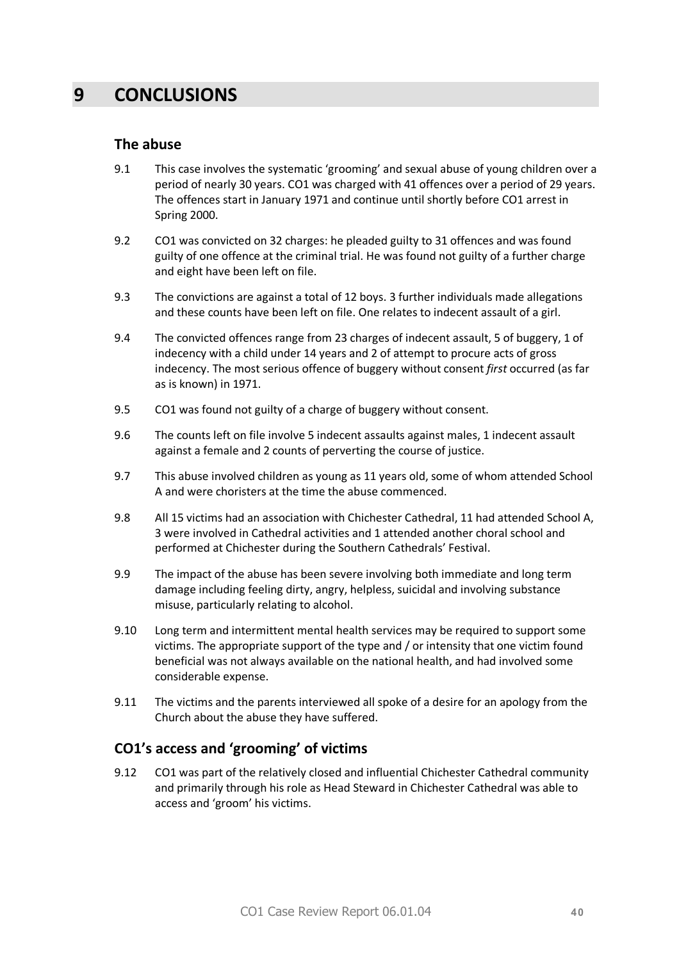# **9 CONCLUSIONS**

#### **The abuse**

- 9.1 This case involves the systematic 'grooming' and sexual abuse of young children over a period of nearly 30 years. CO1 was charged with 41 offences over a period of 29 years. The offences start in January 1971 and continue until shortly before CO1 arrest in Spring 2000.
- 9.2 CO1 was convicted on 32 charges: he pleaded guilty to 31 offences and was found guilty of one offence at the criminal trial. He was found not guilty of a further charge and eight have been left on file.
- 9.3 The convictions are against a total of 12 boys. 3 further individuals made allegations and these counts have been left on file. One relates to indecent assault of a girl.
- 9.4 The convicted offences range from 23 charges of indecent assault, 5 of buggery, 1 of indecency with a child under 14 years and 2 of attempt to procure acts of gross indecency. The most serious offence of buggery without consent *first* occurred (as far as is known) in 1971.
- 9.5 CO1 was found not guilty of a charge of buggery without consent.
- 9.6 The counts left on file involve 5 indecent assaults against males, 1 indecent assault against a female and 2 counts of perverting the course of justice.
- 9.7 This abuse involved children as young as 11 years old, some of whom attended School A and were choristers at the time the abuse commenced.
- 9.8 All 15 victims had an association with Chichester Cathedral, 11 had attended School A, 3 were involved in Cathedral activities and 1 attended another choral school and performed at Chichester during the Southern Cathedrals' Festival.
- 9.9 The impact of the abuse has been severe involving both immediate and long term damage including feeling dirty, angry, helpless, suicidal and involving substance misuse, particularly relating to alcohol.
- 9.10 Long term and intermittent mental health services may be required to support some victims. The appropriate support of the type and / or intensity that one victim found beneficial was not always available on the national health, and had involved some considerable expense.
- 9.11 The victims and the parents interviewed all spoke of a desire for an apology from the Church about the abuse they have suffered.

# **CO1's access and 'grooming' of victims**

9.12 CO1 was part of the relatively closed and influential Chichester Cathedral community and primarily through his role as Head Steward in Chichester Cathedral was able to access and 'groom' his victims.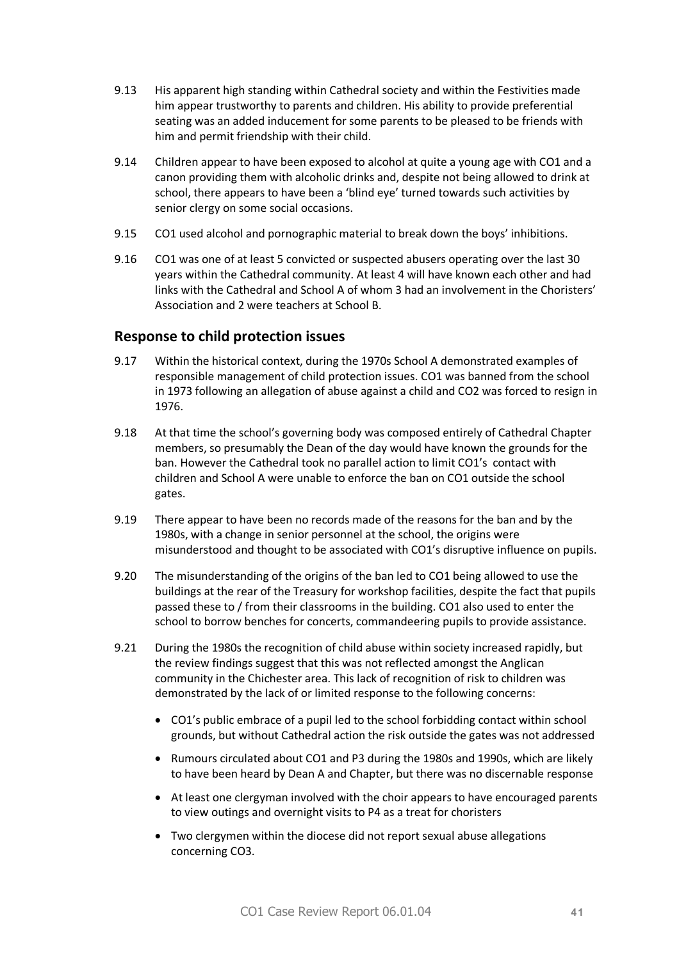- 9.13 His apparent high standing within Cathedral society and within the Festivities made him appear trustworthy to parents and children. His ability to provide preferential seating was an added inducement for some parents to be pleased to be friends with him and permit friendship with their child.
- 9.14 Children appear to have been exposed to alcohol at quite a young age with CO1 and a canon providing them with alcoholic drinks and, despite not being allowed to drink at school, there appears to have been a 'blind eye' turned towards such activities by senior clergy on some social occasions.
- 9.15 CO1 used alcohol and pornographic material to break down the boys' inhibitions.
- 9.16 CO1 was one of at least 5 convicted or suspected abusers operating over the last 30 years within the Cathedral community. At least 4 will have known each other and had links with the Cathedral and School A of whom 3 had an involvement in the Choristers' Association and 2 were teachers at School B.

#### **Response to child protection issues**

- 9.17 Within the historical context, during the 1970s School A demonstrated examples of responsible management of child protection issues. CO1 was banned from the school in 1973 following an allegation of abuse against a child and CO2 was forced to resign in 1976.
- 9.18 At that time the school's governing body was composed entirely of Cathedral Chapter members, so presumably the Dean of the day would have known the grounds for the ban. However the Cathedral took no parallel action to limit CO1's contact with children and School A were unable to enforce the ban on CO1 outside the school gates.
- 9.19 There appear to have been no records made of the reasons for the ban and by the 1980s, with a change in senior personnel at the school, the origins were misunderstood and thought to be associated with CO1's disruptive influence on pupils.
- 9.20 The misunderstanding of the origins of the ban led to CO1 being allowed to use the buildings at the rear of the Treasury for workshop facilities, despite the fact that pupils passed these to / from their classrooms in the building. CO1 also used to enter the school to borrow benches for concerts, commandeering pupils to provide assistance.
- 9.21 During the 1980s the recognition of child abuse within society increased rapidly, but the review findings suggest that this was not reflected amongst the Anglican community in the Chichester area. This lack of recognition of risk to children was demonstrated by the lack of or limited response to the following concerns:
	- · CO1's public embrace of a pupil led to the school forbidding contact within school grounds, but without Cathedral action the risk outside the gates was not addressed
	- · Rumours circulated about CO1 and P3 during the 1980s and 1990s, which are likely to have been heard by Dean A and Chapter, but there was no discernable response
	- · At least one clergyman involved with the choir appears to have encouraged parents to view outings and overnight visits to P4 as a treat for choristers
	- · Two clergymen within the diocese did not report sexual abuse allegations concerning CO3.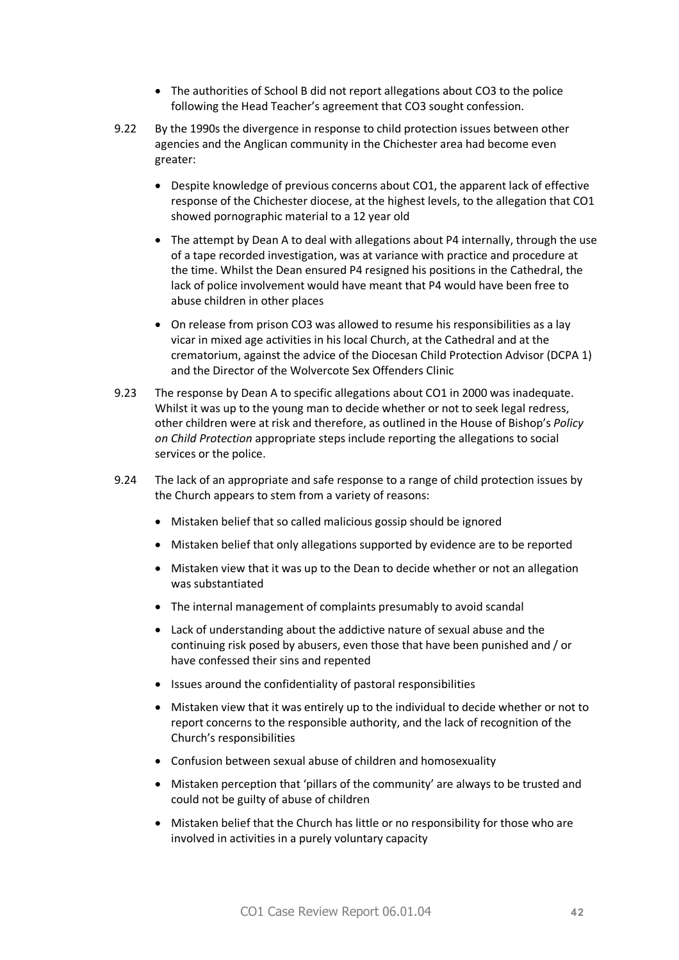- · The authorities of School B did not report allegations about CO3 to the police following the Head Teacher's agreement that CO3 sought confession.
- 9.22 By the 1990s the divergence in response to child protection issues between other agencies and the Anglican community in the Chichester area had become even greater:
	- · Despite knowledge of previous concerns about CO1, the apparent lack of effective response of the Chichester diocese, at the highest levels, to the allegation that CO1 showed pornographic material to a 12 year old
	- The attempt by Dean A to deal with allegations about P4 internally, through the use of a tape recorded investigation, was at variance with practice and procedure at the time. Whilst the Dean ensured P4 resigned his positions in the Cathedral, the lack of police involvement would have meant that P4 would have been free to abuse children in other places
	- · On release from prison CO3 was allowed to resume his responsibilities as a lay vicar in mixed age activities in his local Church, at the Cathedral and at the crematorium, against the advice of the Diocesan Child Protection Advisor (DCPA 1) and the Director of the Wolvercote Sex Offenders Clinic
- 9.23 The response by Dean A to specific allegations about CO1 in 2000 was inadequate. Whilst it was up to the young man to decide whether or not to seek legal redress, other children were at risk and therefore, as outlined in the House of Bishop's *Policy on Child Protection* appropriate steps include reporting the allegations to social services or the police.
- 9.24 The lack of an appropriate and safe response to a range of child protection issues by the Church appears to stem from a variety of reasons:
	- · Mistaken belief that so called malicious gossip should be ignored
	- · Mistaken belief that only allegations supported by evidence are to be reported
	- · Mistaken view that it was up to the Dean to decide whether or not an allegation was substantiated
	- · The internal management of complaints presumably to avoid scandal
	- · Lack of understanding about the addictive nature of sexual abuse and the continuing risk posed by abusers, even those that have been punished and / or have confessed their sins and repented
	- · Issues around the confidentiality of pastoral responsibilities
	- · Mistaken view that it was entirely up to the individual to decide whether or not to report concerns to the responsible authority, and the lack of recognition of the Church's responsibilities
	- · Confusion between sexual abuse of children and homosexuality
	- · Mistaken perception that 'pillars of the community' are always to be trusted and could not be guilty of abuse of children
	- · Mistaken belief that the Church has little or no responsibility for those who are involved in activities in a purely voluntary capacity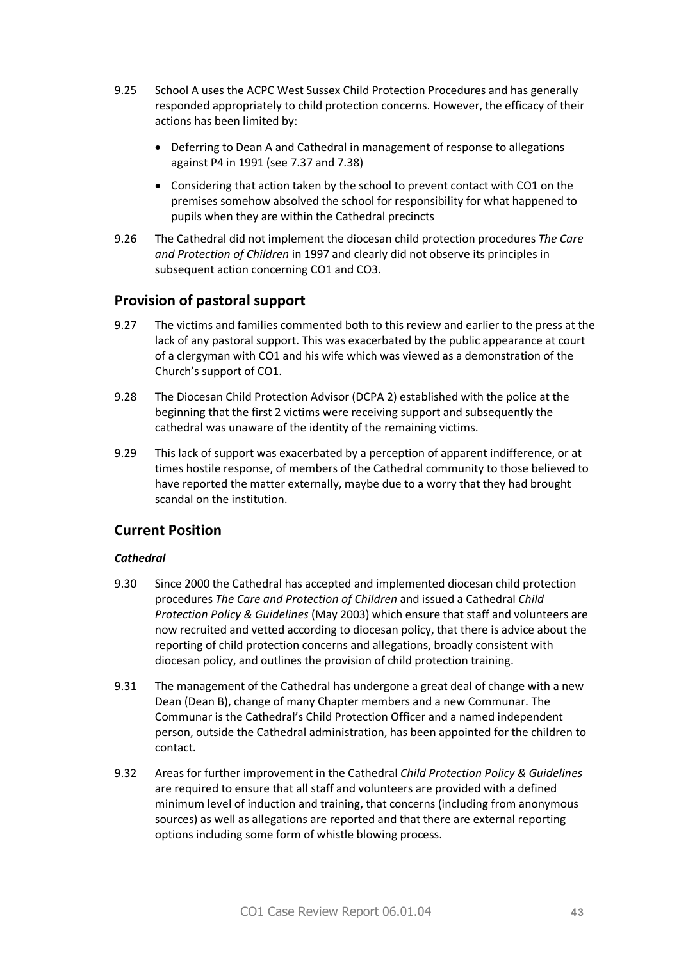- 9.25 School A uses the ACPC West Sussex Child Protection Procedures and has generally responded appropriately to child protection concerns. However, the efficacy of their actions has been limited by:
	- · Deferring to Dean A and Cathedral in management of response to allegations against P4 in 1991 (see 7.37 and 7.38)
	- · Considering that action taken by the school to prevent contact with CO1 on the premises somehow absolved the school for responsibility for what happened to pupils when they are within the Cathedral precincts
- 9.26 The Cathedral did not implement the diocesan child protection procedures *The Care and Protection of Children* in 1997 and clearly did not observe its principles in subsequent action concerning CO1 and CO3.

# **Provision of pastoral support**

- 9.27 The victims and families commented both to this review and earlier to the press at the lack of any pastoral support. This was exacerbated by the public appearance at court of a clergyman with CO1 and his wife which was viewed as a demonstration of the Church's support of CO1.
- 9.28 The Diocesan Child Protection Advisor (DCPA 2) established with the police at the beginning that the first 2 victims were receiving support and subsequently the cathedral was unaware of the identity of the remaining victims.
- 9.29 This lack of support was exacerbated by a perception of apparent indifference, or at times hostile response, of members of the Cathedral community to those believed to have reported the matter externally, maybe due to a worry that they had brought scandal on the institution.

# **Current Position**

#### *Cathedral*

- 9.30 Since 2000 the Cathedral has accepted and implemented diocesan child protection procedures *The Care and Protection of Children* and issued a Cathedral *Child Protection Policy & Guidelines* (May 2003) which ensure that staff and volunteers are now recruited and vetted according to diocesan policy, that there is advice about the reporting of child protection concerns and allegations, broadly consistent with diocesan policy, and outlines the provision of child protection training.
- 9.31 The management of the Cathedral has undergone a great deal of change with a new Dean (Dean B), change of many Chapter members and a new Communar. The Communar is the Cathedral's Child Protection Officer and a named independent person, outside the Cathedral administration, has been appointed for the children to contact.
- 9.32 Areas for further improvement in the Cathedral *Child Protection Policy & Guidelines*  are required to ensure that all staff and volunteers are provided with a defined minimum level of induction and training, that concerns (including from anonymous sources) as well as allegations are reported and that there are external reporting options including some form of whistle blowing process.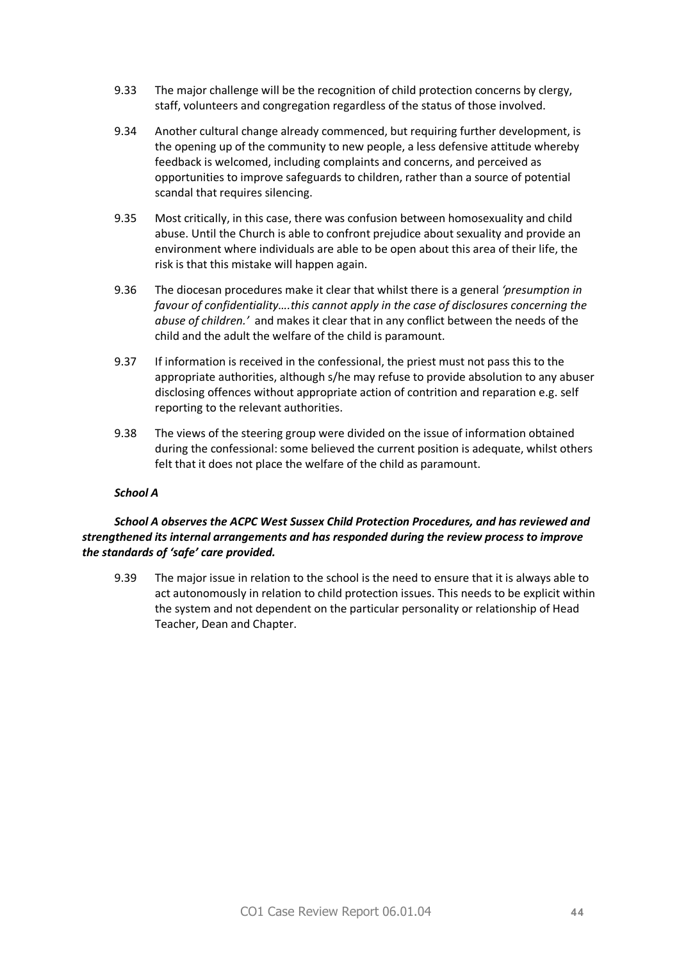- 9.33 The major challenge will be the recognition of child protection concerns by clergy, staff, volunteers and congregation regardless of the status of those involved.
- 9.34 Another cultural change already commenced, but requiring further development, is the opening up of the community to new people, a less defensive attitude whereby feedback is welcomed, including complaints and concerns, and perceived as opportunities to improve safeguards to children, rather than a source of potential scandal that requires silencing.
- 9.35 Most critically, in this case, there was confusion between homosexuality and child abuse. Until the Church is able to confront prejudice about sexuality and provide an environment where individuals are able to be open about this area of their life, the risk is that this mistake will happen again.
- 9.36 The diocesan procedures make it clear that whilst there is a general *'presumption in favour of confidentiality….this cannot apply in the case of disclosures concerning the abuse of children.'* and makes it clear that in any conflict between the needs of the child and the adult the welfare of the child is paramount.
- 9.37 If information is received in the confessional, the priest must not pass this to the appropriate authorities, although s/he may refuse to provide absolution to any abuser disclosing offences without appropriate action of contrition and reparation e.g. self reporting to the relevant authorities.
- 9.38 The views of the steering group were divided on the issue of information obtained during the confessional: some believed the current position is adequate, whilst others felt that it does not place the welfare of the child as paramount.

#### *School A*

#### *School A observes the ACPC West Sussex Child Protection Procedures, and has reviewed and strengthened its internal arrangements and has responded during the review process to improve the standards of 'safe' care provided.*

9.39 The major issue in relation to the school is the need to ensure that it is always able to act autonomously in relation to child protection issues. This needs to be explicit within the system and not dependent on the particular personality or relationship of Head Teacher, Dean and Chapter.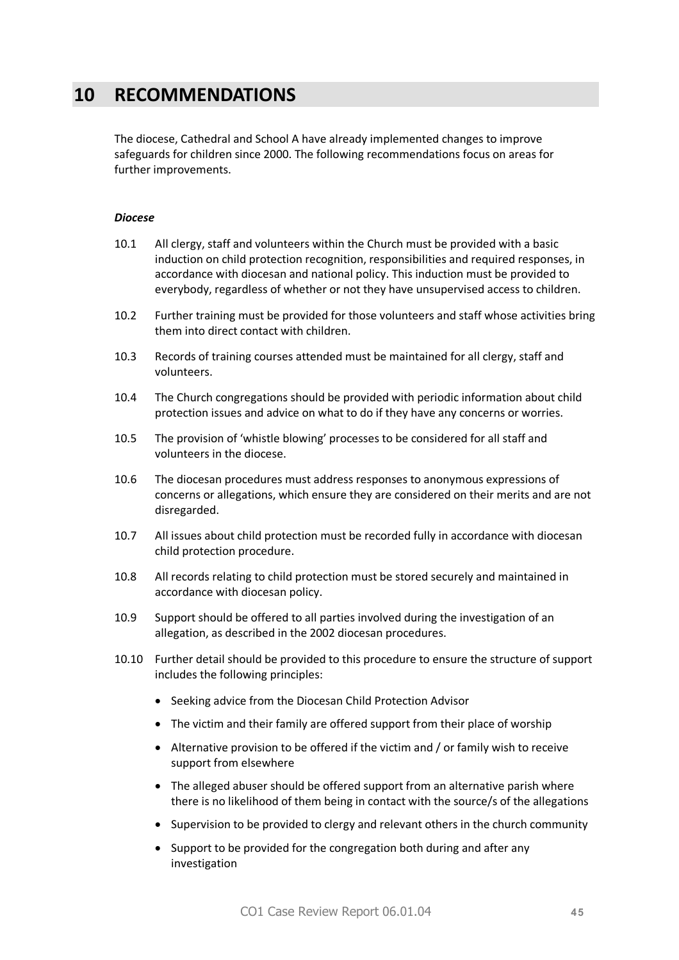# **10 RECOMMENDATIONS**

The diocese, Cathedral and School A have already implemented changes to improve safeguards for children since 2000. The following recommendations focus on areas for further improvements.

#### *Diocese*

- 10.1 All clergy, staff and volunteers within the Church must be provided with a basic induction on child protection recognition, responsibilities and required responses, in accordance with diocesan and national policy. This induction must be provided to everybody, regardless of whether or not they have unsupervised access to children.
- 10.2 Further training must be provided for those volunteers and staff whose activities bring them into direct contact with children.
- 10.3 Records of training courses attended must be maintained for all clergy, staff and volunteers.
- 10.4 The Church congregations should be provided with periodic information about child protection issues and advice on what to do if they have any concerns or worries.
- 10.5 The provision of 'whistle blowing' processes to be considered for all staff and volunteers in the diocese.
- 10.6 The diocesan procedures must address responses to anonymous expressions of concerns or allegations, which ensure they are considered on their merits and are not disregarded.
- 10.7 All issues about child protection must be recorded fully in accordance with diocesan child protection procedure.
- 10.8 All records relating to child protection must be stored securely and maintained in accordance with diocesan policy.
- 10.9 Support should be offered to all parties involved during the investigation of an allegation, as described in the 2002 diocesan procedures.
- 10.10 Further detail should be provided to this procedure to ensure the structure of support includes the following principles:
	- · Seeking advice from the Diocesan Child Protection Advisor
	- The victim and their family are offered support from their place of worship
	- · Alternative provision to be offered if the victim and / or family wish to receive support from elsewhere
	- · The alleged abuser should be offered support from an alternative parish where there is no likelihood of them being in contact with the source/s of the allegations
	- · Supervision to be provided to clergy and relevant others in the church community
	- · Support to be provided for the congregation both during and after any investigation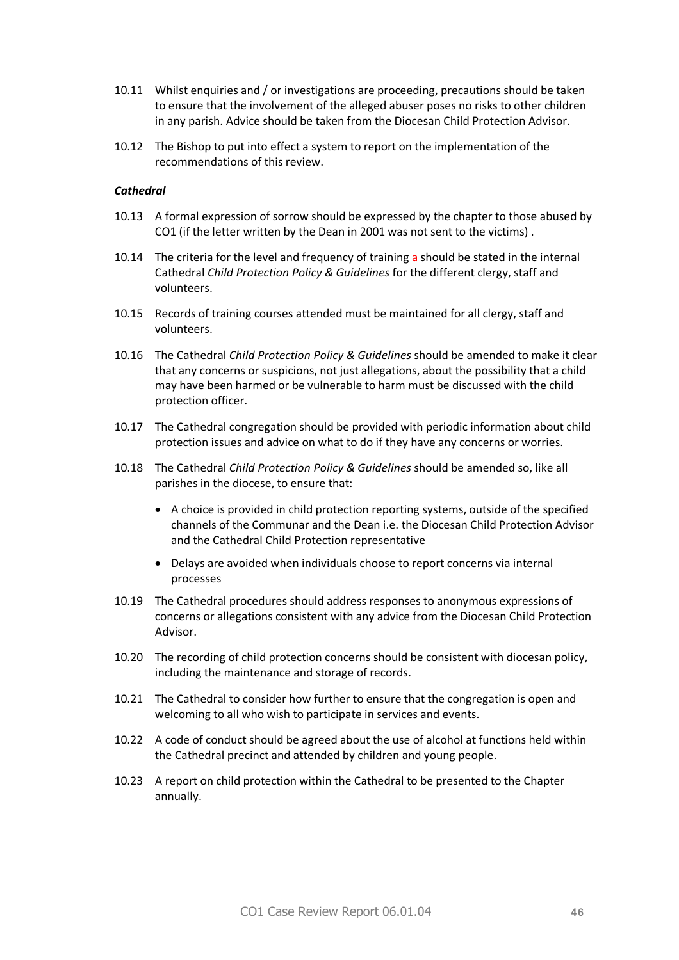- 10.11 Whilst enquiries and / or investigations are proceeding, precautions should be taken to ensure that the involvement of the alleged abuser poses no risks to other children in any parish. Advice should be taken from the Diocesan Child Protection Advisor.
- 10.12 The Bishop to put into effect a system to report on the implementation of the recommendations of this review.

#### *Cathedral*

- 10.13 A formal expression of sorrow should be expressed by the chapter to those abused by CO1 (if the letter written by the Dean in 2001 was not sent to the victims) .
- 10.14 The criteria for the level and frequency of training  $\frac{a}{b}$  should be stated in the internal Cathedral *Child Protection Policy & Guidelines* for the different clergy, staff and volunteers.
- 10.15 Records of training courses attended must be maintained for all clergy, staff and volunteers.
- 10.16 The Cathedral *Child Protection Policy & Guidelines* should be amended to make it clear that any concerns or suspicions, not just allegations, about the possibility that a child may have been harmed or be vulnerable to harm must be discussed with the child protection officer.
- 10.17 The Cathedral congregation should be provided with periodic information about child protection issues and advice on what to do if they have any concerns or worries.
- 10.18 The Cathedral *Child Protection Policy & Guidelines* should be amended so, like all parishes in the diocese, to ensure that:
	- · A choice is provided in child protection reporting systems, outside of the specified channels of the Communar and the Dean i.e. the Diocesan Child Protection Advisor and the Cathedral Child Protection representative
	- · Delays are avoided when individuals choose to report concerns via internal processes
- 10.19 The Cathedral procedures should address responses to anonymous expressions of concerns or allegations consistent with any advice from the Diocesan Child Protection Advisor.
- 10.20 The recording of child protection concerns should be consistent with diocesan policy, including the maintenance and storage of records.
- 10.21 The Cathedral to consider how further to ensure that the congregation is open and welcoming to all who wish to participate in services and events.
- 10.22 A code of conduct should be agreed about the use of alcohol at functions held within the Cathedral precinct and attended by children and young people.
- 10.23 A report on child protection within the Cathedral to be presented to the Chapter annually.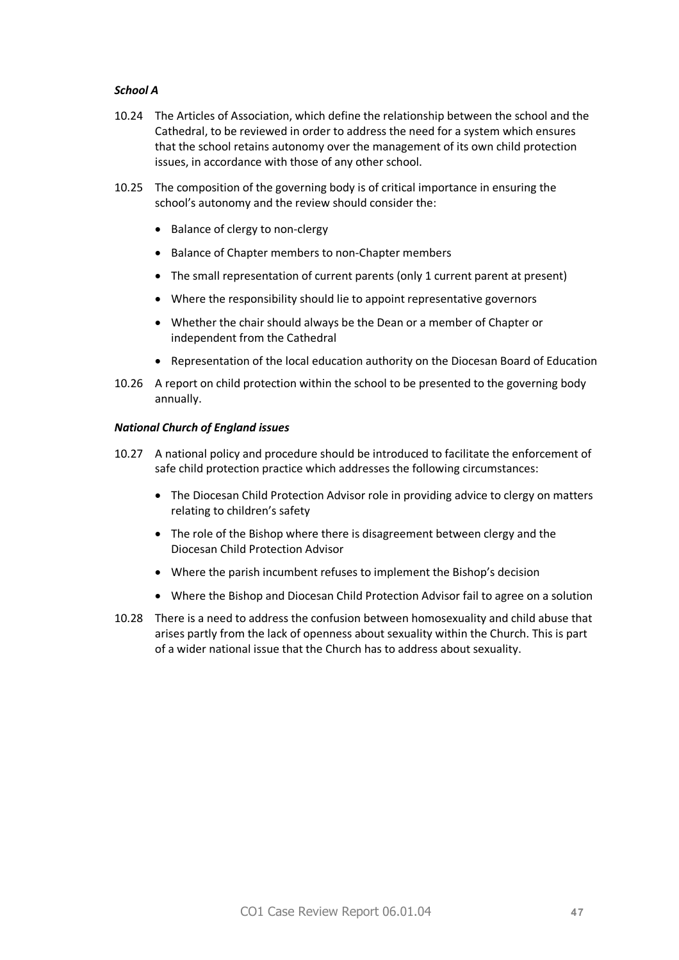#### *School A*

- 10.24 The Articles of Association, which define the relationship between the school and the Cathedral, to be reviewed in order to address the need for a system which ensures that the school retains autonomy over the management of its own child protection issues, in accordance with those of any other school.
- 10.25 The composition of the governing body is of critical importance in ensuring the school's autonomy and the review should consider the:
	- · Balance of clergy to non-clergy
	- · Balance of Chapter members to non-Chapter members
	- · The small representation of current parents (only 1 current parent at present)
	- · Where the responsibility should lie to appoint representative governors
	- · Whether the chair should always be the Dean or a member of Chapter or independent from the Cathedral
	- · Representation of the local education authority on the Diocesan Board of Education
- 10.26 A report on child protection within the school to be presented to the governing body annually.

#### *National Church of England issues*

- 10.27 A national policy and procedure should be introduced to facilitate the enforcement of safe child protection practice which addresses the following circumstances:
	- · The Diocesan Child Protection Advisor role in providing advice to clergy on matters relating to children's safety
	- · The role of the Bishop where there is disagreement between clergy and the Diocesan Child Protection Advisor
	- · Where the parish incumbent refuses to implement the Bishop's decision
	- · Where the Bishop and Diocesan Child Protection Advisor fail to agree on a solution
- 10.28 There is a need to address the confusion between homosexuality and child abuse that arises partly from the lack of openness about sexuality within the Church. This is part of a wider national issue that the Church has to address about sexuality.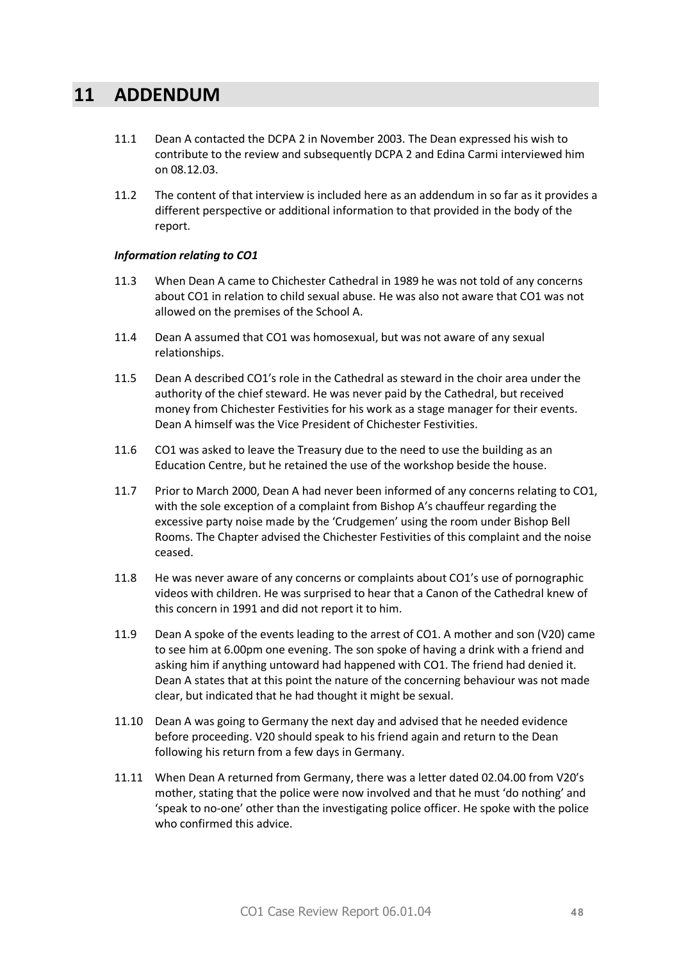# **11 ADDENDUM**

- 11.1 Dean A contacted the DCPA 2 in November 2003. The Dean expressed his wish to contribute to the review and subsequently DCPA 2 and Edina Carmi interviewed him on 08.12.03.
- 11.2 The content of that interview is included here as an addendum in so far as it provides a different perspective or additional information to that provided in the body of the report.

#### *Information relating to CO1*

- 11.3 When Dean A came to Chichester Cathedral in 1989 he was not told of any concerns about CO1 in relation to child sexual abuse. He was also not aware that CO1 was not allowed on the premises of the School A.
- 11.4 Dean A assumed that CO1 was homosexual, but was not aware of any sexual relationships.
- 11.5 Dean A described CO1's role in the Cathedral as steward in the choir area under the authority of the chief steward. He was never paid by the Cathedral, but received money from Chichester Festivities for his work as a stage manager for their events. Dean A himself was the Vice President of Chichester Festivities.
- 11.6 CO1 was asked to leave the Treasury due to the need to use the building as an Education Centre, but he retained the use of the workshop beside the house.
- 11.7 Prior to March 2000, Dean A had never been informed of any concerns relating to CO1, with the sole exception of a complaint from Bishop A's chauffeur regarding the excessive party noise made by the 'Crudgemen' using the room under Bishop Bell Rooms. The Chapter advised the Chichester Festivities of this complaint and the noise ceased.
- 11.8 He was never aware of any concerns or complaints about CO1's use of pornographic videos with children. He was surprised to hear that a Canon of the Cathedral knew of this concern in 1991 and did not report it to him.
- 11.9 Dean A spoke of the events leading to the arrest of CO1. A mother and son (V20) came to see him at 6.00pm one evening. The son spoke of having a drink with a friend and asking him if anything untoward had happened with CO1. The friend had denied it. Dean A states that at this point the nature of the concerning behaviour was not made clear, but indicated that he had thought it might be sexual.
- 11.10 Dean A was going to Germany the next day and advised that he needed evidence before proceeding. V20 should speak to his friend again and return to the Dean following his return from a few days in Germany.
- 11.11 When Dean A returned from Germany, there was a letter dated 02.04.00 from V20's mother, stating that the police were now involved and that he must 'do nothing' and 'speak to no-one' other than the investigating police officer. He spoke with the police who confirmed this advice.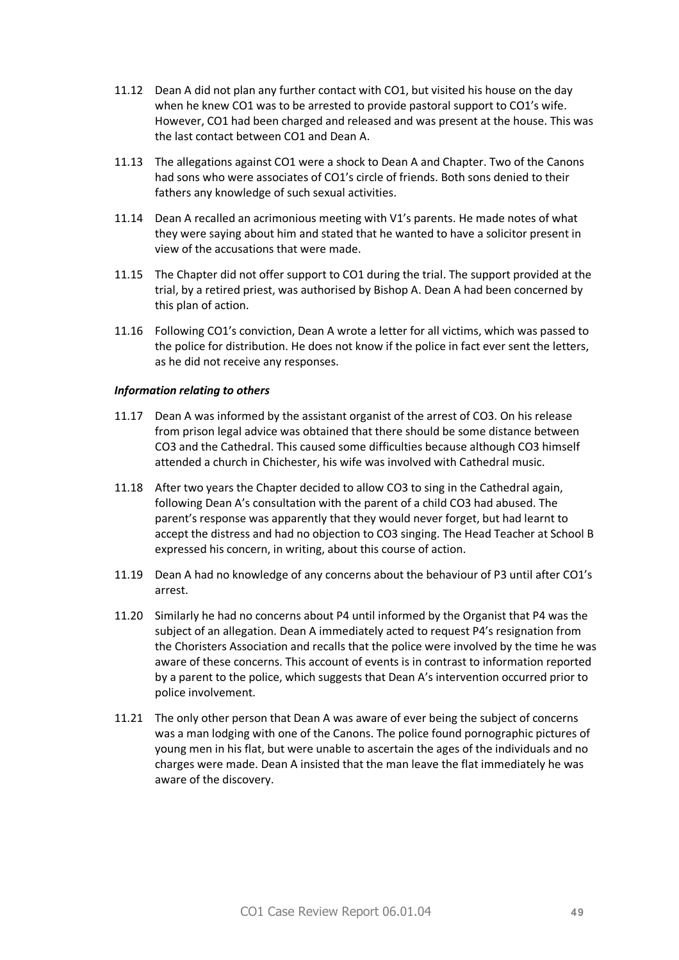- 11.12 Dean A did not plan any further contact with CO1, but visited his house on the day when he knew CO1 was to be arrested to provide pastoral support to CO1's wife. However, CO1 had been charged and released and was present at the house. This was the last contact between CO1 and Dean A.
- 11.13 The allegations against CO1 were a shock to Dean A and Chapter. Two of the Canons had sons who were associates of CO1's circle of friends. Both sons denied to their fathers any knowledge of such sexual activities.
- 11.14 Dean A recalled an acrimonious meeting with V1's parents. He made notes of what they were saying about him and stated that he wanted to have a solicitor present in view of the accusations that were made.
- 11.15 The Chapter did not offer support to CO1 during the trial. The support provided at the trial, by a retired priest, was authorised by Bishop A. Dean A had been concerned by this plan of action.
- 11.16 Following CO1's conviction, Dean A wrote a letter for all victims, which was passed to the police for distribution. He does not know if the police in fact ever sent the letters, as he did not receive any responses.

#### *Information relating to others*

- 11.17 Dean A was informed by the assistant organist of the arrest of CO3. On his release from prison legal advice was obtained that there should be some distance between CO3 and the Cathedral. This caused some difficulties because although CO3 himself attended a church in Chichester, his wife was involved with Cathedral music.
- 11.18 After two years the Chapter decided to allow CO3 to sing in the Cathedral again, following Dean A's consultation with the parent of a child CO3 had abused. The parent's response was apparently that they would never forget, but had learnt to accept the distress and had no objection to CO3 singing. The Head Teacher at School B expressed his concern, in writing, about this course of action.
- 11.19 Dean A had no knowledge of any concerns about the behaviour of P3 until after CO1's arrest.
- 11.20 Similarly he had no concerns about P4 until informed by the Organist that P4 was the subject of an allegation. Dean A immediately acted to request P4's resignation from the Choristers Association and recalls that the police were involved by the time he was aware of these concerns. This account of events is in contrast to information reported by a parent to the police, which suggests that Dean A's intervention occurred prior to police involvement.
- 11.21 The only other person that Dean A was aware of ever being the subject of concerns was a man lodging with one of the Canons. The police found pornographic pictures of young men in his flat, but were unable to ascertain the ages of the individuals and no charges were made. Dean A insisted that the man leave the flat immediately he was aware of the discovery.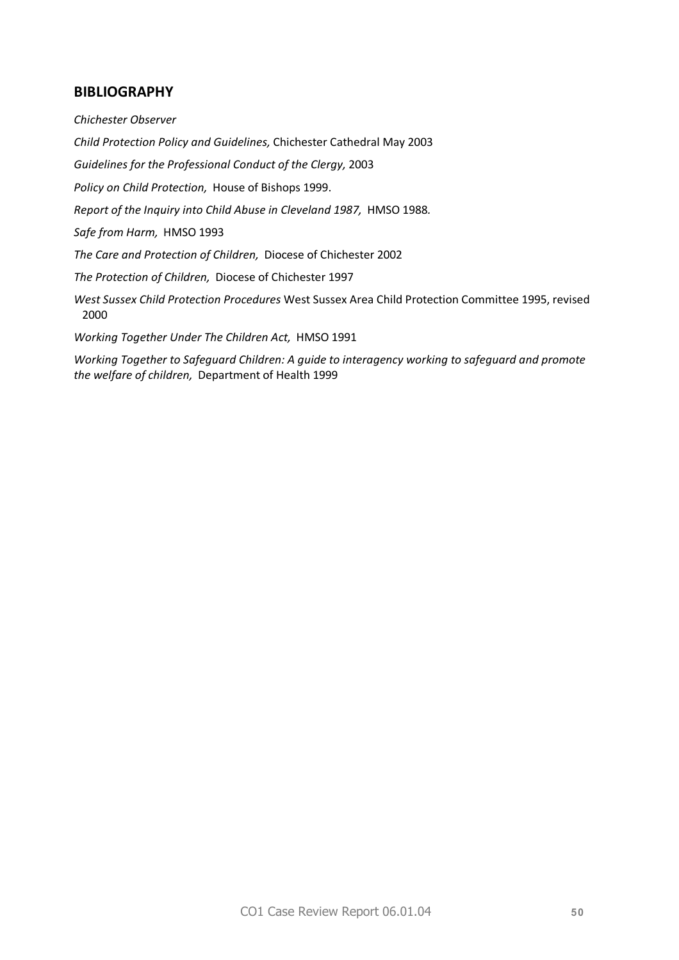# **BIBLIOGRAPHY**

*Chichester Observer* 

*Child Protection Policy and Guidelines,* Chichester Cathedral May 2003

*Guidelines for the Professional Conduct of the Clergy,* 2003

*Policy on Child Protection,* House of Bishops 1999.

*Report of the Inquiry into Child Abuse in Cleveland 1987,* HMSO 1988*.* 

*Safe from Harm,* HMSO 1993

*The Care and Protection of Children,* Diocese of Chichester 2002

*The Protection of Children,* Diocese of Chichester 1997

*West Sussex Child Protection Procedures* West Sussex Area Child Protection Committee 1995, revised 2000

*Working Together Under The Children Act,* HMSO 1991

*Working Together to Safeguard Children: A guide to interagency working to safeguard and promote the welfare of children,* Department of Health 1999